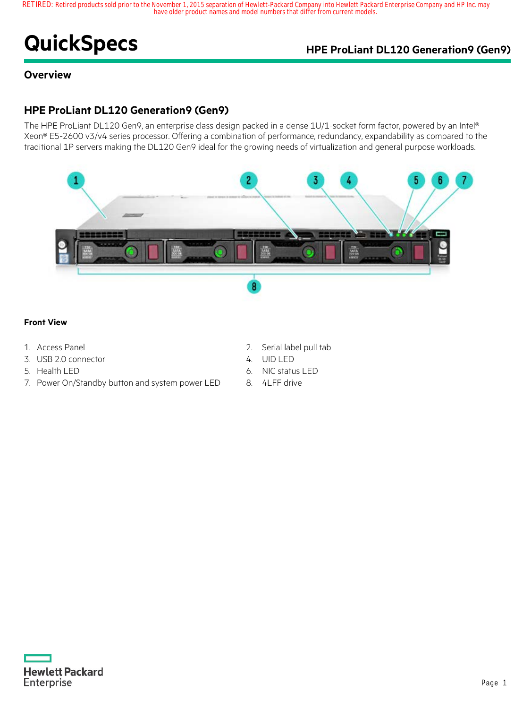# **QuickSpecs HPE ProLiant DL120 Generation9 (Gen9)**

# **Overview**

# **HPE ProLiant DL120 Generation9 (Gen9)**

The HPE ProLiant DL120 Gen9, an enterprise class design packed in a dense 1U/1-socket form factor, powered by an Intel® Xeon® E5-2600 v3/v4 series processor. Offering a combination of performance, redundancy, expandability as compared to the traditional 1P servers making the DL120 Gen9 ideal for the growing needs of virtualization and general purpose workloads.



### **Front View**

- 
- 3. USB 2.0 connector 4. UID LED
- 
- 7. Power On/Standby button and system power LED 8. 4LFF drive
- 1. Access Panel 2. Serial label pull tab
	-
- 5. Health LED 6. NIC status LED
	-

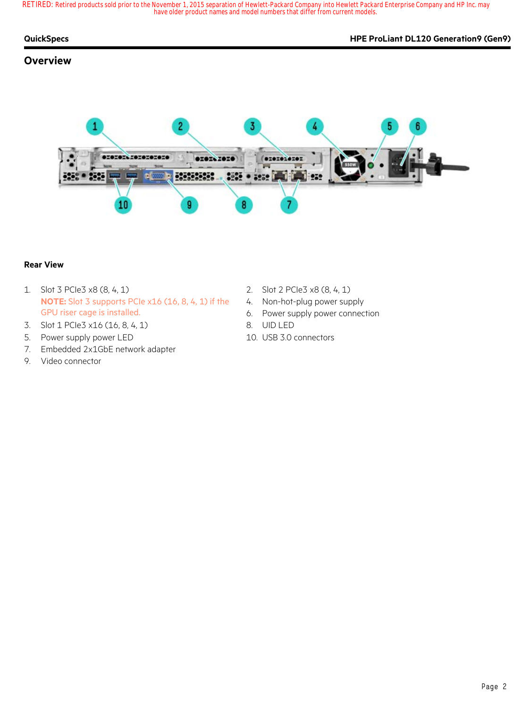| <b>QuickSpecs</b> |  |  |
|-------------------|--|--|

# **Overview**



### **Rear View**

- 1. Slot 3 PCIe3 x8 (8, 4, 1) 2. Slot 2 PCIe3 x8 (8, 4, 1) **NOTE:** Slot 3 supports PCIe x16 (16, 8, 4, 1) if the GPU riser cage is installed.
- 3. Slot 1 PCIe3 x16 (16, 8, 4, 1) 8. UID LED
- 5. Power supply power LED 10. USB 3.0 connectors
- 7. Embedded 2x1GbE network adapter
- 9. Video connector
- 
- 4. Non-hot-plug power supply
- 6. Power supply power connection
- -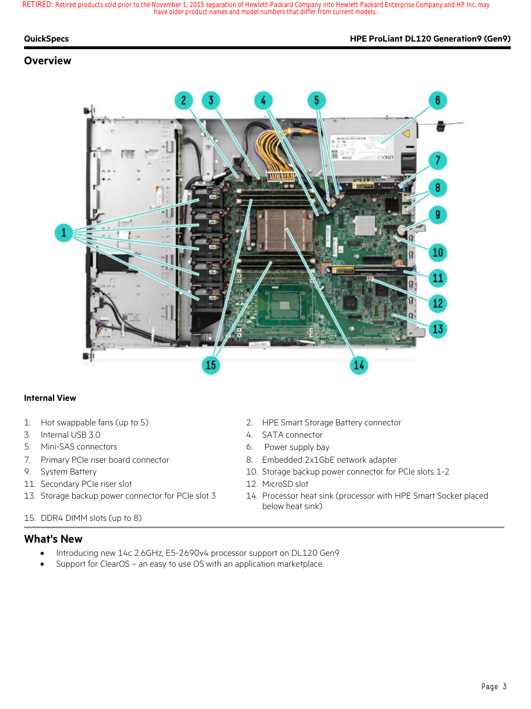#### **QuickSpecs HPE ProLiant DL120 Generation9 (Gen9)**

# **Overview**



#### **Internal View**

- 
- 3. Internal USB 3.0 4. SATA connector
- 5. Mini-SAS connectors 6. Power supply bay
- 
- 
- 11. Secondary PCIe riser slot 12. MicroSD slot
- 
- 1. Hot swappable fans (up to 5) 2. HPE Smart Storage Battery connector
	-
	-
- 7. Primary PCIe riser board connector 8. Embedded 2x1GbE network adapter
- 9. System Battery 10. Storage backup power connector for PCIe slots 1-2
	-
- 13. Storage backup power connector for PCIe slot 3 14. Processor heat sink (processor with HPE Smart Socket placed below heat sink)

# 15. DDR4 DIMM slots (up to 8)

### **What's New**

- Introducing new 14c 2.6GHz, E5-2690v4 processor support on DL120 Gen9
- Support for ClearOS an easy to use OS with an application marketplace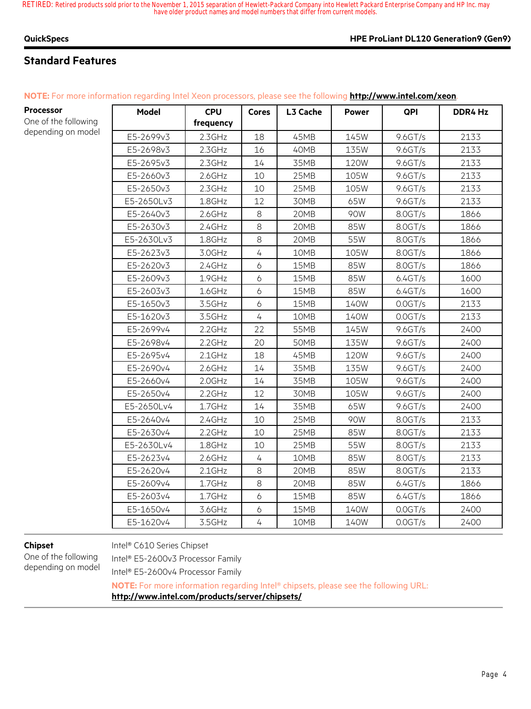### **QuickSpecs HPE ProLiant DL120 Generation9 (Gen9)**

٦

# **Standard Features**

 $\overline{\phantom{a}}$ 

|  |  |  | NOTE: For more information regarding Intel Xeon processors, please see the following http://www.intel.com/xeon. |
|--|--|--|-----------------------------------------------------------------------------------------------------------------|
|--|--|--|-----------------------------------------------------------------------------------------------------------------|

| Processor            |
|----------------------|
| One of the following |
| depending on model   |

| Model      | <b>CPU</b> | Cores          | L3 Cache | <b>Power</b> | QPI        | DDR4 Hz |
|------------|------------|----------------|----------|--------------|------------|---------|
|            | frequency  |                |          |              |            |         |
| E5-2699v3  | 2.3GHz     | 18             | 45MB     | 145W         | 9.6 G T/s  | 2133    |
| E5-2698v3  | 2.3GHz     | 16             | 40MB     | 135W         | 9.6 GT/s   | 2133    |
| E5-2695v3  | 2.3GHz     | 14             | 35MB     | 120W         | 9.6 G T/s  | 2133    |
| E5-2660v3  | 2.6GHz     | 10             | 25MB     | 105W         | 9.6GT/s    | 2133    |
| E5-2650v3  | 2.3GHz     | 10             | 25MB     | 105W         | 9.6GT/s    | 2133    |
| E5-2650Lv3 | 1.8GHz     | 12             | 30MB     | 65W          | 9.6GT/s    | 2133    |
| E5-2640v3  | 2.6GHz     | 8              | 20MB     | 90W          | 8.0GT/s    | 1866    |
| E5-2630v3  | 2.4GHz     | 8              | 20MB     | 85W          | 8.0GT/s    | 1866    |
| E5-2630Lv3 | 1.8GHz     | 8              | 20MB     | 55W          | 8.0GT/s    | 1866    |
| E5-2623v3  | 3.0GHz     | $\overline{4}$ | 10MB     | 105W         | 8.0GT/s    | 1866    |
| E5-2620v3  | 2.4GHz     | 6              | 15MB     | 85W          | 8.0GT/s    | 1866    |
| E5-2609v3  | 1.9GHz     | 6              | 15MB     | 85W          | 6.4GT/s    | 1600    |
| E5-2603v3  | 1.6GHz     | 6              | 15MB     | 85W          | 6.4GT/s    | 1600    |
| E5-1650v3  | 3.5GHz     | 6              | 15MB     | 140W         | $0.0$ GT/s | 2133    |
| E5-1620v3  | 3.5GHz     | 4              | 10MB     | 140W         | 0.0 GT/s   | 2133    |
| E5-2699v4  | $2.2$ GHz  | 22             | 55MB     | 145W         | 9.6 GT/s   | 2400    |
| E5-2698v4  | $2.2$ GHz  | 20             | 50MB     | 135W         | 9.6 GT/s   | 2400    |
| E5-2695v4  | 2.1GHz     | 18             | 45MB     | 120W         | 9.6 GT/s   | 2400    |
| E5-2690v4  | 2.6GHz     | 14             | 35MB     | 135W         | 9.6GT/s    | 2400    |
| E5-2660v4  | 2.0GHz     | 14             | 35MB     | 105W         | 9.6GT/s    | 2400    |
| E5-2650v4  | $2.2$ GHz  | 12             | 30MB     | 105W         | 9.6 GT/s   | 2400    |
| E5-2650Lv4 | 1.7GHz     | 14             | 35MB     | 65W          | $9.6$ GT/s | 2400    |
| E5-2640v4  | 2.4GHz     | 10             | 25MB     | 90W          | 8.0GT/s    | 2133    |
| E5-2630v4  | $2.2$ GHz  | 10             | 25MB     | 85W          | 8.0GT/s    | 2133    |
| E5-2630Lv4 | 1.8GHz     | 10             | 25MB     | 55W          | 8.0GT/s    | 2133    |
| E5-2623v4  | 2.6GHz     | 4              | 10MB     | 85W          | 8.0GT/s    | 2133    |
| E5-2620v4  | 2.1GHz     | 8              | 20MB     | 85W          | 8.0GT/s    | 2133    |
| E5-2609v4  | 1.7GHz     | 8              | 20MB     | 85W          | 6.4GT/s    | 1866    |
| E5-2603v4  | 1.7GHz     | 6              | 15MB     | 85W          | 6.4GT/s    | 1866    |
| E5-1650v4  | 3.6GHz     | 6              | 15MB     | 140W         | 0.0 GT/s   | 2400    |
| E5-1620v4  | 3.5GHz     | 4              | 10MB     | 140W         | $0.0$ GT/s | 2400    |

### **Chipset**

One of the following depending on model Intel® C610 Series Chipset

Intel® E5-2600v3 Processor Family

Intel® E5-2600v4 Processor Family

**NOTE:** For more information regarding Intel® chipsets, please see the following URL: **http://www.intel.com/products/server/chipsets/**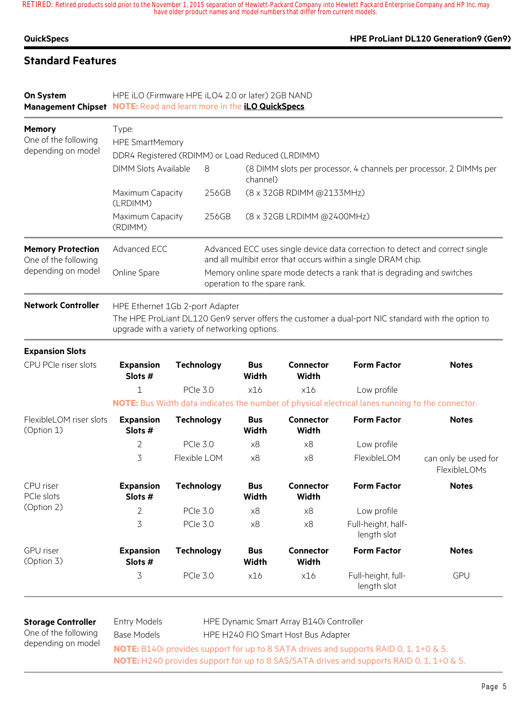|  | QuickSpecs |
|--|------------|
|--|------------|

### **HPE ProLiant DL120 Generation9 (Gen9)**

# **Standard Features**

| On System                                                   | HPE iLO (Firmware HPE iLO4 2.0 or later) 2GB NAND<br>Management Chipset NOTE: Read and learn more in the iLO QuickSpecs.                                                               |                   |       |                                                                                |                                  |                                                                                                                                               |                                      |
|-------------------------------------------------------------|----------------------------------------------------------------------------------------------------------------------------------------------------------------------------------------|-------------------|-------|--------------------------------------------------------------------------------|----------------------------------|-----------------------------------------------------------------------------------------------------------------------------------------------|--------------------------------------|
| <b>Memory</b><br>One of the following<br>depending on model | Type:<br><b>HPE SmartMemory</b><br>DDR4 Registered (RDIMM) or Load Reduced (LRDIMM)                                                                                                    |                   |       |                                                                                |                                  |                                                                                                                                               |                                      |
|                                                             | <b>DIMM Slots Available</b>                                                                                                                                                            |                   |       | (8 DIMM slots per processor, 4 channels per processor, 2 DIMMs per<br>channel) |                                  |                                                                                                                                               |                                      |
|                                                             | Maximum Capacity<br>(LRDIMM)                                                                                                                                                           |                   | 256GB | (8 x 32GB RDIMM @2133MHz)                                                      |                                  |                                                                                                                                               |                                      |
|                                                             | Maximum Capacity<br>(RDIMM)                                                                                                                                                            |                   | 256GB | (8 x 32GB LRDIMM @2400MHz)                                                     |                                  |                                                                                                                                               |                                      |
| <b>Memory Protection</b><br>One of the following            | Advanced ECC                                                                                                                                                                           |                   |       |                                                                                |                                  | Advanced ECC uses single device data correction to detect and correct single<br>and all multibit error that occurs within a single DRAM chip. |                                      |
| depending on model                                          | Online Spare                                                                                                                                                                           |                   |       | operation to the spare rank.                                                   |                                  | Memory online spare mode detects a rank that is degrading and switches                                                                        |                                      |
| <b>Network Controller</b>                                   | HPE Ethernet 1Gb 2-port Adapter<br>The HPE ProLiant DL120 Gen9 server offers the customer a dual-port NIC standard with the option to<br>upgrade with a variety of networking options. |                   |       |                                                                                |                                  |                                                                                                                                               |                                      |
| <b>Expansion Slots</b>                                      |                                                                                                                                                                                        |                   |       |                                                                                |                                  |                                                                                                                                               |                                      |
| CPU PCIe riser slots                                        | <b>Expansion</b><br>Slots #                                                                                                                                                            | <b>Technology</b> |       | <b>Bus</b><br><b>Width</b>                                                     | <b>Connector</b><br>Width        | <b>Form Factor</b>                                                                                                                            | <b>Notes</b>                         |
|                                                             | 1                                                                                                                                                                                      | <b>PCIe 3.0</b>   |       | x16                                                                            | x16                              | Low profile                                                                                                                                   |                                      |
|                                                             |                                                                                                                                                                                        |                   |       |                                                                                |                                  | NOTE: Bus Width data indicates the number of physical electrical lanes running to the connector.                                              |                                      |
| FlexibleLOM riser slots<br>(Option 1)                       | <b>Expansion</b><br>Slots #                                                                                                                                                            | <b>Technology</b> |       | <b>Bus</b><br>Width                                                            | <b>Connector</b><br>Width        | <b>Form Factor</b>                                                                                                                            | <b>Notes</b>                         |
|                                                             | $\overline{2}$                                                                                                                                                                         | <b>PCIe 3.0</b>   |       | x8                                                                             | x8                               | Low profile                                                                                                                                   |                                      |
|                                                             | 3                                                                                                                                                                                      | Flexible LOM      |       | x8                                                                             | x8                               | FlexibleLOM                                                                                                                                   | can only be used for<br>FlexibleLOMs |
| CPU riser<br>PCIe slots<br>(Option 2)                       | <b>Expansion</b><br>Slots #                                                                                                                                                            | <b>Technology</b> |       | <b>Bus</b><br><b>Width</b>                                                     | <b>Connector</b><br><b>Width</b> | <b>Form Factor</b>                                                                                                                            | <b>Notes</b>                         |
|                                                             | $\overline{2}$                                                                                                                                                                         | <b>PCIe 3.0</b>   |       | x8                                                                             | x8                               | Low profile                                                                                                                                   |                                      |
|                                                             | 3                                                                                                                                                                                      | <b>PCle 3.0</b>   |       | x8                                                                             | x8                               | Full-height, half-<br>length slot                                                                                                             |                                      |
| GPU riser<br>(Option 3)                                     | <b>Expansion</b><br>Slots #                                                                                                                                                            | <b>Technology</b> |       | <b>Bus</b><br>Width                                                            | Connector<br><b>Width</b>        | <b>Form Factor</b>                                                                                                                            | <b>Notes</b>                         |
|                                                             | 3                                                                                                                                                                                      | <b>PCIe 3.0</b>   |       | x16                                                                            | x16                              | Full-height, full-<br>length slot                                                                                                             | GPU                                  |

**Storage Controller**

Entry Models HPE Dynamic Smart Array B140i Controller Base Models **HPE H240 FIO Smart Host Bus Adapter** 

One of the following depending on model

**NOTE:** B140i provides support for up to 8 SATA drives and supports RAID 0, 1, 1+0 & 5. **NOTE:** H240 provides support for up to 8 SAS/SATA drives and supports RAID 0, 1, 1+0 & 5.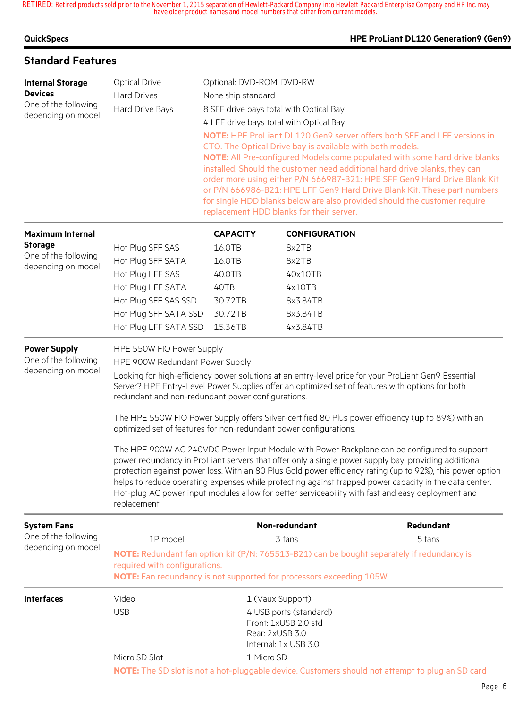### **QuickSpecs HPE ProLiant DL120 Generation9 (Gen9)**

**Standard Features**

#### **Internal Storage Devices** One of the following depending on model Optical Drive Optional: DVD-ROM, DVD-RW Hard Drives None ship standard Hard Drive Bays 8 SFF drive bays total with Optical Bay 4 LFF drive bays total with Optical Bay **NOTE:** HPE ProLiant DL120 Gen9 server offers both SFF and LFF versions in CTO. The Optical Drive bay is available with both models. **NOTE:** All Pre-configured Models come populated with some hard drive blanks installed. Should the customer need additional hard drive blanks, they can order more using either P/N 666987-B21: HPE SFF Gen9 Hard Drive Blank Kit or P/N 666986-B21: HPE LFF Gen9 Hard Drive Blank Kit. These part numbers for single HDD blanks below are also provided should the customer require replacement HDD blanks for their server. **Maximum Internal Storage** One of the following depending on model **CAPACITY CONFIGURATION** Hot Plug SFF SAS 16.0TB 8x2TB Hot Plug SFF SATA 16.0TB 8x2TB Hot Plug LFF SAS 40.0TB 40x10TB Hot Plug LFF SATA 40TB 4x10TB Hot Plug SFF SAS SSD 30.72TB 8x3.84TB Hot Plug SFF SATA SSD 30.72TB 8x3.84TB Hot Plug LFF SATA SSD 15.36TB 4x3.84TB **Power Supply** One of the following depending on model HPE 550W FIO Power Supply HPE 900W Redundant Power Supply Looking for high-efficiency power solutions at an entry-level price for your ProLiant Gen9 Essential Server? HPE Entry-Level Power Supplies offer an optimized set of features with options for both redundant and non-redundant power configurations. The HPE 550W FIO Power Supply offers Silver-certified 80 Plus power efficiency (up to 89%) with an optimized set of features for non-redundant power configurations. The HPE 900W AC 240VDC Power Input Module with Power Backplane can be configured to support power redundancy in ProLiant servers that offer only a single power supply bay, providing additional protection against power loss. With an 80 Plus Gold power efficiency rating (up to 92%), this power option helps to reduce operating expenses while protecting against trapped power capacity in the data center. Hot-plug AC power input modules allow for better serviceability with fast and easy deployment and replacement. **System Fans** One of the following depending on model **Non-redundant Redundant** 1P model 3 fans 3 fans 5 fans **NOTE:** Redundant fan option kit (P/N: 765513-B21) can be bought separately if redundancy is required with configurations. **NOTE:** Fan redundancy is not supported for processors exceeding 105W. **Interfaces** Video 1 (Vaux Support) USB 4 USB ports (standard) Front: 1xUSB 2.0 std Rear: 2xUSB 3.0

Micro SD Slot 1 Micro SD **NOTE:** The SD slot is not a hot-pluggable device. Customers should not attempt to plug an SD card

Internal: 1x USB 3.0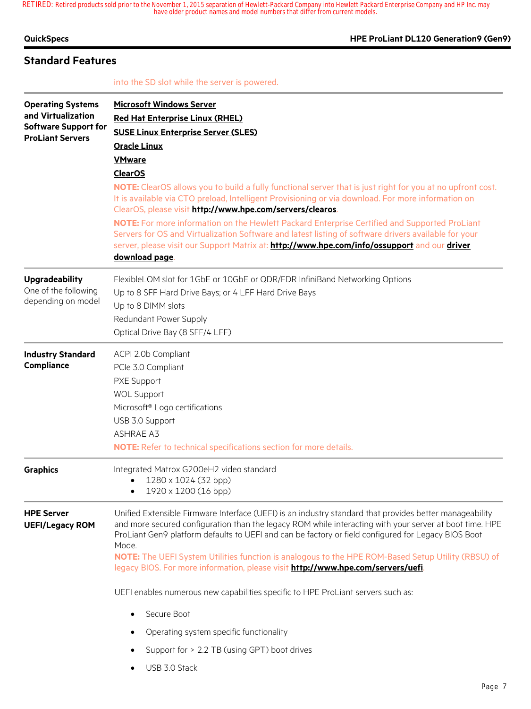### **QuickSpecs HPE ProLiant DL120 Generation9 (Gen9)**

# **Standard Features**

into the SD slot while the server is powered.

| <b>Operating Systems</b><br>and Virtualization<br><b>Software Support for</b><br><b>ProLiant Servers</b> | <b>Microsoft Windows Server</b><br><b>Red Hat Enterprise Linux (RHEL)</b><br><b>SUSE Linux Enterprise Server (SLES)</b><br><b>Oracle Linux</b><br><b>VMware</b><br><b>ClearOS</b><br>NOTE: ClearOS allows you to build a fully functional server that is just right for you at no upfront cost.<br>It is available via CTO preload, Intelligent Provisioning or via download. For more information on<br>ClearOS, please visit http://www.hpe.com/servers/clearos.<br>NOTE: For more information on the Hewlett Packard Enterprise Certified and Supported ProLiant<br>Servers for OS and Virtualization Software and latest listing of software drivers available for your<br>server, please visit our Support Matrix at: http://www.hpe.com/info/ossupport and our driver<br>download page. |
|----------------------------------------------------------------------------------------------------------|-----------------------------------------------------------------------------------------------------------------------------------------------------------------------------------------------------------------------------------------------------------------------------------------------------------------------------------------------------------------------------------------------------------------------------------------------------------------------------------------------------------------------------------------------------------------------------------------------------------------------------------------------------------------------------------------------------------------------------------------------------------------------------------------------|
| <b>Upgradeability</b><br>One of the following<br>depending on model                                      | FlexibleLOM slot for 1GbE or 10GbE or QDR/FDR InfiniBand Networking Options<br>Up to 8 SFF Hard Drive Bays; or 4 LFF Hard Drive Bays<br>Up to 8 DIMM slots<br>Redundant Power Supply<br>Optical Drive Bay (8 SFF/4 LFF)                                                                                                                                                                                                                                                                                                                                                                                                                                                                                                                                                                       |
| <b>Industry Standard</b><br>Compliance                                                                   | ACPI 2.0b Compliant<br>PCIe 3.0 Compliant<br>PXE Support<br><b>WOL Support</b><br>Microsoft <sup>®</sup> Logo certifications<br>USB 3.0 Support<br><b>ASHRAE A3</b><br>NOTE: Refer to technical specifications section for more details.                                                                                                                                                                                                                                                                                                                                                                                                                                                                                                                                                      |
| <b>Graphics</b>                                                                                          | Integrated Matrox G200eH2 video standard<br>1280 x 1024 (32 bpp)<br>1920 x 1200 (16 bpp)<br>$\bullet$                                                                                                                                                                                                                                                                                                                                                                                                                                                                                                                                                                                                                                                                                         |
| <b>HPE Server</b><br><b>UEFI/Legacy ROM</b>                                                              | Unified Extensible Firmware Interface (UEFI) is an industry standard that provides better manageability<br>and more secured configuration than the legacy ROM while interacting with your server at boot time. HPE<br>ProLiant Gen9 platform defaults to UEFI and can be factory or field configured for Legacy BIOS Boot<br>Mode.<br>NOTE: The UEFI System Utilities function is analogous to the HPE ROM-Based Setup Utility (RBSU) of<br>legacy BIOS. For more information, please visit http://www.hpe.com/servers/uefi<br>UEFI enables numerous new capabilities specific to HPE ProLiant servers such as:<br>Secure Boot<br>Operating system specific functionality<br>Support for > 2.2 TB (using GPT) boot drives<br>USB 3.0 Stack                                                    |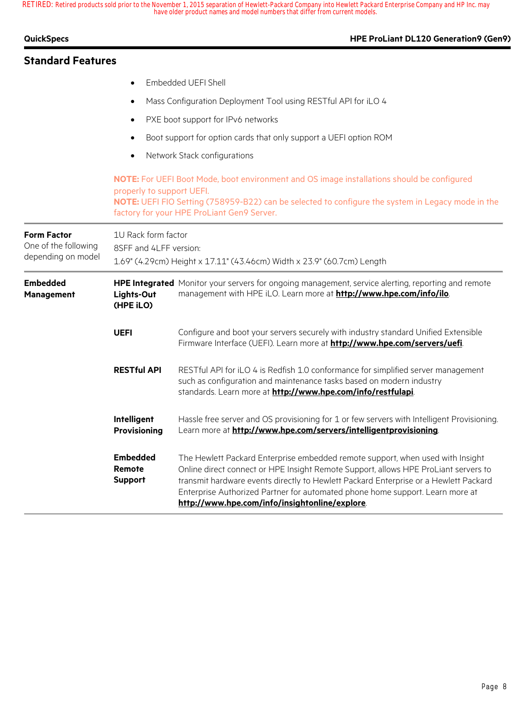**QuickSpecs HPE ProLiant DL120 Generation9 (Gen9)**

 $\equiv$ 

# **Standard Features**

|                                                                  | Embedded UEFI Shell<br>$\bullet$<br>Mass Configuration Deployment Tool using RESTful API for iLO 4                                                                                                   |                                                                                                                                                                                                                                                                                                                                                                                                  |  |  |  |
|------------------------------------------------------------------|------------------------------------------------------------------------------------------------------------------------------------------------------------------------------------------------------|--------------------------------------------------------------------------------------------------------------------------------------------------------------------------------------------------------------------------------------------------------------------------------------------------------------------------------------------------------------------------------------------------|--|--|--|
|                                                                  |                                                                                                                                                                                                      |                                                                                                                                                                                                                                                                                                                                                                                                  |  |  |  |
|                                                                  | $\bullet$                                                                                                                                                                                            | PXE boot support for IPv6 networks                                                                                                                                                                                                                                                                                                                                                               |  |  |  |
|                                                                  | ٠                                                                                                                                                                                                    | Boot support for option cards that only support a UEFI option ROM                                                                                                                                                                                                                                                                                                                                |  |  |  |
|                                                                  | $\bullet$                                                                                                                                                                                            | Network Stack configurations                                                                                                                                                                                                                                                                                                                                                                     |  |  |  |
|                                                                  | properly to support UEFI.                                                                                                                                                                            | <b>NOTE:</b> For UEFI Boot Mode, boot environment and OS image installations should be configured<br>NOTE: UEFI FIO Setting (758959-B22) can be selected to configure the system in Legacy mode in the<br>factory for your HPE ProLiant Gen9 Server.                                                                                                                                             |  |  |  |
| <b>Form Factor</b><br>One of the following<br>depending on model | 1U Rack form factor<br>8SFF and 4LFF version:<br>1.69" (4.29cm) Height x 17.11" (43.46cm) Width x 23.9" (60.7cm) Length                                                                              |                                                                                                                                                                                                                                                                                                                                                                                                  |  |  |  |
| <b>Embedded</b><br>Management                                    | HPE Integrated Monitor your servers for ongoing management, service alerting, reporting and remote<br>management with HPE iLO. Learn more at http://www.hpe.com/info/ilo.<br>Lights-Out<br>(HPE iLO) |                                                                                                                                                                                                                                                                                                                                                                                                  |  |  |  |
|                                                                  | <b>UEFI</b>                                                                                                                                                                                          | Configure and boot your servers securely with industry standard Unified Extensible<br>Firmware Interface (UEFI). Learn more at http://www.hpe.com/servers/uefi.                                                                                                                                                                                                                                  |  |  |  |
|                                                                  | <b>RESTful API</b>                                                                                                                                                                                   | RESTful API for iLO 4 is Redfish 1.0 conformance for simplified server management<br>such as configuration and maintenance tasks based on modern industry<br>standards. Learn more at http://www.hpe.com/info/restfulapi.                                                                                                                                                                        |  |  |  |
|                                                                  | Intelligent<br><b>Provisioning</b>                                                                                                                                                                   | Hassle free server and OS provisioning for 1 or few servers with Intelligent Provisioning.<br>Learn more at http://www.hpe.com/servers/intelligentprovisioning.                                                                                                                                                                                                                                  |  |  |  |
|                                                                  | <b>Embedded</b><br>Remote<br><b>Support</b>                                                                                                                                                          | The Hewlett Packard Enterprise embedded remote support, when used with Insight<br>Online direct connect or HPE Insight Remote Support, allows HPE ProLiant servers to<br>transmit hardware events directly to Hewlett Packard Enterprise or a Hewlett Packard<br>Enterprise Authorized Partner for automated phone home support. Learn more at<br>http://www.hpe.com/info/insightonline/explore. |  |  |  |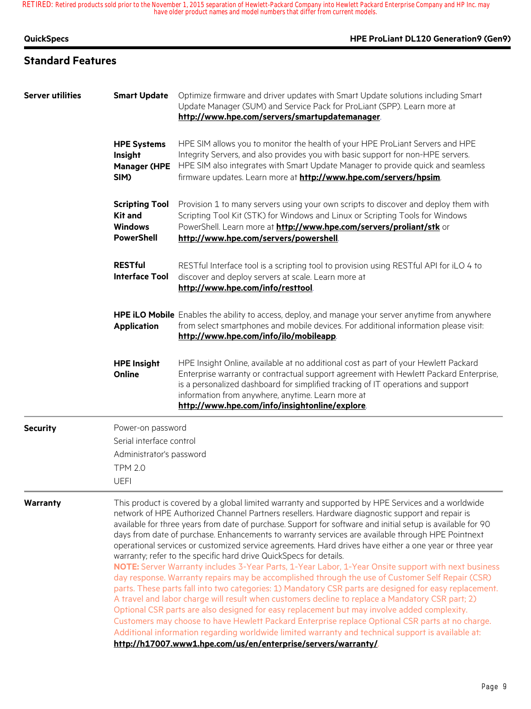| QuickSpecs               |                                                                                                            | HPE ProLiant DL120 Generation9 (Gen9)                                                                                                                                                                                                                                                                                                                                                                                                                                                                                                                                                                                                                                                                                                                                                                                                                                                                                                                                                                                                                                                                                                                                                                                                                                                                                                                                                                         |
|--------------------------|------------------------------------------------------------------------------------------------------------|---------------------------------------------------------------------------------------------------------------------------------------------------------------------------------------------------------------------------------------------------------------------------------------------------------------------------------------------------------------------------------------------------------------------------------------------------------------------------------------------------------------------------------------------------------------------------------------------------------------------------------------------------------------------------------------------------------------------------------------------------------------------------------------------------------------------------------------------------------------------------------------------------------------------------------------------------------------------------------------------------------------------------------------------------------------------------------------------------------------------------------------------------------------------------------------------------------------------------------------------------------------------------------------------------------------------------------------------------------------------------------------------------------------|
| <b>Standard Features</b> |                                                                                                            |                                                                                                                                                                                                                                                                                                                                                                                                                                                                                                                                                                                                                                                                                                                                                                                                                                                                                                                                                                                                                                                                                                                                                                                                                                                                                                                                                                                                               |
| <b>Server utilities</b>  | <b>Smart Update</b>                                                                                        | Optimize firmware and driver updates with Smart Update solutions including Smart<br>Update Manager (SUM) and Service Pack for ProLiant (SPP). Learn more at<br>http://www.hpe.com/servers/smartupdatemanager                                                                                                                                                                                                                                                                                                                                                                                                                                                                                                                                                                                                                                                                                                                                                                                                                                                                                                                                                                                                                                                                                                                                                                                                  |
|                          | <b>HPE Systems</b><br>Insight<br><b>Manager (HPE</b><br>SIM)                                               | HPE SIM allows you to monitor the health of your HPE ProLiant Servers and HPE<br>Integrity Servers, and also provides you with basic support for non-HPE servers.<br>HPE SIM also integrates with Smart Update Manager to provide quick and seamless<br>firmware updates. Learn more at <b>http://www.hpe.com/servers/hpsim</b> .                                                                                                                                                                                                                                                                                                                                                                                                                                                                                                                                                                                                                                                                                                                                                                                                                                                                                                                                                                                                                                                                             |
|                          | <b>Scripting Tool</b><br><b>Kit and</b><br><b>Windows</b><br><b>PowerShell</b>                             | Provision 1 to many servers using your own scripts to discover and deploy them with<br>Scripting Tool Kit (STK) for Windows and Linux or Scripting Tools for Windows<br>PowerShell. Learn more at <b>http://www.hpe.com/servers/proliant/stk</b> or<br>http://www.hpe.com/servers/powershell                                                                                                                                                                                                                                                                                                                                                                                                                                                                                                                                                                                                                                                                                                                                                                                                                                                                                                                                                                                                                                                                                                                  |
|                          | <b>RESTful</b><br><b>Interface Tool</b>                                                                    | RESTful Interface tool is a scripting tool to provision using RESTful API for iLO 4 to<br>discover and deploy servers at scale. Learn more at<br>http://www.hpe.com/info/resttool                                                                                                                                                                                                                                                                                                                                                                                                                                                                                                                                                                                                                                                                                                                                                                                                                                                                                                                                                                                                                                                                                                                                                                                                                             |
|                          | <b>Application</b>                                                                                         | HPE iLO Mobile Enables the ability to access, deploy, and manage your server anytime from anywhere<br>from select smartphones and mobile devices. For additional information please visit:<br>http://www.hpe.com/info/ilo/mobileapp                                                                                                                                                                                                                                                                                                                                                                                                                                                                                                                                                                                                                                                                                                                                                                                                                                                                                                                                                                                                                                                                                                                                                                           |
|                          | <b>HPE Insight</b><br>Online                                                                               | HPE Insight Online, available at no additional cost as part of your Hewlett Packard<br>Enterprise warranty or contractual support agreement with Hewlett Packard Enterprise,<br>is a personalized dashboard for simplified tracking of IT operations and support<br>information from anywhere, anytime. Learn more at<br>http://www.hpe.com/info/insightonline/explore.                                                                                                                                                                                                                                                                                                                                                                                                                                                                                                                                                                                                                                                                                                                                                                                                                                                                                                                                                                                                                                       |
| <b>Security</b>          | Power-on password<br>Serial interface control<br>Administrator's password<br><b>TPM 2.0</b><br><b>UEFI</b> |                                                                                                                                                                                                                                                                                                                                                                                                                                                                                                                                                                                                                                                                                                                                                                                                                                                                                                                                                                                                                                                                                                                                                                                                                                                                                                                                                                                                               |
| Warranty                 |                                                                                                            | This product is covered by a global limited warranty and supported by HPE Services and a worldwide<br>network of HPE Authorized Channel Partners resellers. Hardware diagnostic support and repair is<br>available for three years from date of purchase. Support for software and initial setup is available for 90<br>days from date of purchase. Enhancements to warranty services are available through HPE Pointnext<br>operational services or customized service agreements. Hard drives have either a one year or three year<br>warranty; refer to the specific hard drive QuickSpecs for details.<br>NOTE: Server Warranty includes 3-Year Parts, 1-Year Labor, 1-Year Onsite support with next business<br>day response. Warranty repairs may be accomplished through the use of Customer Self Repair (CSR)<br>parts. These parts fall into two categories: 1) Mandatory CSR parts are designed for easy replacement.<br>A travel and labor charge will result when customers decline to replace a Mandatory CSR part; 2)<br>Optional CSR parts are also designed for easy replacement but may involve added complexity.<br>Customers may choose to have Hewlett Packard Enterprise replace Optional CSR parts at no charge.<br>Additional information regarding worldwide limited warranty and technical support is available at:<br>http://h17007.www1.hpe.com/us/en/enterprise/servers/warranty/ |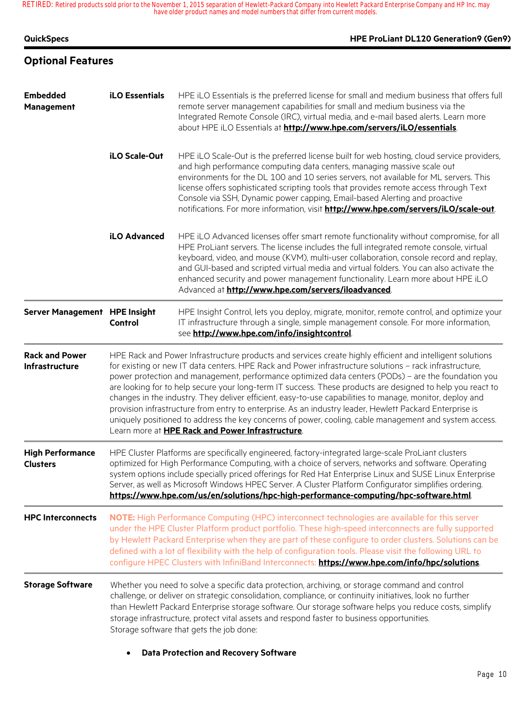| <b>QuickSpecs</b>                          |                                                                                                                                                                                                                                                                                                                                                                                                                                                                                                                                                                                                                                                                                                                                                                                                                                | HPE ProLiant DL120 Generation9 (Gen9)                                                                                                                                                                                                                                                                                                                                                                                                                                                                                            |  |
|--------------------------------------------|--------------------------------------------------------------------------------------------------------------------------------------------------------------------------------------------------------------------------------------------------------------------------------------------------------------------------------------------------------------------------------------------------------------------------------------------------------------------------------------------------------------------------------------------------------------------------------------------------------------------------------------------------------------------------------------------------------------------------------------------------------------------------------------------------------------------------------|----------------------------------------------------------------------------------------------------------------------------------------------------------------------------------------------------------------------------------------------------------------------------------------------------------------------------------------------------------------------------------------------------------------------------------------------------------------------------------------------------------------------------------|--|
| <b>Optional Features</b>                   |                                                                                                                                                                                                                                                                                                                                                                                                                                                                                                                                                                                                                                                                                                                                                                                                                                |                                                                                                                                                                                                                                                                                                                                                                                                                                                                                                                                  |  |
| <b>Embedded</b><br>Management              | <b>iLO Essentials</b>                                                                                                                                                                                                                                                                                                                                                                                                                                                                                                                                                                                                                                                                                                                                                                                                          | HPE iLO Essentials is the preferred license for small and medium business that offers full<br>remote server management capabilities for small and medium business via the<br>Integrated Remote Console (IRC), virtual media, and e-mail based alerts. Learn more<br>about HPE iLO Essentials at http://www.hpe.com/servers/iLO/essentials.                                                                                                                                                                                       |  |
|                                            | iLO Scale-Out                                                                                                                                                                                                                                                                                                                                                                                                                                                                                                                                                                                                                                                                                                                                                                                                                  | HPE iLO Scale-Out is the preferred license built for web hosting, cloud service providers,<br>and high performance computing data centers, managing massive scale out<br>environments for the DL 100 and 10 series servers, not available for ML servers. This<br>license offers sophisticated scripting tools that provides remote access through Text<br>Console via SSH, Dynamic power capping, Email-based Alerting and proactive<br>notifications. For more information, visit http://www.hpe.com/servers/iLO/scale-out     |  |
|                                            | iLO Advanced                                                                                                                                                                                                                                                                                                                                                                                                                                                                                                                                                                                                                                                                                                                                                                                                                   | HPE iLO Advanced licenses offer smart remote functionality without compromise, for all<br>HPE ProLiant servers. The license includes the full integrated remote console, virtual<br>keyboard, video, and mouse (KVM), multi-user collaboration, console record and replay,<br>and GUI-based and scripted virtual media and virtual folders. You can also activate the<br>enhanced security and power management functionality. Learn more about HPE iLO<br>Advanced at http://www.hpe.com/servers/iloadvanced.                   |  |
| Server Management HPE Insight              | Control                                                                                                                                                                                                                                                                                                                                                                                                                                                                                                                                                                                                                                                                                                                                                                                                                        | HPE Insight Control, lets you deploy, migrate, monitor, remote control, and optimize your<br>IT infrastructure through a single, simple management console. For more information,<br>see http://www.hpe.com/info/insightcontrol.                                                                                                                                                                                                                                                                                                 |  |
| <b>Rack and Power</b><br>Infrastructure    | HPE Rack and Power Infrastructure products and services create highly efficient and intelligent solutions<br>for existing or new IT data centers. HPE Rack and Power infrastructure solutions - rack infrastructure,<br>power protection and management, performance optimized data centers (PODs) - are the foundation you<br>are looking for to help secure your long-term IT success. These products are designed to help you react to<br>changes in the industry. They deliver efficient, easy-to-use capabilities to manage, monitor, deploy and<br>provision infrastructure from entry to enterprise. As an industry leader, Hewlett Packard Enterprise is<br>uniquely positioned to address the key concerns of power, cooling, cable management and system access.<br>Learn more at HPE Rack and Power Infrastructure. |                                                                                                                                                                                                                                                                                                                                                                                                                                                                                                                                  |  |
| <b>High Performance</b><br><b>Clusters</b> |                                                                                                                                                                                                                                                                                                                                                                                                                                                                                                                                                                                                                                                                                                                                                                                                                                | HPE Cluster Platforms are specifically engineered, factory-integrated large-scale ProLiant clusters<br>optimized for High Performance Computing, with a choice of servers, networks and software. Operating<br>system options include specially priced offerings for Red Hat Enterprise Linux and SUSE Linux Enterprise<br>Server, as well as Microsoft Windows HPEC Server. A Cluster Platform Configurator simplifies ordering.<br>https://www.hpe.com/us/en/solutions/hpc-high-performance-computing/hpc-software.html        |  |
| <b>HPC Interconnects</b>                   |                                                                                                                                                                                                                                                                                                                                                                                                                                                                                                                                                                                                                                                                                                                                                                                                                                | NOTE: High Performance Computing (HPC) interconnect technologies are available for this server<br>under the HPE Cluster Platform product portfolio. These high-speed interconnects are fully supported<br>by Hewlett Packard Enterprise when they are part of these configure to order clusters. Solutions can be<br>defined with a lot of flexibility with the help of configuration tools. Please visit the following URL to<br>configure HPEC Clusters with InfiniBand Interconnects: https://www.hpe.com/info/hpc/solutions. |  |
| <b>Storage Software</b>                    |                                                                                                                                                                                                                                                                                                                                                                                                                                                                                                                                                                                                                                                                                                                                                                                                                                | Whether you need to solve a specific data protection, archiving, or storage command and control<br>challenge, or deliver on strategic consolidation, compliance, or continuity initiatives, look no further<br>than Hewlett Packard Enterprise storage software. Our storage software helps you reduce costs, simplify<br>storage infrastructure, protect vital assets and respond faster to business opportunities.<br>Storage software that gets the job done:                                                                 |  |

• **Data Protection and Recovery Software**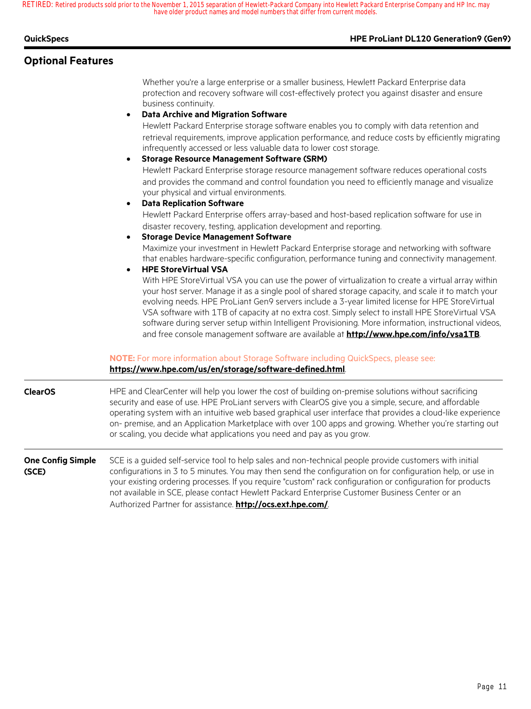### **QuickSpecs HPE ProLiant DL120 Generation9 (Gen9)**

# **Optional Features**

Whether you're a large enterprise or a smaller business, Hewlett Packard Enterprise data protection and recovery software will cost-effectively protect you against disaster and ensure business continuity.

#### • **Data Archive and Migration Software**

Hewlett Packard Enterprise storage software enables you to comply with data retention and retrieval requirements, improve application performance, and reduce costs by efficiently migrating infrequently accessed or less valuable data to lower cost storage.

- **Storage Resource Management Software (SRM)** Hewlett Packard Enterprise storage resource management software reduces operational costs and provides the command and control foundation you need to efficiently manage and visualize your physical and virtual environments.
- **Data Replication Software**

Hewlett Packard Enterprise offers array-based and host-based replication software for use in disaster recovery, testing, application development and reporting.

- **Storage Device Management Software** Maximize your investment in Hewlett Packard Enterprise storage and networking with software that enables hardware-specific configuration, performance tuning and connectivity management.
- **HPE StoreVirtual VSA**

With HPE StoreVirtual VSA you can use the power of virtualization to create a virtual array within your host server. Manage it as a single pool of shared storage capacity, and scale it to match your evolving needs. HPE ProLiant Gen9 servers include a 3-year limited license for HPE StoreVirtual VSA software with 1TB of capacity at no extra cost. Simply select to install HPE StoreVirtual VSA software during server setup within Intelligent Provisioning. More information, instructional videos, and free console management software are available at **http://www.hpe.com/info/vsa1TB**.

# **NOTE:** For more information about Storage Software including QuickSpecs, please see: **https://www.hpe.com/us/en/storage/software-defined.html**.

**ClearOS** HPE and ClearCenter will help you lower the cost of building on-premise solutions without sacrificing security and ease of use. HPE ProLiant servers with ClearOS give you a simple, secure, and affordable operating system with an intuitive web based graphical user interface that provides a cloud-like experience on- premise, and an Application Marketplace with over 100 apps and growing. Whether you're starting out or scaling, you decide what applications you need and pay as you grow.

#### **One Config Simple (SCE)** SCE is a guided self-service tool to help sales and non-technical people provide customers with initial configurations in 3 to 5 minutes. You may then send the configuration on for configuration help, or use in your existing ordering processes. If you require "custom" rack configuration or configuration for products not available in SCE, please contact Hewlett Packard Enterprise Customer Business Center or an Authorized Partner for assistance. **http://ocs.ext.hpe.com/**.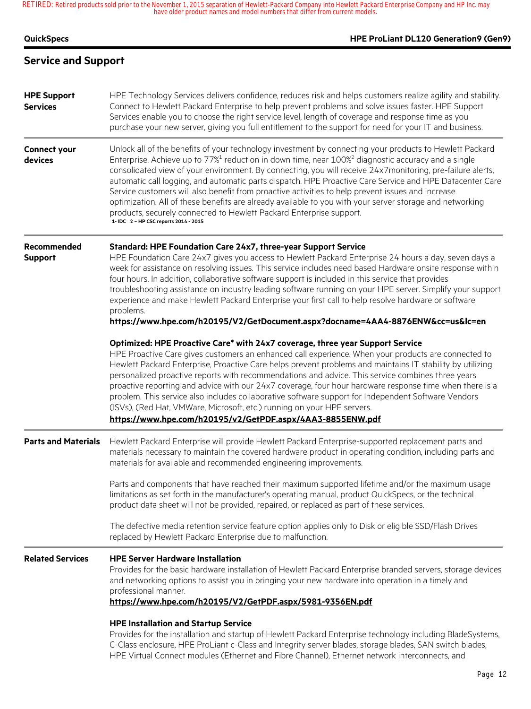| <b>QuickSpecs</b>                     | HPE ProLiant DL120 Generation9 (Gen9)                                                                                                                                                                                                                                                                                                                                                                                                                                                                                                                                                                                                                                                                                                                                                                                                                                                                                                                                                                                                                                                                                                                                                                                                                                                                                                                                                                                                                                                    |
|---------------------------------------|------------------------------------------------------------------------------------------------------------------------------------------------------------------------------------------------------------------------------------------------------------------------------------------------------------------------------------------------------------------------------------------------------------------------------------------------------------------------------------------------------------------------------------------------------------------------------------------------------------------------------------------------------------------------------------------------------------------------------------------------------------------------------------------------------------------------------------------------------------------------------------------------------------------------------------------------------------------------------------------------------------------------------------------------------------------------------------------------------------------------------------------------------------------------------------------------------------------------------------------------------------------------------------------------------------------------------------------------------------------------------------------------------------------------------------------------------------------------------------------|
| <b>Service and Support</b>            |                                                                                                                                                                                                                                                                                                                                                                                                                                                                                                                                                                                                                                                                                                                                                                                                                                                                                                                                                                                                                                                                                                                                                                                                                                                                                                                                                                                                                                                                                          |
| <b>HPE Support</b><br><b>Services</b> | HPE Technology Services delivers confidence, reduces risk and helps customers realize agility and stability.<br>Connect to Hewlett Packard Enterprise to help prevent problems and solve issues faster. HPE Support<br>Services enable you to choose the right service level, length of coverage and response time as you<br>purchase your new server, giving you full entitlement to the support for need for your IT and business.                                                                                                                                                                                                                                                                                                                                                                                                                                                                                                                                                                                                                                                                                                                                                                                                                                                                                                                                                                                                                                                     |
| <b>Connect your</b><br>devices        | Unlock all of the benefits of your technology investment by connecting your products to Hewlett Packard<br>Enterprise. Achieve up to 77% <sup>1</sup> reduction in down time, near 100% <sup>2</sup> diagnostic accuracy and a single<br>consolidated view of your environment. By connecting, you will receive 24x7monitoring, pre-failure alerts,<br>automatic call logging, and automatic parts dispatch. HPE Proactive Care Service and HPE Datacenter Care<br>Service customers will also benefit from proactive activities to help prevent issues and increase<br>optimization. All of these benefits are already available to you with your server storage and networking<br>products, securely connected to Hewlett Packard Enterprise support.<br>1- IDC 2 - HP CSC reports 2014 - 2015                                                                                                                                                                                                                                                                                                                                                                                                                                                                                                                                                                                                                                                                                         |
| Recommended<br><b>Support</b>         | <b>Standard: HPE Foundation Care 24x7, three-year Support Service</b><br>HPE Foundation Care 24x7 gives you access to Hewlett Packard Enterprise 24 hours a day, seven days a<br>week for assistance on resolving issues. This service includes need based Hardware onsite response within<br>four hours. In addition, collaborative software support is included in this service that provides<br>troubleshooting assistance on industry leading software running on your HPE server. Simplify your support<br>experience and make Hewlett Packard Enterprise your first call to help resolve hardware or software<br>problems.<br>https://www.hpe.com/h20195/V2/GetDocument.aspx?docname=4AA4-8876ENW&cc=us&lc=en<br>Optimized: HPE Proactive Care* with 24x7 coverage, three year Support Service<br>HPE Proactive Care gives customers an enhanced call experience. When your products are connected to<br>Hewlett Packard Enterprise, Proactive Care helps prevent problems and maintains IT stability by utilizing<br>personalized proactive reports with recommendations and advice. This service combines three years<br>proactive reporting and advice with our 24x7 coverage, four hour hardware response time when there is a<br>problem. This service also includes collaborative software support for Independent Software Vendors<br>(ISVs), (Red Hat, VMWare, Microsoft, etc.) running on your HPE servers.<br>https://www.hpe.com/h20195/v2/GetPDF.aspx/4AA3-8855ENW.pdf |
| <b>Parts and Materials</b>            | Hewlett Packard Enterprise will provide Hewlett Packard Enterprise-supported replacement parts and<br>materials necessary to maintain the covered hardware product in operating condition, including parts and<br>materials for available and recommended engineering improvements.<br>Parts and components that have reached their maximum supported lifetime and/or the maximum usage<br>limitations as set forth in the manufacturer's operating manual, product QuickSpecs, or the technical<br>product data sheet will not be provided, repaired, or replaced as part of these services.<br>The defective media retention service feature option applies only to Disk or eligible SSD/Flash Drives<br>replaced by Hewlett Packard Enterprise due to malfunction.                                                                                                                                                                                                                                                                                                                                                                                                                                                                                                                                                                                                                                                                                                                    |
| <b>Related Services</b>               | <b>HPE Server Hardware Installation</b><br>Provides for the basic hardware installation of Hewlett Packard Enterprise branded servers, storage devices<br>and networking options to assist you in bringing your new hardware into operation in a timely and<br>professional manner.<br>https://www.hpe.com/h20195/V2/GetPDF.aspx/5981-9356EN.pdf                                                                                                                                                                                                                                                                                                                                                                                                                                                                                                                                                                                                                                                                                                                                                                                                                                                                                                                                                                                                                                                                                                                                         |
|                                       | <b>HPE Installation and Startup Service</b><br>Provides for the installation and startup of Hewlett Packard Enterprise technology including BladeSystems,<br>C-Class enclosure, HPE ProLiant c-Class and Integrity server blades, storage blades, SAN switch blades,<br>HPE Virtual Connect modules (Ethernet and Fibre Channel), Ethernet network interconnects, and                                                                                                                                                                                                                                                                                                                                                                                                                                                                                                                                                                                                                                                                                                                                                                                                                                                                                                                                                                                                                                                                                                                    |
|                                       | Page 12                                                                                                                                                                                                                                                                                                                                                                                                                                                                                                                                                                                                                                                                                                                                                                                                                                                                                                                                                                                                                                                                                                                                                                                                                                                                                                                                                                                                                                                                                  |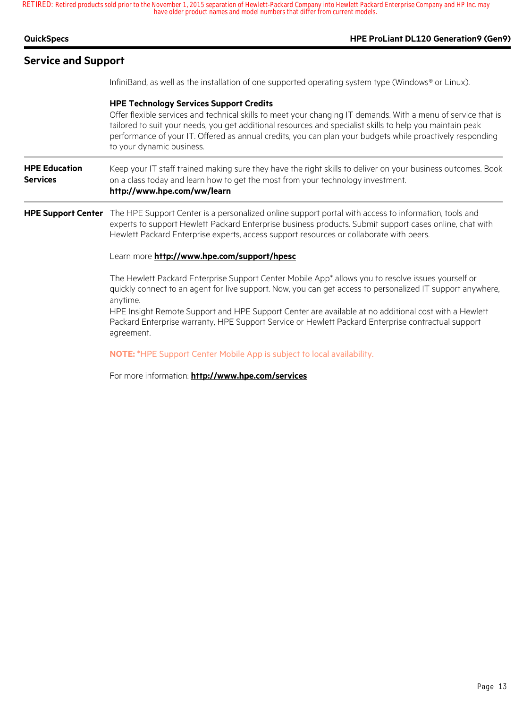| <b>QuickSpecs</b>                       | HPE ProLiant DL120 Generation9 (Gen9)                                                                                                                                                                                                                                                                                                                                                                                  |
|-----------------------------------------|------------------------------------------------------------------------------------------------------------------------------------------------------------------------------------------------------------------------------------------------------------------------------------------------------------------------------------------------------------------------------------------------------------------------|
| <b>Service and Support</b>              |                                                                                                                                                                                                                                                                                                                                                                                                                        |
|                                         | InfiniBand, as well as the installation of one supported operating system type (Windows® or Linux).                                                                                                                                                                                                                                                                                                                    |
|                                         | <b>HPE Technology Services Support Credits</b><br>Offer flexible services and technical skills to meet your changing IT demands. With a menu of service that is<br>tailored to suit your needs, you get additional resources and specialist skills to help you maintain peak<br>performance of your IT. Offered as annual credits, you can plan your budgets while proactively responding<br>to your dynamic business. |
| <b>HPE Education</b><br><b>Services</b> | Keep your IT staff trained making sure they have the right skills to deliver on your business outcomes. Book<br>on a class today and learn how to get the most from your technology investment.<br>http://www.hpe.com/ww/learn                                                                                                                                                                                         |
| <b>HPE Support Center</b>               | The HPE Support Center is a personalized online support portal with access to information, tools and<br>experts to support Hewlett Packard Enterprise business products. Submit support cases online, chat with<br>Hewlett Packard Enterprise experts, access support resources or collaborate with peers.                                                                                                             |
|                                         | Learn more http://www.hpe.com/support/hpesc                                                                                                                                                                                                                                                                                                                                                                            |
|                                         | The Hewlett Packard Enterprise Support Center Mobile App* allows you to resolve issues yourself or<br>quickly connect to an agent for live support. Now, you can get access to personalized IT support anywhere,<br>anytime.                                                                                                                                                                                           |
|                                         | HPE Insight Remote Support and HPE Support Center are available at no additional cost with a Hewlett<br>Packard Enterprise warranty, HPE Support Service or Hewlett Packard Enterprise contractual support<br>agreement.                                                                                                                                                                                               |
|                                         | <b>NOTE:</b> *HPE Support Center Mobile App is subject to local availability.                                                                                                                                                                                                                                                                                                                                          |
|                                         | For more information: http://www.hpe.com/services                                                                                                                                                                                                                                                                                                                                                                      |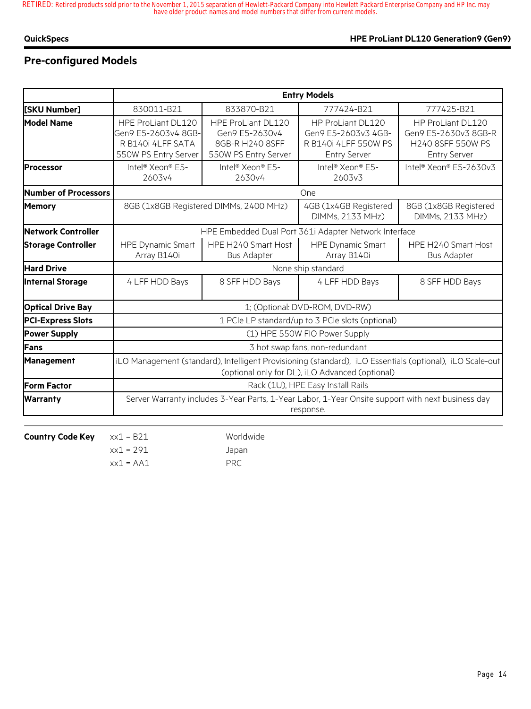### **QuickSpecs HPE ProLiant DL120 Generation9 (Gen9)**

# **Pre-configured Models**

|                             | <b>Entry Models</b>                                                                                                                                         |                                                                                 |                                                                                         |                                                                                       |
|-----------------------------|-------------------------------------------------------------------------------------------------------------------------------------------------------------|---------------------------------------------------------------------------------|-----------------------------------------------------------------------------------------|---------------------------------------------------------------------------------------|
| [SKU Number]                | 830011-B21                                                                                                                                                  | 833870-B21                                                                      | 777424-B21                                                                              | 777425-B21                                                                            |
| <b>Model Name</b>           | HPE ProLiant DL120<br>Gen9 E5-2603v4 8GB-<br>R B140i 4LFF SATA<br>550W PS Entry Server                                                                      | HPE ProLiant DL120<br>Gen9 E5-2630v4<br>8GB-R H240 8SFF<br>550W PS Entry Server | HP ProLiant DL120<br>Gen9 E5-2603v3 4GB-<br>R B140i 4LFF 550W PS<br><b>Entry Server</b> | HP ProLiant DL120<br>Gen9 E5-2630v3 8GB-R<br>H240 8SFF 550W PS<br><b>Entry Server</b> |
| <b>Processor</b>            | Intel <sup>®</sup> Xeon <sup>®</sup> E5-<br>2603v4                                                                                                          | Intel <sup>®</sup> Xeon <sup>®</sup> E5-<br>2630v4                              | Intel <sup>®</sup> Xeon® E5-<br>2603v3                                                  | Intel <sup>®</sup> Xeon® E5-2630v3                                                    |
| <b>Number of Processors</b> |                                                                                                                                                             |                                                                                 | <b>One</b>                                                                              |                                                                                       |
| <b>Memory</b>               |                                                                                                                                                             | 8GB (1x8GB Registered DIMMs, 2400 MHz)                                          | 4GB (1x4GB Registered<br>DIMMs, 2133 MHz)                                               | 8GB (1x8GB Registered<br>DIMMs, 2133 MHz)                                             |
| Network Controller          | HPE Embedded Dual Port 361i Adapter Network Interface                                                                                                       |                                                                                 |                                                                                         |                                                                                       |
| <b>Storage Controller</b>   | <b>HPE Dynamic Smart</b><br>Array B140i                                                                                                                     | HPE H240 Smart Host<br><b>Bus Adapter</b>                                       | <b>HPE Dynamic Smart</b><br>Array B140i                                                 | HPE H240 Smart Host<br><b>Bus Adapter</b>                                             |
| <b>Hard Drive</b>           |                                                                                                                                                             |                                                                                 | None ship standard                                                                      |                                                                                       |
| <b>Internal Storage</b>     | 4 LFF HDD Bays                                                                                                                                              | 8 SFF HDD Bays                                                                  | 4 LFF HDD Bays                                                                          | 8 SFF HDD Bays                                                                        |
| <b>Optical Drive Bay</b>    |                                                                                                                                                             |                                                                                 | 1; (Optional: DVD-ROM, DVD-RW)                                                          |                                                                                       |
| <b>PCI-Express Slots</b>    |                                                                                                                                                             |                                                                                 | 1 PCIe LP standard/up to 3 PCIe slots (optional)                                        |                                                                                       |
| <b>Power Supply</b>         |                                                                                                                                                             |                                                                                 | (1) HPE 550W FIO Power Supply                                                           |                                                                                       |
| Fans                        |                                                                                                                                                             |                                                                                 | 3 hot swap fans, non-redundant                                                          |                                                                                       |
| <b>Management</b>           | iLO Management (standard), Intelligent Provisioning (standard), iLO Essentials (optional), iLO Scale-out<br>(optional only for DL), iLO Advanced (optional) |                                                                                 |                                                                                         |                                                                                       |
| <b>Form Factor</b>          |                                                                                                                                                             |                                                                                 | Rack (1U), HPE Easy Install Rails                                                       |                                                                                       |
| <b>Warranty</b>             | Server Warranty includes 3-Year Parts, 1-Year Labor, 1-Year Onsite support with next business day<br>response.                                              |                                                                                 |                                                                                         |                                                                                       |

**Country Code Key**  $xx1 = B21$  Worldwide

 $xx1 = 291$  Japan  $xx1 = AA1$  PRC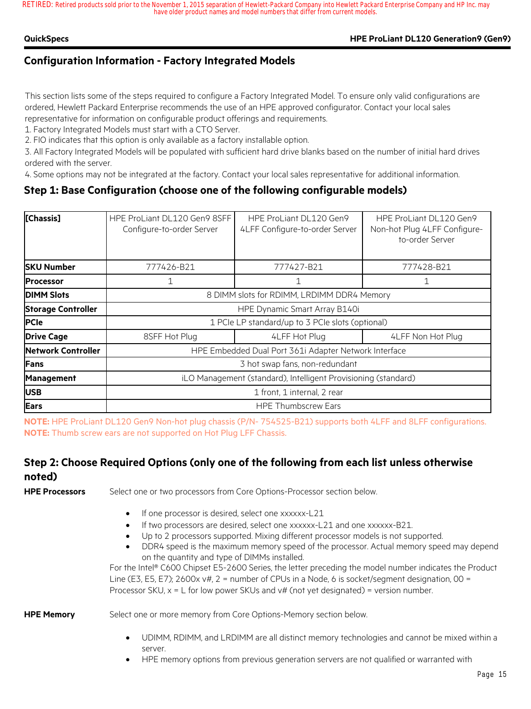### **QuickSpecs HPE ProLiant DL120 Generation9 (Gen9)**

# **Configuration Information - Factory Integrated Models**

This section lists some of the steps required to configure a Factory Integrated Model. To ensure only valid configurations are ordered, Hewlett Packard Enterprise recommends the use of an HPE approved configurator. Contact your local sales

representative for information on configurable product offerings and requirements.

1. Factory Integrated Models must start with a CTO Server.

2. FIO indicates that this option is only available as a factory installable option.

3. All Factory Integrated Models will be populated with sufficient hard drive blanks based on the number of initial hard drives ordered with the server.

4. Some options may not be integrated at the factory. Contact your local sales representative for additional information.

## **Step 1: Base Configuration (choose one of the following configurable models)**

| [Chassis]                 | HPE ProLiant DL120 Gen9 8SFF<br>Configure-to-order Server      | HPE ProLiant DL120 Gen9<br>4LFF Configure-to-order Server | HPE ProLiant DL120 Gen9<br>Non-hot Plug 4LFF Configure-<br>to-order Server |  |  |
|---------------------------|----------------------------------------------------------------|-----------------------------------------------------------|----------------------------------------------------------------------------|--|--|
| <b>SKU Number</b>         | 777426-B21                                                     | 777427-B21                                                | 777428-B21                                                                 |  |  |
| <b>IProcessor</b>         | 1                                                              | 1                                                         | 1                                                                          |  |  |
| <b>DIMM Slots</b>         | 8 DIMM slots for RDIMM, LRDIMM DDR4 Memory                     |                                                           |                                                                            |  |  |
| <b>Storage Controller</b> | HPE Dynamic Smart Array B140i                                  |                                                           |                                                                            |  |  |
| <b>PCIe</b>               | 1 PCIe LP standard/up to 3 PCIe slots (optional)               |                                                           |                                                                            |  |  |
| <b>Drive Cage</b>         | 8SFF Hot Plug<br>4LFF Hot Plug                                 |                                                           | 4LFF Non Hot Plug                                                          |  |  |
| <b>Network Controller</b> | HPE Embedded Dual Port 361i Adapter Network Interface          |                                                           |                                                                            |  |  |
| Fans                      | 3 hot swap fans, non-redundant                                 |                                                           |                                                                            |  |  |
| <b>Management</b>         | iLO Management (standard), Intelligent Provisioning (standard) |                                                           |                                                                            |  |  |
| <b>USB</b>                | 1 front, 1 internal, 2 rear                                    |                                                           |                                                                            |  |  |
| <b>Ears</b>               | <b>HPE Thumbscrew Ears</b>                                     |                                                           |                                                                            |  |  |

**NOTE:** HPE ProLiant DL120 Gen9 Non-hot plug chassis (P/N- 754525-B21) supports both 4LFF and 8LFF configurations. **NOTE:** Thumb screw ears are not supported on Hot Plug LFF Chassis.

# **Step 2: Choose Required Options (only one of the following from each list unless otherwise noted)**

**HPE Processors** Select one or two processors from Core Options-Processor section below.

- If one processor is desired, select one xxxxxx-L21
- If two processors are desired, select one xxxxxx-L21 and one xxxxxx-B21.
- Up to 2 processors supported. Mixing different processor models is not supported.
- DDR4 speed is the maximum memory speed of the processor. Actual memory speed may depend on the quantity and type of DIMMs installed.

For the Intel® C600 Chipset E5-2600 Series, the letter preceding the model number indicates the Product Line (E3, E5, E7); 2600 $x \vee \#$ , 2 = number of CPUs in a Node, 6 is socket/segment designation, 00 = Processor SKU,  $x = L$  for low power SKUs and  $v#$  (not yet designated) = version number.

**HPE Memory** Select one or more memory from Core Options-Memory section below.

- UDIMM, RDIMM, and LRDIMM are all distinct memory technologies and cannot be mixed within a server.
- HPE memory options from previous generation servers are not qualified or warranted with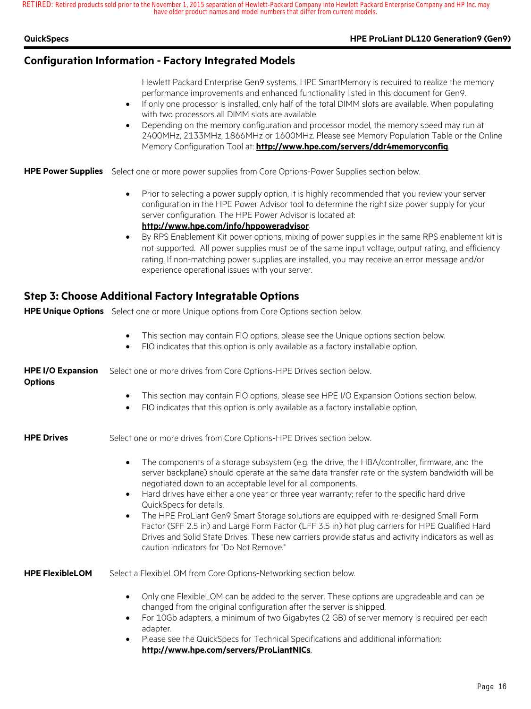|  |  |  | QuickSpecs |
|--|--|--|------------|
|  |  |  |            |

# **Configuration Information - Factory Integrated Models**

- Hewlett Packard Enterprise Gen9 systems. HPE SmartMemory is required to realize the memory performance improvements and enhanced functionality listed in this document for Gen9.
- If only one processor is installed, only half of the total DIMM slots are available. When populating with two processors all DIMM slots are available.
- Depending on the memory configuration and processor model, the memory speed may run at 2400MHz, 2133MHz, 1866MHz or 1600MHz. Please see Memory Population Table or the Online Memory Configuration Tool at: **http://www.hpe.com/servers/ddr4memoryconfig**.

**HPE Power Supplies** Select one or more power supplies from Core Options-Power Supplies section below.

- Prior to selecting a power supply option, it is highly recommended that you review your server configuration in the HPE Power Advisor tool to determine the right size power supply for your server configuration. The HPE Power Advisor is located at: **http://www.hpe.com/info/hppoweradvisor**.
- By RPS Enablement Kit power options, mixing of power supplies in the same RPS enablement kit is not supported. All power supplies must be of the same input voltage, output rating, and efficiency rating. If non-matching power supplies are installed, you may receive an error message and/or experience operational issues with your server.

# **Step 3: Choose Additional Factory Integratable Options**

**HPE Unique Options** Select one or more Unique options from Core Options section below.

|  |  |  | This section may contain FIO options, please see the Unique options section below. |
|--|--|--|------------------------------------------------------------------------------------|
|--|--|--|------------------------------------------------------------------------------------|

• FIO indicates that this option is only available as a factory installable option.

| <b>HPE I/O Expansion</b><br><b>Options</b> | Select one or more drives from Core Options-HPE Drives section below.                                                                                                                                                                                                                                                                                                                                                                                                                                                                                                                                                                                                                                                                                                         |  |  |  |  |
|--------------------------------------------|-------------------------------------------------------------------------------------------------------------------------------------------------------------------------------------------------------------------------------------------------------------------------------------------------------------------------------------------------------------------------------------------------------------------------------------------------------------------------------------------------------------------------------------------------------------------------------------------------------------------------------------------------------------------------------------------------------------------------------------------------------------------------------|--|--|--|--|
|                                            | This section may contain FIO options, please see HPE I/O Expansion Options section below.<br>$\bullet$<br>FIO indicates that this option is only available as a factory installable option.<br>$\bullet$                                                                                                                                                                                                                                                                                                                                                                                                                                                                                                                                                                      |  |  |  |  |
| <b>HPE Drives</b>                          | Select one or more drives from Core Options-HPE Drives section below.                                                                                                                                                                                                                                                                                                                                                                                                                                                                                                                                                                                                                                                                                                         |  |  |  |  |
|                                            | The components of a storage subsystem (e.g. the drive, the HBA/controller, firmware, and the<br>$\bullet$<br>server backplane) should operate at the same data transfer rate or the system bandwidth will be<br>negotiated down to an acceptable level for all components.<br>Hard drives have either a one year or three year warranty; refer to the specific hard drive<br>$\bullet$<br>QuickSpecs for details.<br>The HPE ProLiant Gen9 Smart Storage solutions are equipped with re-designed Small Form<br>$\bullet$<br>Factor (SFF 2.5 in) and Large Form Factor (LFF 3.5 in) hot plug carriers for HPE Qualified Hard<br>Drives and Solid State Drives. These new carriers provide status and activity indicators as well as<br>caution indicators for "Do Not Remove." |  |  |  |  |
| <b>HPE FlexibleLOM</b>                     | Select a FlexibleLOM from Core Options-Networking section below.                                                                                                                                                                                                                                                                                                                                                                                                                                                                                                                                                                                                                                                                                                              |  |  |  |  |
|                                            | Only one FlexibleLOM can be added to the server. These options are upgradeable and can be<br>$\bullet$<br>changed from the original configuration after the server is shipped.<br>For 10Gb adapters, a minimum of two Gigabytes (2 GB) of server memory is required per each<br>adapter.<br>Please see the QuickSpecs for Technical Specifications and additional information:<br>$\bullet$<br>http://www.hpe.com/servers/ProLiantNICs.                                                                                                                                                                                                                                                                                                                                       |  |  |  |  |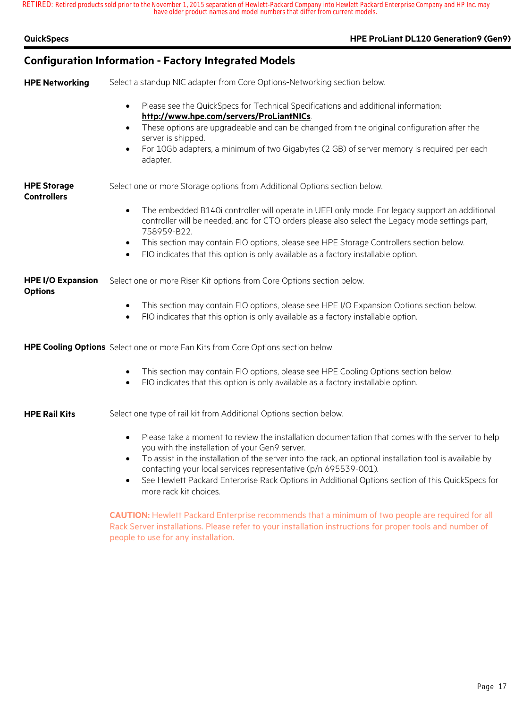| <b>QuickSpecs</b>                          | HPE ProLiant DL120 Generation9 (Gen9)                                                                                                                                                                                                                                                                                                                                                                                                                                                     |
|--------------------------------------------|-------------------------------------------------------------------------------------------------------------------------------------------------------------------------------------------------------------------------------------------------------------------------------------------------------------------------------------------------------------------------------------------------------------------------------------------------------------------------------------------|
|                                            | <b>Configuration Information - Factory Integrated Models</b>                                                                                                                                                                                                                                                                                                                                                                                                                              |
| <b>HPE Networking</b>                      | Select a standup NIC adapter from Core Options-Networking section below.                                                                                                                                                                                                                                                                                                                                                                                                                  |
|                                            | Please see the QuickSpecs for Technical Specifications and additional information:<br>$\bullet$<br>http://www.hpe.com/servers/ProLiantNICs.                                                                                                                                                                                                                                                                                                                                               |
|                                            | These options are upgradeable and can be changed from the original configuration after the<br>$\bullet$<br>server is shipped.                                                                                                                                                                                                                                                                                                                                                             |
|                                            | For 10Gb adapters, a minimum of two Gigabytes (2 GB) of server memory is required per each<br>$\bullet$<br>adapter.                                                                                                                                                                                                                                                                                                                                                                       |
| <b>HPE Storage</b><br><b>Controllers</b>   | Select one or more Storage options from Additional Options section below.                                                                                                                                                                                                                                                                                                                                                                                                                 |
|                                            | The embedded B140i controller will operate in UEFI only mode. For legacy support an additional<br>$\bullet$<br>controller will be needed, and for CTO orders please also select the Legacy mode settings part,<br>758959-B22.                                                                                                                                                                                                                                                             |
|                                            | This section may contain FIO options, please see HPE Storage Controllers section below.<br>$\bullet$                                                                                                                                                                                                                                                                                                                                                                                      |
|                                            | FIO indicates that this option is only available as a factory installable option.<br>$\bullet$                                                                                                                                                                                                                                                                                                                                                                                            |
| <b>HPE I/O Expansion</b><br><b>Options</b> | Select one or more Riser Kit options from Core Options section below.                                                                                                                                                                                                                                                                                                                                                                                                                     |
|                                            | This section may contain FIO options, please see HPE I/O Expansion Options section below.<br>$\bullet$<br>FIO indicates that this option is only available as a factory installable option.<br>$\bullet$                                                                                                                                                                                                                                                                                  |
|                                            | HPE Cooling Options Select one or more Fan Kits from Core Options section below.                                                                                                                                                                                                                                                                                                                                                                                                          |
|                                            | This section may contain FIO options, please see HPE Cooling Options section below.<br>$\bullet$<br>FIO indicates that this option is only available as a factory installable option.<br>$\bullet$                                                                                                                                                                                                                                                                                        |
| <b>HPE Rail Kits</b>                       | Select one type of rail kit from Additional Options section below.                                                                                                                                                                                                                                                                                                                                                                                                                        |
|                                            | Please take a moment to review the installation documentation that comes with the server to help<br>you with the installation of your Gen9 server.<br>To assist in the installation of the server into the rack, an optional installation tool is available by<br>$\bullet$<br>contacting your local services representative (p/n 695539-001).<br>See Hewlett Packard Enterprise Rack Options in Additional Options section of this QuickSpecs for<br>$\bullet$<br>more rack kit choices. |
|                                            | <b>CAUTION:</b> Hewlett Packard Enterprise recommends that a minimum of two people are required for all<br>Rack Server installations. Please refer to your installation instructions for proper tools and number of<br>people to use for any installation.                                                                                                                                                                                                                                |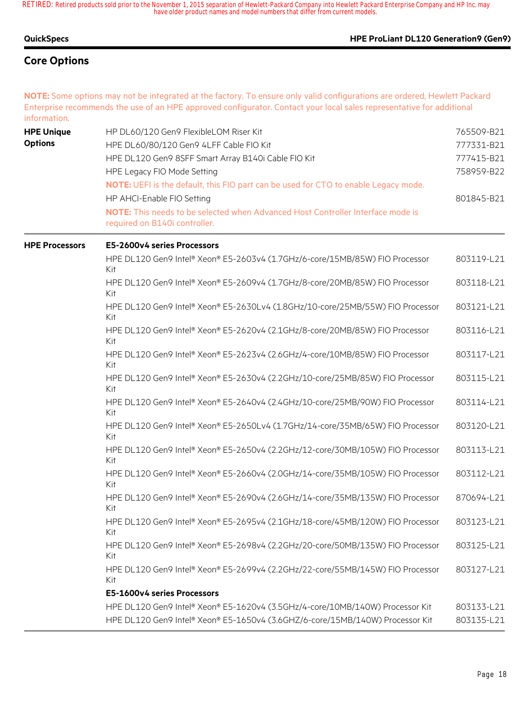### **QuickSpecs HPE ProLiant DL120 Generation9 (Gen9)**

# **Core Options**

**NOTE:** Some options may not be integrated at the factory. To ensure only valid configurations are ordered, Hewlett Packard Enterprise recommends the use of an HPE approved configurator. Contact your local sales representative for additional information.

| <b>HPE Unique</b>     | HP DL60/120 Gen9 FlexibleLOM Riser Kit                                                                           | 765509-B21<br>777331-B21 |  |  |
|-----------------------|------------------------------------------------------------------------------------------------------------------|--------------------------|--|--|
| <b>Options</b>        | HPE DL60/80/120 Gen9 4LFF Cable FIO Kit                                                                          |                          |  |  |
|                       | HPE DL120 Gen9 8SFF Smart Array B140i Cable FIO Kit                                                              | 777415-B21               |  |  |
|                       | HPE Legacy FIO Mode Setting                                                                                      | 758959-B22               |  |  |
|                       | NOTE: UEFI is the default, this FIO part can be used for CTO to enable Legacy mode.                              |                          |  |  |
|                       | HP AHCI-Enable FIO Setting                                                                                       | 801845-B21               |  |  |
|                       | NOTE: This needs to be selected when Advanced Host Controller Interface mode is<br>required on B140i controller. |                          |  |  |
| <b>HPE Processors</b> | E5-2600v4 series Processors                                                                                      |                          |  |  |
|                       | HPE DL120 Gen9 Intel® Xeon® E5-2603v4 (1.7GHz/6-core/15MB/85W) FIO Processor<br>Kit                              | 803119-L21               |  |  |
|                       | HPE DL120 Gen9 Intel® Xeon® E5-2609v4 (1.7GHz/8-core/20MB/85W) FIO Processor<br>Kit                              | 803118-L21               |  |  |
|                       | HPE DL120 Gen9 Intel® Xeon® E5-2630Lv4 (1.8GHz/10-core/25MB/55W) FIO Processor<br>Kit                            | 803121-L21               |  |  |
|                       | HPE DL120 Gen9 Intel® Xeon® E5-2620v4 (2.1GHz/8-core/20MB/85W) FIO Processor<br>Kit                              | 803116-L21               |  |  |
|                       | HPE DL120 Gen9 Intel® Xeon® E5-2623v4 (2.6GHz/4-core/10MB/85W) FIO Processor<br>Kit                              | 803117-L21               |  |  |
|                       | HPE DL120 Gen9 Intel® Xeon® E5-2630v4 (2.2GHz/10-core/25MB/85W) FIO Processor<br>Kit                             | 803115-L21               |  |  |
|                       | HPE DL120 Gen9 Intel® Xeon® E5-2640v4 (2.4GHz/10-core/25MB/90W) FIO Processor<br>Kit                             | 803114-L21               |  |  |
|                       | HPE DL120 Gen9 Intel® Xeon® E5-2650Lv4 (1.7GHz/14-core/35MB/65W) FIO Processor<br>Kit                            | 803120-L21               |  |  |
|                       | HPE DL120 Gen9 Intel® Xeon® E5-2650v4 (2.2GHz/12-core/30MB/105W) FIO Processor<br>Kit                            | 803113-L21               |  |  |
|                       | HPE DL120 Gen9 Intel® Xeon® E5-2660v4 (2.0GHz/14-core/35MB/105W) FIO Processor<br>Kit                            | 803112-L21               |  |  |
|                       | HPE DL120 Gen9 Intel® Xeon® E5-2690v4 (2.6GHz/14-core/35MB/135W) FIO Processor<br>Kit                            | 870694-L21               |  |  |
|                       | HPE DL120 Gen9 Intel® Xeon® E5-2695v4 (2.1GHz/18-core/45MB/120W) FIO Processor<br>Kit                            | 803123-L21               |  |  |
|                       | HPE DL120 Gen9 Intel® Xeon® E5-2698v4 (2.2GHz/20-core/50MB/135W) FIO Processor<br>Kit                            | 803125-L21               |  |  |
|                       | HPE DL120 Gen9 Intel® Xeon® E5-2699v4 (2.2GHz/22-core/55MB/145W) FIO Processor<br>Kit                            | 803127-L21               |  |  |
|                       | E5-1600v4 series Processors                                                                                      |                          |  |  |
|                       | HPE DL120 Gen9 Intel® Xeon® E5-1620v4 (3.5GHz/4-core/10MB/140W) Processor Kit                                    | 803133-L21               |  |  |
|                       | HPE DL120 Gen9 Intel® Xeon® E5-1650v4 (3.6GHZ/6-core/15MB/140W) Processor Kit                                    | 803135-L21               |  |  |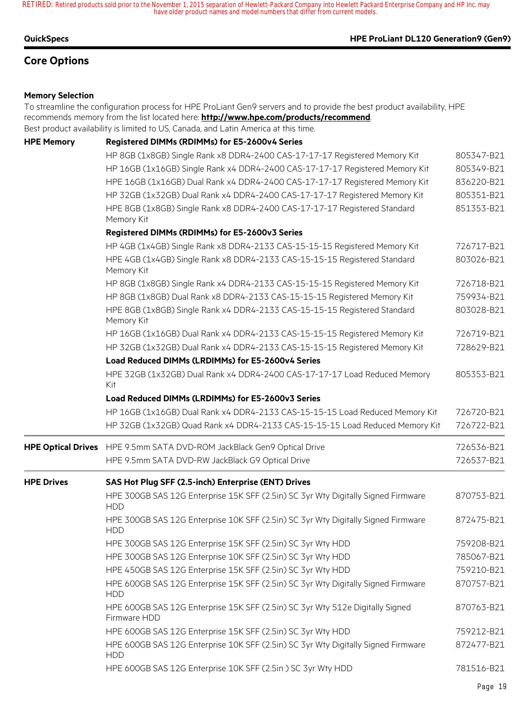### **QuickSpecs HPE ProLiant DL120 Generation9 (Gen9)**

# **Core Options**

### **Memory Selection**

To streamline the configuration process for HPE ProLiant Gen9 servers and to provide the best product availability, HPE recommends memory from the list located here: **http://www.hpe.com/products/recommend**. Best product availability is limited to US, Canada, and Latin America at this time.

| <b>HPE Memory</b> | Registered DIMMs (RDIMMs) for E5-2600v4 Series                                                  |            |  |  |  |  |
|-------------------|-------------------------------------------------------------------------------------------------|------------|--|--|--|--|
|                   | HP 8GB (1x8GB) Single Rank x8 DDR4-2400 CAS-17-17-17 Registered Memory Kit                      | 805347-B21 |  |  |  |  |
|                   | HP 16GB (1x16GB) Single Rank x4 DDR4-2400 CAS-17-17-17 Registered Memory Kit                    | 805349-B21 |  |  |  |  |
|                   | HPE 16GB (1x16GB) Dual Rank x4 DDR4-2400 CAS-17-17-17 Registered Memory Kit                     | 836220-B21 |  |  |  |  |
|                   | HP 32GB (1x32GB) Dual Rank x4 DDR4-2400 CAS-17-17-17 Registered Memory Kit                      | 805351-B21 |  |  |  |  |
|                   | HPE 8GB (1x8GB) Single Rank x8 DDR4-2400 CAS-17-17-17 Registered Standard<br>Memory Kit         | 851353-B21 |  |  |  |  |
|                   | Registered DIMMs (RDIMMs) for E5-2600v3 Series                                                  |            |  |  |  |  |
|                   | HP 4GB (1x4GB) Single Rank x8 DDR4-2133 CAS-15-15-15 Registered Memory Kit                      | 726717-B21 |  |  |  |  |
|                   | HPE 4GB (1x4GB) Single Rank x8 DDR4-2133 CAS-15-15-15 Registered Standard<br>Memory Kit         | 803026-B21 |  |  |  |  |
|                   | HP 8GB (1x8GB) Single Rank x4 DDR4-2133 CAS-15-15-15 Registered Memory Kit                      | 726718-B21 |  |  |  |  |
|                   | HP 8GB (1x8GB) Dual Rank x8 DDR4-2133 CAS-15-15-15 Registered Memory Kit                        | 759934-B21 |  |  |  |  |
|                   | HPE 8GB (1x8GB) Single Rank x4 DDR4-2133 CAS-15-15-15 Registered Standard<br>Memory Kit         | 803028-B21 |  |  |  |  |
|                   | HP 16GB (1x16GB) Dual Rank x4 DDR4-2133 CAS-15-15-15 Registered Memory Kit                      | 726719-B21 |  |  |  |  |
|                   | HP 32GB (1x32GB) Dual Rank x4 DDR4-2133 CAS-15-15-15 Registered Memory Kit                      | 728629-B21 |  |  |  |  |
|                   | Load Reduced DIMMs (LRDIMMs) for E5-2600v4 Series                                               |            |  |  |  |  |
|                   | HPE 32GB (1x32GB) Dual Rank x4 DDR4-2400 CAS-17-17-17 Load Reduced Memory<br>Kit                |            |  |  |  |  |
|                   | Load Reduced DIMMs (LRDIMMs) for E5-2600v3 Series                                               |            |  |  |  |  |
|                   | HP 16GB (1x16GB) Dual Rank x4 DDR4-2133 CAS-15-15-15 Load Reduced Memory Kit                    | 726720-B21 |  |  |  |  |
|                   | HP 32GB (1x32GB) Quad Rank x4 DDR4-2133 CAS-15-15-15 Load Reduced Memory Kit                    | 726722-B21 |  |  |  |  |
|                   | HPE Optical Drives HPE 9.5mm SATA DVD-ROM JackBlack Gen9 Optical Drive                          | 726536-B21 |  |  |  |  |
|                   | HPE 9.5mm SATA DVD-RW JackBlack G9 Optical Drive                                                | 726537-B21 |  |  |  |  |
| <b>HPE Drives</b> | SAS Hot Plug SFF (2.5-inch) Enterprise (ENT) Drives                                             |            |  |  |  |  |
|                   | HPE 300GB SAS 12G Enterprise 15K SFF (2.5in) SC 3yr Wty Digitally Signed Firmware<br><b>HDD</b> | 870753-B21 |  |  |  |  |
|                   | HPE 300GB SAS 12G Enterprise 10K SFF (2.5in) SC 3yr Wty Digitally Signed Firmware<br><b>HDD</b> | 872475-B21 |  |  |  |  |
|                   | HPE 300GB SAS 12G Enterprise 15K SFF (2.5in) SC 3yr Wty HDD                                     | 759208-B21 |  |  |  |  |
|                   | HPE 300GB SAS 12G Enterprise 10K SFF (2.5in) SC 3yr Wty HDD                                     | 785067-B21 |  |  |  |  |
|                   | HPE 450GB SAS 12G Enterprise 15K SFF (2.5in) SC 3yr Wty HDD                                     | 759210-B21 |  |  |  |  |
|                   | HPE 600GB SAS 12G Enterprise 15K SFF (2.5in) SC 3yr Wty Digitally Signed Firmware<br><b>HDD</b> | 870757-B21 |  |  |  |  |
|                   | HPE 600GB SAS 12G Enterprise 15K SFF (2.5in) SC 3yr Wty 512e Digitally Signed<br>Firmware HDD   | 870763-B21 |  |  |  |  |
|                   | HPE 600GB SAS 12G Enterprise 15K SFF (2.5in) SC 3yr Wty HDD                                     | 759212-B21 |  |  |  |  |
|                   | HPE 600GB SAS 12G Enterprise 10K SFF (2.5in) SC 3yr Wty Digitally Signed Firmware<br><b>HDD</b> | 872477-B21 |  |  |  |  |
|                   | HPE 600GB SAS 12G Enterprise 10K SFF (2.5in) SC 3yr Wty HDD                                     | 781516-B21 |  |  |  |  |
|                   |                                                                                                 |            |  |  |  |  |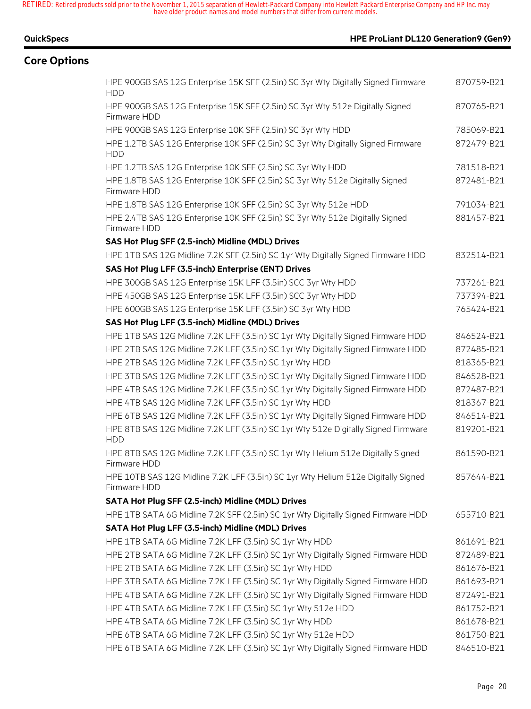|  |  | QuickSpecs |
|--|--|------------|
|  |  |            |

### **QuickSpecs HPE ProLiant DL120 Generation9 (Gen9)**

# **Core Options**

| HPE 900GB SAS 12G Enterprise 15K SFF (2.5in) SC 3yr Wty Digitally Signed Firmware<br><b>HDD</b>   | 870759-B21 |
|---------------------------------------------------------------------------------------------------|------------|
| HPE 900GB SAS 12G Enterprise 15K SFF (2.5in) SC 3yr Wty 512e Digitally Signed<br>Firmware HDD     | 870765-B21 |
| HPE 900GB SAS 12G Enterprise 10K SFF (2.5in) SC 3yr Wty HDD                                       | 785069-B21 |
| HPE 1.2TB SAS 12G Enterprise 10K SFF (2.5in) SC 3yr Wty Digitally Signed Firmware<br><b>HDD</b>   | 872479-B21 |
| HPE 1.2TB SAS 12G Enterprise 10K SFF (2.5in) SC 3yr Wty HDD                                       | 781518-B21 |
| HPE 1.8TB SAS 12G Enterprise 10K SFF (2.5in) SC 3yr Wty 512e Digitally Signed<br>Firmware HDD     | 872481-B21 |
| HPE 1.8TB SAS 12G Enterprise 10K SFF (2.5in) SC 3yr Wty 512e HDD                                  | 791034-B21 |
| HPE 2.4TB SAS 12G Enterprise 10K SFF (2.5in) SC 3yr Wty 512e Digitally Signed<br>Firmware HDD     | 881457-B21 |
| SAS Hot Plug SFF (2.5-inch) Midline (MDL) Drives                                                  |            |
| HPE 1TB SAS 12G Midline 7.2K SFF (2.5in) SC 1yr Wty Digitally Signed Firmware HDD                 | 832514-B21 |
| SAS Hot Plug LFF (3.5-inch) Enterprise (ENT) Drives                                               |            |
| HPE 300GB SAS 12G Enterprise 15K LFF (3.5in) SCC 3yr Wty HDD                                      | 737261-B21 |
| HPE 450GB SAS 12G Enterprise 15K LFF (3.5in) SCC 3yr Wty HDD                                      | 737394-B21 |
| HPE 600GB SAS 12G Enterprise 15K LFF (3.5in) SC 3yr Wty HDD                                       | 765424-B21 |
| SAS Hot Plug LFF (3.5-inch) Midline (MDL) Drives                                                  |            |
| HPE 1TB SAS 12G Midline 7.2K LFF (3.5in) SC 1yr Wty Digitally Signed Firmware HDD                 | 846524-B21 |
| HPE 2TB SAS 12G Midline 7.2K LFF (3.5in) SC 1yr Wty Digitally Signed Firmware HDD                 | 872485-B21 |
| HPE 2TB SAS 12G Midline 7.2K LFF (3.5in) SC 1yr Wty HDD                                           | 818365-B21 |
| HPE 3TB SAS 12G Midline 7.2K LFF (3.5in) SC 1yr Wty Digitally Signed Firmware HDD                 | 846528-B21 |
| HPE 4TB SAS 12G Midline 7.2K LFF (3.5in) SC 1yr Wty Digitally Signed Firmware HDD                 | 872487-B21 |
| HPE 4TB SAS 12G Midline 7.2K LFF (3.5in) SC 1yr Wty HDD                                           | 818367-B21 |
| HPE 6TB SAS 12G Midline 7.2K LFF (3.5in) SC 1yr Wty Digitally Signed Firmware HDD                 | 846514-B21 |
| HPE 8TB SAS 12G Midline 7.2K LFF (3.5in) SC 1yr Wty 512e Digitally Signed Firmware<br><b>HDD</b>  | 819201-B21 |
| HPE 8TB SAS 12G Midline 7.2K LFF (3.5in) SC 1yr Wty Helium 512e Digitally Signed<br>Firmware HDD  | 861590-B21 |
| HPE 10TB SAS 12G Midline 7.2K LFF (3.5in) SC 1yr Wty Helium 512e Digitally Signed<br>Firmware HDD | 857644-B21 |
| SATA Hot Plug SFF (2.5-inch) Midline (MDL) Drives                                                 |            |
| HPE 1TB SATA 6G Midline 7.2K SFF (2.5in) SC 1yr Wty Digitally Signed Firmware HDD                 | 655710-B21 |
| SATA Hot Plug LFF (3.5-inch) Midline (MDL) Drives                                                 |            |
| HPE 1TB SATA 6G Midline 7.2K LFF (3.5in) SC 1yr Wty HDD                                           | 861691-B21 |
| HPE 2TB SATA 6G Midline 7.2K LFF (3.5in) SC 1yr Wty Digitally Signed Firmware HDD                 | 872489-B21 |
| HPE 2TB SATA 6G Midline 7.2K LFF (3.5in) SC 1yr Wty HDD                                           | 861676-B21 |
| HPE 3TB SATA 6G Midline 7.2K LFF (3.5in) SC 1yr Wty Digitally Signed Firmware HDD                 | 861693-B21 |
| HPE 4TB SATA 6G Midline 7.2K LFF (3.5in) SC 1yr Wty Digitally Signed Firmware HDD                 | 872491-B21 |
| HPE 4TB SATA 6G Midline 7.2K LFF (3.5in) SC 1yr Wty 512e HDD                                      | 861752-B21 |
| HPE 4TB SATA 6G Midline 7.2K LFF (3.5in) SC 1yr Wty HDD                                           | 861678-B21 |
| HPE 6TB SATA 6G Midline 7.2K LFF (3.5in) SC 1yr Wty 512e HDD                                      | 861750-B21 |
| HPE 6TB SATA 6G Midline 7.2K LFF (3.5in) SC 1yr Wty Digitally Signed Firmware HDD                 | 846510-B21 |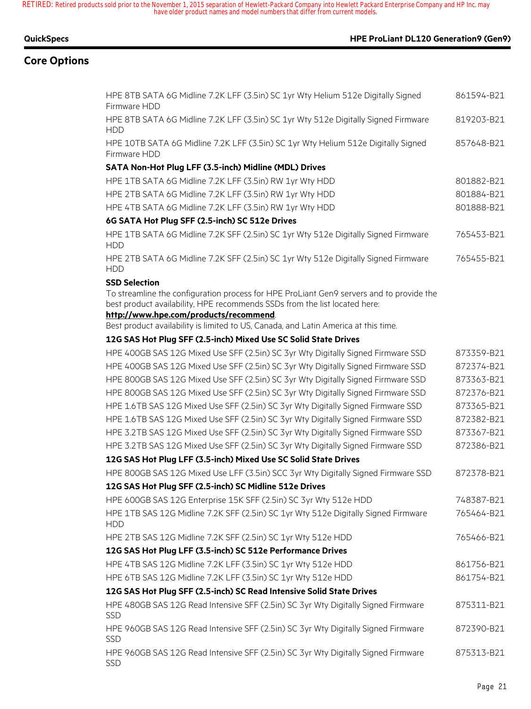### **QuickSpecs HPE ProLiant DL120 Generation9 (Gen9)**

# **Core Options**

| HPE 8TB SATA 6G Midline 7.2K LFF (3.5in) SC 1yr Wty Helium 512e Digitally Signed<br>Firmware HDD                                                                       | 861594-B21 |
|------------------------------------------------------------------------------------------------------------------------------------------------------------------------|------------|
| HPE 8TB SATA 6G Midline 7.2K LFF (3.5in) SC 1yr Wty 512e Digitally Signed Firmware<br><b>HDD</b>                                                                       | 819203-B21 |
| HPE 10TB SATA 6G Midline 7.2K LFF (3.5in) SC 1yr Wty Helium 512e Digitally Signed<br>Firmware HDD                                                                      | 857648-B21 |
| SATA Non-Hot Plug LFF (3.5-inch) Midline (MDL) Drives                                                                                                                  |            |
| HPE 1TB SATA 6G Midline 7.2K LFF (3.5in) RW 1yr Wty HDD                                                                                                                | 801882-B21 |
| HPE 2TB SATA 6G Midline 7.2K LFF (3.5in) RW 1yr Wty HDD                                                                                                                | 801884-B21 |
| HPE 4TB SATA 6G Midline 7.2K LFF (3.5in) RW 1yr Wty HDD                                                                                                                | 801888-B21 |
| 6G SATA Hot Plug SFF (2.5-inch) SC 512e Drives                                                                                                                         |            |
| HPE 1TB SATA 6G Midline 7.2K SFF (2.5in) SC 1yr Wty 512e Digitally Signed Firmware<br><b>HDD</b>                                                                       | 765453-B21 |
| HPE 2TB SATA 6G Midline 7.2K SFF (2.5in) SC 1yr Wty 512e Digitally Signed Firmware<br><b>HDD</b>                                                                       | 765455-B21 |
| <b>SSD Selection</b>                                                                                                                                                   |            |
| To streamline the configuration process for HPE ProLiant Gen9 servers and to provide the<br>best product availability, HPE recommends SSDs from the list located here: |            |
| http://www.hpe.com/products/recommend<br>Best product availability is limited to US, Canada, and Latin America at this time.                                           |            |
| 12G SAS Hot Plug SFF (2.5-inch) Mixed Use SC Solid State Drives                                                                                                        |            |
| HPE 400GB SAS 12G Mixed Use SFF (2.5in) SC 3yr Wty Digitally Signed Firmware SSD                                                                                       | 873359-B21 |
| HPE 400GB SAS 12G Mixed Use SFF (2.5in) SC 3yr Wty Digitally Signed Firmware SSD                                                                                       | 872374-B21 |
| HPE 800GB SAS 12G Mixed Use SFF (2.5in) SC 3yr Wty Digitally Signed Firmware SSD                                                                                       | 873363-B21 |
| HPE 800GB SAS 12G Mixed Use SFF (2.5in) SC 3yr Wty Digitally Signed Firmware SSD                                                                                       | 872376-B21 |
| HPE 1.6TB SAS 12G Mixed Use SFF (2.5in) SC 3yr Wty Digitally Signed Firmware SSD                                                                                       | 873365-B21 |
| HPE 1.6TB SAS 12G Mixed Use SFF (2.5in) SC 3yr Wty Digitally Signed Firmware SSD                                                                                       | 872382-B21 |
| HPE 3.2TB SAS 12G Mixed Use SFF (2.5in) SC 3yr Wty Digitally Signed Firmware SSD                                                                                       | 873367-B21 |
| HPE 3.2TB SAS 12G Mixed Use SFF (2.5in) SC 3yr Wty Digitally Signed Firmware SSD                                                                                       | 872386-B21 |
| 12G SAS Hot Plug LFF (3.5-inch) Mixed Use SC Solid State Drives                                                                                                        |            |
| HPE 800GB SAS 12G Mixed Use LFF (3.5in) SCC 3yr Wty Digitally Signed Firmware SSD                                                                                      | 872378-B21 |
| 12G SAS Hot Plug SFF (2.5-inch) SC Midline 512e Drives                                                                                                                 |            |
| HPE 600GB SAS 12G Enterprise 15K SFF (2.5in) SC 3yr Wty 512e HDD                                                                                                       | 748387-B21 |
| HPE 1TB SAS 12G Midline 7.2K SFF (2.5in) SC 1yr Wty 512e Digitally Signed Firmware<br><b>HDD</b>                                                                       | 765464-B21 |
| HPE 2TB SAS 12G Midline 7.2K SFF (2.5in) SC 1yr Wty 512e HDD                                                                                                           | 765466-B21 |
| 12G SAS Hot Plug LFF (3.5-inch) SC 512e Performance Drives                                                                                                             |            |
| HPE 4TB SAS 12G Midline 7.2K LFF (3.5in) SC 1yr Wty 512e HDD                                                                                                           | 861756-B21 |
| HPE 6TB SAS 12G Midline 7.2K LFF (3.5in) SC 1yr Wty 512e HDD                                                                                                           | 861754-B21 |
| 12G SAS Hot Plug SFF (2.5-inch) SC Read Intensive Solid State Drives                                                                                                   |            |
| HPE 480GB SAS 12G Read Intensive SFF (2.5in) SC 3yr Wty Digitally Signed Firmware<br><b>SSD</b>                                                                        | 875311-B21 |
| HPE 960GB SAS 12G Read Intensive SFF (2.5in) SC 3yr Wty Digitally Signed Firmware<br><b>SSD</b>                                                                        | 872390-B21 |
| HPE 960GB SAS 12G Read Intensive SFF (2.5in) SC 3yr Wty Digitally Signed Firmware<br>SSD                                                                               | 875313-B21 |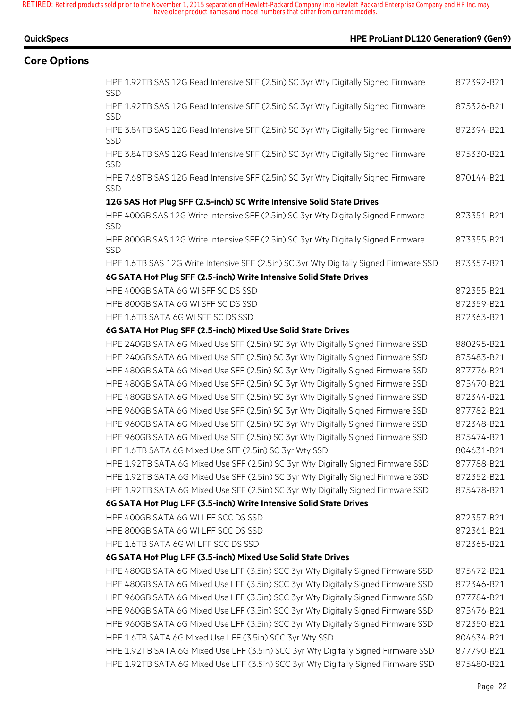| וערשמערון גרוש וועש ורעיון ושרווער עושון שערון ושמערון מרוש שערוומרע ששמער שמשפט שנושרו |  |  |
|-----------------------------------------------------------------------------------------|--|--|
|                                                                                         |  |  |
|                                                                                         |  |  |
|                                                                                         |  |  |
|                                                                                         |  |  |
|                                                                                         |  |  |

# **Core Options**

### **QuickSpecs HPE ProLiant DL120 Generation9 (Gen9)**

| HPE 1.92TB SAS 12G Read Intensive SFF (2.5in) SC 3yr Wty Digitally Signed Firmware<br><b>SSD</b> | 872392-B21 |
|--------------------------------------------------------------------------------------------------|------------|
| HPE 1.92TB SAS 12G Read Intensive SFF (2.5in) SC 3yr Wty Digitally Signed Firmware<br><b>SSD</b> | 875326-B21 |
| HPE 3.84TB SAS 12G Read Intensive SFF (2.5in) SC 3yr Wty Digitally Signed Firmware<br>SSD        | 872394-B21 |
| HPE 3.84TB SAS 12G Read Intensive SFF (2.5in) SC 3yr Wty Digitally Signed Firmware<br><b>SSD</b> | 875330-B21 |
| HPE 7.68TB SAS 12G Read Intensive SFF (2.5in) SC 3yr Wty Digitally Signed Firmware<br><b>SSD</b> | 870144-B21 |
| 12G SAS Hot Plug SFF (2.5-inch) SC Write Intensive Solid State Drives                            |            |
| HPE 400GB SAS 12G Write Intensive SFF (2.5in) SC 3yr Wty Digitally Signed Firmware<br>SSD        | 873351-B21 |
| HPE 800GB SAS 12G Write Intensive SFF (2.5in) SC 3yr Wty Digitally Signed Firmware<br><b>SSD</b> | 873355-B21 |
| HPE 1.6TB SAS 12G Write Intensive SFF (2.5in) SC 3yr Wty Digitally Signed Firmware SSD           | 873357-B21 |
| 6G SATA Hot Plug SFF (2.5-inch) Write Intensive Solid State Drives                               |            |
| HPE 400GB SATA 6G WI SFF SC DS SSD                                                               | 872355-B21 |
| HPE 800GB SATA 6G WI SFF SC DS SSD                                                               | 872359-B21 |
| HPE 1.6TB SATA 6G WI SFF SC DS SSD                                                               | 872363-B21 |
| 6G SATA Hot Plug SFF (2.5-inch) Mixed Use Solid State Drives                                     |            |
| HPE 240GB SATA 6G Mixed Use SFF (2.5in) SC 3yr Wty Digitally Signed Firmware SSD                 | 880295-B21 |
| HPE 240GB SATA 6G Mixed Use SFF (2.5in) SC 3yr Wty Digitally Signed Firmware SSD                 | 875483-B21 |
| HPE 480GB SATA 6G Mixed Use SFF (2.5in) SC 3yr Wty Digitally Signed Firmware SSD                 | 877776-B21 |
| HPE 480GB SATA 6G Mixed Use SFF (2.5in) SC 3yr Wty Digitally Signed Firmware SSD                 | 875470-B21 |
| HPE 480GB SATA 6G Mixed Use SFF (2.5in) SC 3yr Wty Digitally Signed Firmware SSD                 | 872344-B21 |
| HPE 960GB SATA 6G Mixed Use SFF (2.5in) SC 3yr Wty Digitally Signed Firmware SSD                 | 877782-B21 |
| HPE 960GB SATA 6G Mixed Use SFF (2.5in) SC 3yr Wty Digitally Signed Firmware SSD                 | 872348-B21 |
| HPE 960GB SATA 6G Mixed Use SFF (2.5in) SC 3yr Wty Digitally Signed Firmware SSD                 | 875474-B21 |
| HPE 1.6TB SATA 6G Mixed Use SFF (2.5in) SC 3yr Wty SSD                                           | 804631-B21 |
| HPE 1.92TB SATA 6G Mixed Use SFF (2.5in) SC 3yr Wty Digitally Signed Firmware SSD                | 877788-B21 |
| HPE 1.92TB SATA 6G Mixed Use SFF (2.5in) SC 3yr Wty Digitally Signed Firmware SSD                | 872352-B21 |
| HPE 1.92TB SATA 6G Mixed Use SFF (2.5in) SC 3yr Wty Digitally Signed Firmware SSD                | 875478-B21 |
| 6G SATA Hot Plug LFF (3.5-inch) Write Intensive Solid State Drives                               |            |
| HPE 400GB SATA 6G WI LFF SCC DS SSD                                                              | 872357-B21 |
| HPE 800GB SATA 6G WI LFF SCC DS SSD                                                              | 872361-B21 |
| HPE 1.6TB SATA 6G WI LFF SCC DS SSD                                                              | 872365-B21 |
| 6G SATA Hot Plug LFF (3.5-inch) Mixed Use Solid State Drives                                     |            |
| HPE 480GB SATA 6G Mixed Use LFF (3.5in) SCC 3yr Wty Digitally Signed Firmware SSD                | 875472-B21 |
| HPE 480GB SATA 6G Mixed Use LFF (3.5in) SCC 3yr Wty Digitally Signed Firmware SSD                | 872346-B21 |
| HPE 960GB SATA 6G Mixed Use LFF (3.5in) SCC 3yr Wty Digitally Signed Firmware SSD                | 877784-B21 |
| HPE 960GB SATA 6G Mixed Use LFF (3.5in) SCC 3yr Wty Digitally Signed Firmware SSD                | 875476-B21 |
| HPE 960GB SATA 6G Mixed Use LFF (3.5in) SCC 3yr Wty Digitally Signed Firmware SSD                | 872350-B21 |
| HPE 1.6TB SATA 6G Mixed Use LFF (3.5in) SCC 3yr Wty SSD                                          | 804634-B21 |
| HPE 1.92TB SATA 6G Mixed Use LFF (3.5in) SCC 3yr Wty Digitally Signed Firmware SSD               | 877790-B21 |
| HPE 1.92TB SATA 6G Mixed Use LFF (3.5in) SCC 3yr Wty Digitally Signed Firmware SSD               | 875480-B21 |
|                                                                                                  |            |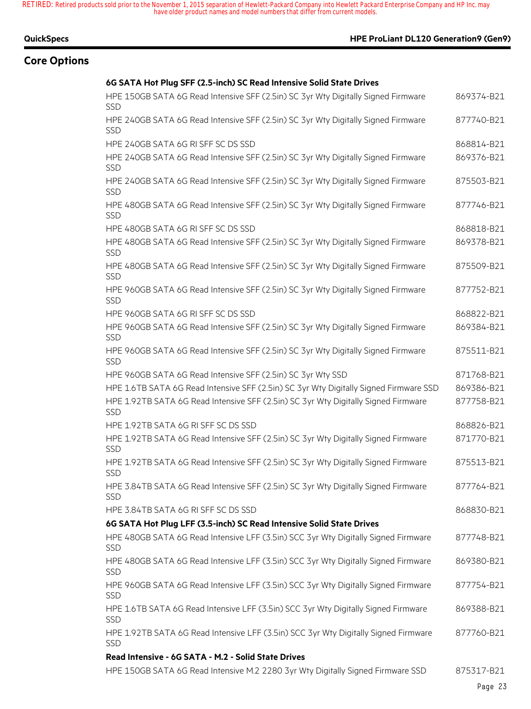# **Core Options**

# **QuickSpecs HPE ProLiant DL120 Generation9 (Gen9)**

|  |  | 6G SATA Hot Plug SFF (2.5-inch) SC Read Intensive Solid State Drives |  |
|--|--|----------------------------------------------------------------------|--|
|--|--|----------------------------------------------------------------------|--|

| HPE 150GB SATA 6G Read Intensive SFF (2.5in) SC 3yr Wty Digitally Signed Firmware<br><b>SSD</b>   | 869374-B21 |
|---------------------------------------------------------------------------------------------------|------------|
| HPE 240GB SATA 6G Read Intensive SFF (2.5in) SC 3yr Wty Digitally Signed Firmware<br><b>SSD</b>   | 877740-B21 |
| HPE 240GB SATA 6G RI SFF SC DS SSD                                                                | 868814-B21 |
| HPE 240GB SATA 6G Read Intensive SFF (2.5in) SC 3yr Wty Digitally Signed Firmware<br><b>SSD</b>   | 869376-B21 |
| HPE 240GB SATA 6G Read Intensive SFF (2.5in) SC 3yr Wty Digitally Signed Firmware<br><b>SSD</b>   | 875503-B21 |
| HPE 480GB SATA 6G Read Intensive SFF (2.5in) SC 3yr Wty Digitally Signed Firmware<br><b>SSD</b>   | 877746-B21 |
| HPE 480GB SATA 6G RI SFF SC DS SSD                                                                | 868818-B21 |
| HPE 480GB SATA 6G Read Intensive SFF (2.5in) SC 3yr Wty Digitally Signed Firmware<br><b>SSD</b>   | 869378-B21 |
| HPE 480GB SATA 6G Read Intensive SFF (2.5in) SC 3yr Wty Digitally Signed Firmware<br><b>SSD</b>   | 875509-B21 |
| HPE 960GB SATA 6G Read Intensive SFF (2.5in) SC 3yr Wty Digitally Signed Firmware<br><b>SSD</b>   | 877752-B21 |
| HPE 960GB SATA 6G RI SFF SC DS SSD                                                                | 868822-B21 |
| HPE 960GB SATA 6G Read Intensive SFF (2.5in) SC 3yr Wty Digitally Signed Firmware<br><b>SSD</b>   | 869384-B21 |
| HPE 960GB SATA 6G Read Intensive SFF (2.5in) SC 3yr Wty Digitally Signed Firmware<br><b>SSD</b>   | 875511-B21 |
| HPE 960GB SATA 6G Read Intensive SFF (2.5in) SC 3yr Wty SSD                                       | 871768-B21 |
| HPE 1.6TB SATA 6G Read Intensive SFF (2.5in) SC 3yr Wty Digitally Signed Firmware SSD             | 869386-B21 |
| HPE 1.92TB SATA 6G Read Intensive SFF (2.5in) SC 3yr Wty Digitally Signed Firmware<br><b>SSD</b>  | 877758-B21 |
| HPE 1.92TB SATA 6G RI SFF SC DS SSD                                                               | 868826-B21 |
| HPE 1.92TB SATA 6G Read Intensive SFF (2.5in) SC 3yr Wty Digitally Signed Firmware<br><b>SSD</b>  | 871770-B21 |
| HPE 1.92TB SATA 6G Read Intensive SFF (2.5in) SC 3yr Wty Digitally Signed Firmware<br><b>SSD</b>  | 875513-B21 |
| HPE 3.84TB SATA 6G Read Intensive SFF (2.5in) SC 3yr Wty Digitally Signed Firmware<br><b>SSD</b>  | 877764-B21 |
| HPE 3.84TB SATA 6G RI SFF SC DS SSD                                                               | 868830-B21 |
| 6G SATA Hot Plug LFF (3.5-inch) SC Read Intensive Solid State Drives                              |            |
| HPE 480GB SATA 6G Read Intensive LFF (3.5in) SCC 3yr Wty Digitally Signed Firmware<br><b>SSD</b>  | 877748-B21 |
| HPE 480GB SATA 6G Read Intensive LFF (3.5in) SCC 3yr Wty Digitally Signed Firmware<br><b>SSD</b>  | 869380-B21 |
| HPE 960GB SATA 6G Read Intensive LFF (3.5in) SCC 3yr Wty Digitally Signed Firmware<br><b>SSD</b>  | 877754-B21 |
| HPE 1.6TB SATA 6G Read Intensive LFF (3.5in) SCC 3yr Wty Digitally Signed Firmware<br><b>SSD</b>  | 869388-B21 |
| HPE 1.92TB SATA 6G Read Intensive LFF (3.5in) SCC 3yr Wty Digitally Signed Firmware<br><b>SSD</b> | 877760-B21 |
| Read Intensive - 6G SATA - M.2 - Solid State Drives                                               |            |
| HPE 150GB SATA 6G Read Intensive M.2 2280 3yr Wty Digitally Signed Firmware SSD                   | 875317-B21 |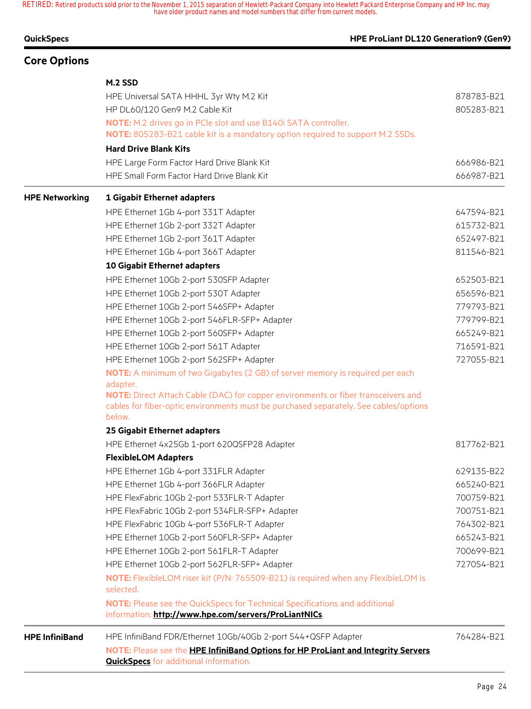# **Core Options**

| QuickSpecs | HPE ProLiant DL120 Generation9 (Gen9) |
|------------|---------------------------------------|
|            |                                       |

|                       | M.2 SSD                                                                                                                                                                                             |            |
|-----------------------|-----------------------------------------------------------------------------------------------------------------------------------------------------------------------------------------------------|------------|
|                       | HPE Universal SATA HHHL 3yr Wty M.2 Kit                                                                                                                                                             | 878783-B21 |
|                       | HP DL60/120 Gen9 M.2 Cable Kit                                                                                                                                                                      | 805283-B21 |
|                       | NOTE: M.2 drives go in PCIe slot and use B140i SATA controller.                                                                                                                                     |            |
|                       | NOTE: 805283-B21 cable kit is a mandatory option required to support M.2 SSDs.                                                                                                                      |            |
|                       | <b>Hard Drive Blank Kits</b>                                                                                                                                                                        |            |
|                       | HPE Large Form Factor Hard Drive Blank Kit                                                                                                                                                          | 666986-B21 |
|                       | HPE Small Form Factor Hard Drive Blank Kit                                                                                                                                                          | 666987-B21 |
| <b>HPE Networking</b> | 1 Gigabit Ethernet adapters                                                                                                                                                                         |            |
|                       | HPE Ethernet 1Gb 4-port 331T Adapter                                                                                                                                                                | 647594-B21 |
|                       | HPE Ethernet 1Gb 2-port 332T Adapter                                                                                                                                                                | 615732-B21 |
|                       | HPE Ethernet 1Gb 2-port 361T Adapter                                                                                                                                                                | 652497-B21 |
|                       | HPE Ethernet 1Gb 4-port 366T Adapter                                                                                                                                                                | 811546-B21 |
|                       | <b>10 Gigabit Ethernet adapters</b>                                                                                                                                                                 |            |
|                       | HPE Ethernet 10Gb 2-port 530SFP Adapter                                                                                                                                                             | 652503-B21 |
|                       | HPE Ethernet 10Gb 2-port 530T Adapter                                                                                                                                                               | 656596-B21 |
|                       | HPE Ethernet 10Gb 2-port 546SFP+ Adapter                                                                                                                                                            | 779793-B21 |
|                       | HPE Ethernet 10Gb 2-port 546FLR-SFP+ Adapter                                                                                                                                                        | 779799-B21 |
|                       | HPE Ethernet 10Gb 2-port 560SFP+ Adapter                                                                                                                                                            | 665249-B21 |
|                       | HPE Ethernet 10Gb 2-port 561T Adapter                                                                                                                                                               | 716591-B21 |
|                       | HPE Ethernet 10Gb 2-port 562SFP+ Adapter                                                                                                                                                            | 727055-B21 |
|                       | NOTE: A minimum of two Gigabytes (2 GB) of server memory is required per each                                                                                                                       |            |
|                       | adapter.<br>NOTE: Direct Attach Cable (DAC) for copper environments or fiber transceivers and<br>cables for fiber-optic environments must be purchased separately. See cables/options<br>below.     |            |
|                       | 25 Gigabit Ethernet adapters                                                                                                                                                                        |            |
|                       | HPE Ethernet 4x25Gb 1-port 620QSFP28 Adapter                                                                                                                                                        | 817762-B21 |
|                       | <b>FlexibleLOM Adapters</b>                                                                                                                                                                         |            |
|                       | HPE Ethernet 1Gb 4-port 331FLR Adapter                                                                                                                                                              | 629135-B22 |
|                       | HPE Ethernet 1Gb 4-port 366FLR Adapter                                                                                                                                                              | 665240-B21 |
|                       | HPE FlexFabric 10Gb 2-port 533FLR-T Adapter                                                                                                                                                         | 700759-B21 |
|                       | HPE FlexFabric 10Gb 2-port 534FLR-SFP+ Adapter                                                                                                                                                      | 700751-B21 |
|                       | HPE FlexFabric 10Gb 4-port 536FLR-T Adapter                                                                                                                                                         | 764302-B21 |
|                       | HPE Ethernet 10Gb 2-port 560FLR-SFP+ Adapter                                                                                                                                                        | 665243-B21 |
|                       | HPE Ethernet 10Gb 2-port 561FLR-T Adapter                                                                                                                                                           | 700699-B21 |
|                       | HPE Ethernet 10Gb 2-port 562FLR-SFP+ Adapter                                                                                                                                                        | 727054-B21 |
|                       | NOTE: FlexibleLOM riser kit (P/N: 765509-B21) is required when any FlexibleLOM is<br>selected.                                                                                                      |            |
|                       | NOTE: Please see the QuickSpecs for Technical Specifications and additional<br>information: http://www.hpe.com/servers/ProLiantNICs.                                                                |            |
| <b>HPE InfiniBand</b> | HPE InfiniBand FDR/Ethernet 10Gb/40Gb 2-port 544+QSFP Adapter<br>NOTE: Please see the HPE InfiniBand Options for HP ProLiant and Integrity Servers<br><b>QuickSpecs</b> for additional information. | 764284-B21 |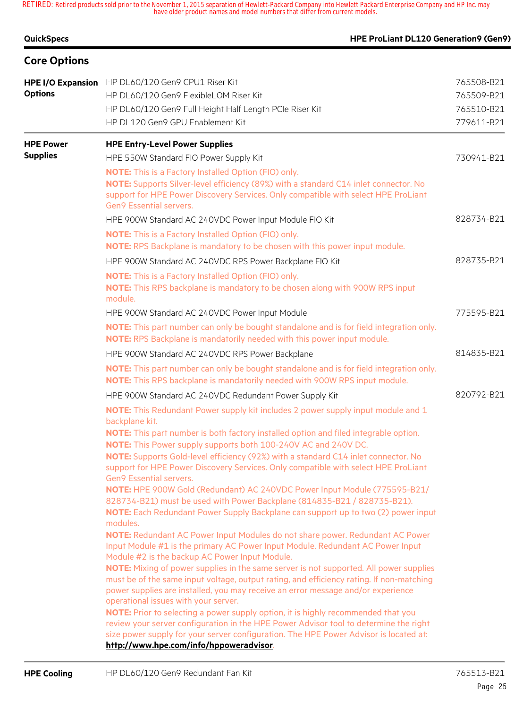| <b>QuickSpecs</b>                          | HPE ProLiant DL120 Generation9 (Gen9)                                                                                                                                                                                                                                                                                                                                                                                                                                                                                                                                                                                                                                                                                                                                                                                                                                                                                                                                                                                                                                                                                                                                                                                                                                                                                                                                                                                                                                                                                                                                                                                                                          |                                                      |
|--------------------------------------------|----------------------------------------------------------------------------------------------------------------------------------------------------------------------------------------------------------------------------------------------------------------------------------------------------------------------------------------------------------------------------------------------------------------------------------------------------------------------------------------------------------------------------------------------------------------------------------------------------------------------------------------------------------------------------------------------------------------------------------------------------------------------------------------------------------------------------------------------------------------------------------------------------------------------------------------------------------------------------------------------------------------------------------------------------------------------------------------------------------------------------------------------------------------------------------------------------------------------------------------------------------------------------------------------------------------------------------------------------------------------------------------------------------------------------------------------------------------------------------------------------------------------------------------------------------------------------------------------------------------------------------------------------------------|------------------------------------------------------|
| <b>Core Options</b>                        |                                                                                                                                                                                                                                                                                                                                                                                                                                                                                                                                                                                                                                                                                                                                                                                                                                                                                                                                                                                                                                                                                                                                                                                                                                                                                                                                                                                                                                                                                                                                                                                                                                                                |                                                      |
| <b>HPE I/O Expansion</b><br><b>Options</b> | HP DL60/120 Gen9 CPU1 Riser Kit<br>HP DL60/120 Gen9 FlexibleLOM Riser Kit<br>HP DL60/120 Gen9 Full Height Half Length PCIe Riser Kit<br>HP DL120 Gen9 GPU Enablement Kit                                                                                                                                                                                                                                                                                                                                                                                                                                                                                                                                                                                                                                                                                                                                                                                                                                                                                                                                                                                                                                                                                                                                                                                                                                                                                                                                                                                                                                                                                       | 765508-B21<br>765509-B21<br>765510-B21<br>779611-B21 |
| <b>HPE Power</b><br><b>Supplies</b>        | <b>HPE Entry-Level Power Supplies</b><br>HPE 550W Standard FIO Power Supply Kit<br><b>NOTE:</b> This is a Factory Installed Option (FIO) only.<br>NOTE: Supports Silver-level efficiency (89%) with a standard C14 inlet connector. No<br>support for HPE Power Discovery Services. Only compatible with select HPE ProLiant<br><b>Gen9 Essential servers.</b>                                                                                                                                                                                                                                                                                                                                                                                                                                                                                                                                                                                                                                                                                                                                                                                                                                                                                                                                                                                                                                                                                                                                                                                                                                                                                                 | 730941-B21                                           |
|                                            | HPE 900W Standard AC 240VDC Power Input Module FIO Kit<br>NOTE: This is a Factory Installed Option (FIO) only.<br>NOTE: RPS Backplane is mandatory to be chosen with this power input module.                                                                                                                                                                                                                                                                                                                                                                                                                                                                                                                                                                                                                                                                                                                                                                                                                                                                                                                                                                                                                                                                                                                                                                                                                                                                                                                                                                                                                                                                  | 828734-B21                                           |
|                                            | HPE 900W Standard AC 240VDC RPS Power Backplane FIO Kit<br><b>NOTE:</b> This is a Factory Installed Option (FIO) only.<br>NOTE: This RPS backplane is mandatory to be chosen along with 900W RPS input<br>module.                                                                                                                                                                                                                                                                                                                                                                                                                                                                                                                                                                                                                                                                                                                                                                                                                                                                                                                                                                                                                                                                                                                                                                                                                                                                                                                                                                                                                                              | 828735-B21                                           |
|                                            | HPE 900W Standard AC 240VDC Power Input Module<br>NOTE: This part number can only be bought standalone and is for field integration only.<br>NOTE: RPS Backplane is mandatorily needed with this power input module.                                                                                                                                                                                                                                                                                                                                                                                                                                                                                                                                                                                                                                                                                                                                                                                                                                                                                                                                                                                                                                                                                                                                                                                                                                                                                                                                                                                                                                           | 775595-B21                                           |
|                                            | HPE 900W Standard AC 240VDC RPS Power Backplane<br>NOTE: This part number can only be bought standalone and is for field integration only.<br>NOTE: This RPS backplane is mandatorily needed with 900W RPS input module.                                                                                                                                                                                                                                                                                                                                                                                                                                                                                                                                                                                                                                                                                                                                                                                                                                                                                                                                                                                                                                                                                                                                                                                                                                                                                                                                                                                                                                       | 814835-B21                                           |
|                                            | HPE 900W Standard AC 240VDC Redundant Power Supply Kit<br>NOTE: This Redundant Power supply kit includes 2 power supply input module and 1<br>backplane kit.<br><b>NOTE:</b> This part number is both factory installed option and filed integrable option.<br>NOTE: This Power supply supports both 100-240V AC and 240V DC.<br>NOTE: Supports Gold-level efficiency (92%) with a standard C14 inlet connector. No<br>support for HPE Power Discovery Services. Only compatible with select HPE ProLiant<br><b>Gen9 Essential servers.</b><br>NOTE: HPE 900W Gold (Redundant) AC 240VDC Power Input Module (775595-B21/<br>828734-B21) must be used with Power Backplane (814835-B21 / 828735-B21).<br>NOTE: Each Redundant Power Supply Backplane can support up to two (2) power input<br>modules.<br>NOTE: Redundant AC Power Input Modules do not share power. Redundant AC Power<br>Input Module #1 is the primary AC Power Input Module. Redundant AC Power Input<br>Module #2 is the backup AC Power Input Module.<br>NOTE: Mixing of power supplies in the same server is not supported. All power supplies<br>must be of the same input voltage, output rating, and efficiency rating. If non-matching<br>power supplies are installed, you may receive an error message and/or experience<br>operational issues with your server.<br>NOTE: Prior to selecting a power supply option, it is highly recommended that you<br>review your server configuration in the HPE Power Advisor tool to determine the right<br>size power supply for your server configuration. The HPE Power Advisor is located at:<br>http://www.hpe.com/info/hppoweradvisor. | 820792-B21                                           |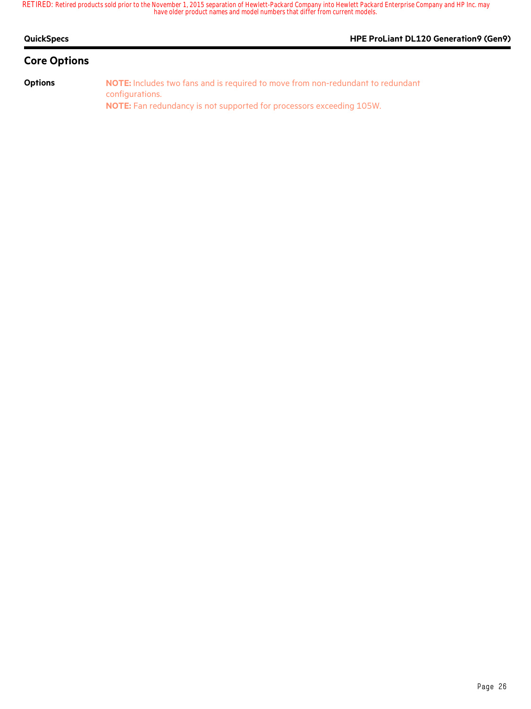| QuickSpecs          | <b>HPE ProLiant DL120 Generation9 (Gen9)</b> |
|---------------------|----------------------------------------------|
| <b>Core Options</b> |                                              |

**Options NOTE:** Includes two fans and is required to move from non-redundant to redundant configurations. **NOTE:** Fan redundancy is not supported for processors exceeding 105W.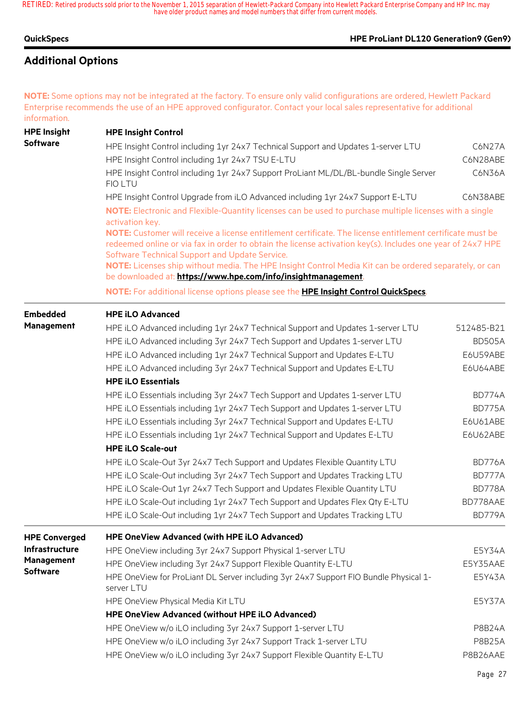### **QuickSpecs HPE ProLiant DL120 Generation9 (Gen9)**

# **Additional Options**

**NOTE:** Some options may not be integrated at the factory. To ensure only valid configurations are ordered, Hewlett Packard Enterprise recommends the use of an HPE approved configurator. Contact your local sales representative for additional information.

| <b>HPE Insight</b>            | <b>HPE Insight Control</b>                                                                                                                                                                                                                                                                                                                                                                                                                            |               |  |  |  |
|-------------------------------|-------------------------------------------------------------------------------------------------------------------------------------------------------------------------------------------------------------------------------------------------------------------------------------------------------------------------------------------------------------------------------------------------------------------------------------------------------|---------------|--|--|--|
| <b>Software</b>               | HPE Insight Control including 1yr 24x7 Technical Support and Updates 1-server LTU                                                                                                                                                                                                                                                                                                                                                                     | C6N27A        |  |  |  |
|                               | HPE Insight Control including 1yr 24x7 TSU E-LTU                                                                                                                                                                                                                                                                                                                                                                                                      | C6N28ABE      |  |  |  |
|                               | HPE Insight Control including 1yr 24x7 Support ProLiant ML/DL/BL-bundle Single Server<br><b>FIOLTU</b>                                                                                                                                                                                                                                                                                                                                                | C6N36A        |  |  |  |
|                               | HPE Insight Control Upgrade from iLO Advanced including 1yr 24x7 Support E-LTU                                                                                                                                                                                                                                                                                                                                                                        | C6N38ABE      |  |  |  |
|                               | NOTE: Electronic and Flexible-Quantity licenses can be used to purchase multiple licenses with a single<br>activation key.                                                                                                                                                                                                                                                                                                                            |               |  |  |  |
|                               | NOTE: Customer will receive a license entitlement certificate. The license entitlement certificate must be<br>redeemed online or via fax in order to obtain the license activation key(s). Includes one year of 24x7 HPE<br>Software Technical Support and Update Service.<br>NOTE: Licenses ship without media. The HPE Insight Control Media Kit can be ordered separately, or can<br>be downloaded at: https://www.hpe.com/info/insightmanagement. |               |  |  |  |
|                               | NOTE: For additional license options please see the <b>HPE Insight Control QuickSpecs</b> .                                                                                                                                                                                                                                                                                                                                                           |               |  |  |  |
| <b>Embedded</b>               | <b>HPE iLO Advanced</b>                                                                                                                                                                                                                                                                                                                                                                                                                               |               |  |  |  |
| Management                    | HPE iLO Advanced including 1yr 24x7 Technical Support and Updates 1-server LTU                                                                                                                                                                                                                                                                                                                                                                        | 512485-B21    |  |  |  |
|                               | HPE iLO Advanced including 3yr 24x7 Tech Support and Updates 1-server LTU                                                                                                                                                                                                                                                                                                                                                                             | <b>BD505A</b> |  |  |  |
|                               | HPE iLO Advanced including 1yr 24x7 Technical Support and Updates E-LTU                                                                                                                                                                                                                                                                                                                                                                               | E6U59ABE      |  |  |  |
|                               | HPE iLO Advanced including 3yr 24x7 Technical Support and Updates E-LTU                                                                                                                                                                                                                                                                                                                                                                               | E6U64ABE      |  |  |  |
|                               | <b>HPE iLO Essentials</b>                                                                                                                                                                                                                                                                                                                                                                                                                             |               |  |  |  |
|                               | HPE iLO Essentials including 3yr 24x7 Tech Support and Updates 1-server LTU                                                                                                                                                                                                                                                                                                                                                                           | <b>BD774A</b> |  |  |  |
|                               | HPE iLO Essentials including 1yr 24x7 Tech Support and Updates 1-server LTU                                                                                                                                                                                                                                                                                                                                                                           | BD775A        |  |  |  |
|                               | HPE iLO Essentials including 3yr 24x7 Technical Support and Updates E-LTU                                                                                                                                                                                                                                                                                                                                                                             | E6U61ABE      |  |  |  |
|                               | HPE iLO Essentials including 1yr 24x7 Technical Support and Updates E-LTU                                                                                                                                                                                                                                                                                                                                                                             | E6U62ABE      |  |  |  |
|                               | <b>HPE iLO Scale-out</b>                                                                                                                                                                                                                                                                                                                                                                                                                              |               |  |  |  |
|                               | HPE iLO Scale-Out 3yr 24x7 Tech Support and Updates Flexible Quantity LTU                                                                                                                                                                                                                                                                                                                                                                             | BD776A        |  |  |  |
|                               | HPE iLO Scale-Out including 3yr 24x7 Tech Support and Updates Tracking LTU                                                                                                                                                                                                                                                                                                                                                                            | BD777A        |  |  |  |
|                               | HPE iLO Scale-Out 1yr 24x7 Tech Support and Updates Flexible Quantity LTU                                                                                                                                                                                                                                                                                                                                                                             | <b>BD778A</b> |  |  |  |
|                               | HPE iLO Scale-Out including 1yr 24x7 Tech Support and Updates Flex Qty E-LTU                                                                                                                                                                                                                                                                                                                                                                          | BD778AAE      |  |  |  |
|                               | HPE iLO Scale-Out including 1yr 24x7 Tech Support and Updates Tracking LTU                                                                                                                                                                                                                                                                                                                                                                            | <b>BD779A</b> |  |  |  |
| <b>HPE Converged</b>          | HPE OneView Advanced (with HPE iLO Advanced)                                                                                                                                                                                                                                                                                                                                                                                                          |               |  |  |  |
| Infrastructure                | HPE OneView including 3yr 24x7 Support Physical 1-server LTU                                                                                                                                                                                                                                                                                                                                                                                          | E5Y34A        |  |  |  |
| Management<br><b>Software</b> | HPE OneView including 3yr 24x7 Support Flexible Quantity E-LTU                                                                                                                                                                                                                                                                                                                                                                                        | E5Y35AAE      |  |  |  |
|                               | HPE OneView for ProLiant DL Server including 3yr 24x7 Support FIO Bundle Physical 1-<br>server LTU                                                                                                                                                                                                                                                                                                                                                    | E5Y43A        |  |  |  |
|                               | HPE OneView Physical Media Kit LTU                                                                                                                                                                                                                                                                                                                                                                                                                    | E5Y37A        |  |  |  |
|                               | HPE OneView Advanced (without HPE iLO Advanced)                                                                                                                                                                                                                                                                                                                                                                                                       |               |  |  |  |
|                               | HPE OneView w/o iLO including 3yr 24x7 Support 1-server LTU                                                                                                                                                                                                                                                                                                                                                                                           | <b>P8B24A</b> |  |  |  |
|                               | HPE OneView w/o iLO including 3yr 24x7 Support Track 1-server LTU                                                                                                                                                                                                                                                                                                                                                                                     | <b>P8B25A</b> |  |  |  |
|                               | HPE OneView w/o iLO including 3yr 24x7 Support Flexible Quantity E-LTU                                                                                                                                                                                                                                                                                                                                                                                | P8B26AAE      |  |  |  |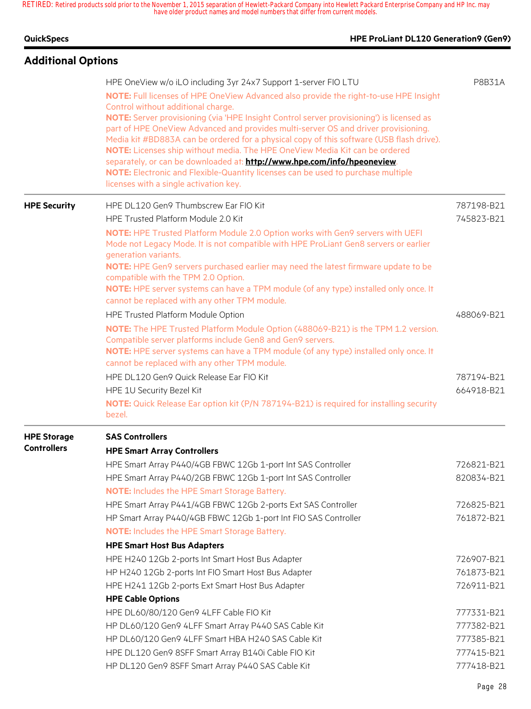| HPE ProLiant DL120 Generation9 (Gen9)<br><b>QuickSpecs</b> |                                                                                                                                                                                                                                                                                                                                                                                                                                                                                                                                                                                                                                                                                                                                                                       |                                                                                                |
|------------------------------------------------------------|-----------------------------------------------------------------------------------------------------------------------------------------------------------------------------------------------------------------------------------------------------------------------------------------------------------------------------------------------------------------------------------------------------------------------------------------------------------------------------------------------------------------------------------------------------------------------------------------------------------------------------------------------------------------------------------------------------------------------------------------------------------------------|------------------------------------------------------------------------------------------------|
| <b>Additional Options</b>                                  |                                                                                                                                                                                                                                                                                                                                                                                                                                                                                                                                                                                                                                                                                                                                                                       |                                                                                                |
|                                                            | HPE OneView w/o iLO including 3yr 24x7 Support 1-server FIO LTU<br>NOTE: Full licenses of HPE OneView Advanced also provide the right-to-use HPE Insight<br>Control without additional charge.<br>NOTE: Server provisioning (via 'HPE Insight Control server provisioning') is licensed as<br>part of HPE OneView Advanced and provides multi-server OS and driver provisioning.<br>Media kit #BD883A can be ordered for a physical copy of this software (USB flash drive).<br>NOTE: Licenses ship without media. The HPE OneView Media Kit can be ordered<br>separately, or can be downloaded at: http://www.hpe.com/info/hpeoneview.<br>NOTE: Electronic and Flexible-Quantity licenses can be used to purchase multiple<br>licenses with a single activation key. | P8B31A                                                                                         |
| <b>HPE Security</b>                                        | HPE DL120 Gen9 Thumbscrew Ear FIO Kit<br>HPE Trusted Platform Module 2.0 Kit<br>NOTE: HPE Trusted Platform Module 2.0 Option works with Gen9 servers with UEFI<br>Mode not Legacy Mode. It is not compatible with HPE ProLiant Gen8 servers or earlier<br>generation variants.<br>NOTE: HPE Gen9 servers purchased earlier may need the latest firmware update to be<br>compatible with the TPM 2.0 Option.<br>NOTE: HPE server systems can have a TPM module (of any type) installed only once. It<br>cannot be replaced with any other TPM module.                                                                                                                                                                                                                  | 787198-B21<br>745823-B21                                                                       |
|                                                            | HPE Trusted Platform Module Option<br>NOTE: The HPE Trusted Platform Module Option (488069-B21) is the TPM 1.2 version.<br>Compatible server platforms include Gen8 and Gen9 servers.<br>NOTE: HPE server systems can have a TPM module (of any type) installed only once. It<br>cannot be replaced with any other TPM module.<br>HPF DL 120 Gen9 Quick Release Far FIO Kit<br>HPE 1U Security Bezel Kit<br>NOTE: Quick Release Ear option kit (P/N 787194-B21) is required for installing security<br>bezel.                                                                                                                                                                                                                                                         | 488069-B21<br>787194-B21<br>664918-B21                                                         |
| <b>HPE Storage</b><br><b>Controllers</b>                   | <b>SAS Controllers</b><br><b>HPE Smart Array Controllers</b><br>HPE Smart Array P440/4GB FBWC 12Gb 1-port Int SAS Controller<br>HPE Smart Array P440/2GB FBWC 12Gb 1-port Int SAS Controller<br><b>NOTE:</b> Includes the HPE Smart Storage Battery.<br>HPE Smart Array P441/4GB FBWC 12Gb 2-ports Ext SAS Controller<br>HP Smart Array P440/4GB FBWC 12Gb 1-port Int FIO SAS Controller<br><b>NOTE:</b> Includes the HPE Smart Storage Battery.<br><b>HPE Smart Host Bus Adapters</b><br>HPE H240 12Gb 2-ports Int Smart Host Bus Adapter<br>HP H240 12Gb 2-ports Int FIO Smart Host Bus Adapter<br>HPE H241 12Gb 2-ports Ext Smart Host Bus Adapter                                                                                                                 | 726821-B21<br>820834-B21<br>726825-B21<br>761872-B21<br>726907-B21<br>761873-B21<br>726911-B21 |
|                                                            | <b>HPE Cable Options</b><br>HPE DL60/80/120 Gen9 4LFF Cable FIO Kit<br>HP DL60/120 Gen9 4LFF Smart Array P440 SAS Cable Kit<br>HP DL60/120 Gen9 4LFF Smart HBA H240 SAS Cable Kit<br>HPE DL120 Gen9 8SFF Smart Array B140i Cable FIO Kit<br>HP DL120 Gen9 8SFF Smart Array P440 SAS Cable Kit                                                                                                                                                                                                                                                                                                                                                                                                                                                                         | 777331-B21<br>777382-B21<br>777385-B21<br>777415-B21<br>777418-B21                             |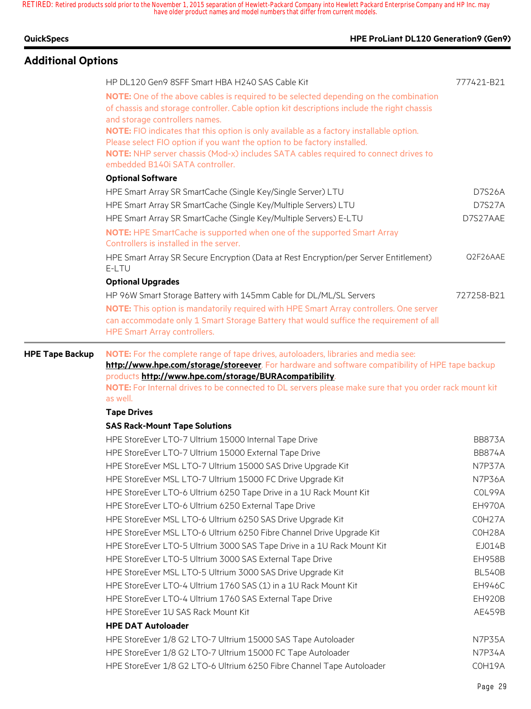| <b>QuickSpecs</b>         | <b>HPE ProLiant DL120 Generation9 (Gen9)</b>                                                                                                                                                                                                                                                                                                                                                                                                                                                                           |                                   |
|---------------------------|------------------------------------------------------------------------------------------------------------------------------------------------------------------------------------------------------------------------------------------------------------------------------------------------------------------------------------------------------------------------------------------------------------------------------------------------------------------------------------------------------------------------|-----------------------------------|
| <b>Additional Options</b> |                                                                                                                                                                                                                                                                                                                                                                                                                                                                                                                        |                                   |
|                           | HP DL120 Gen9 8SFF Smart HBA H240 SAS Cable Kit                                                                                                                                                                                                                                                                                                                                                                                                                                                                        | 777421-B21                        |
|                           | NOTE: One of the above cables is required to be selected depending on the combination<br>of chassis and storage controller. Cable option kit descriptions include the right chassis<br>and storage controllers names.<br>NOTE: FIO indicates that this option is only available as a factory installable option.<br>Please select FIO option if you want the option to be factory installed.<br>NOTE: NHP server chassis (Mod-x) includes SATA cables required to connect drives to<br>embedded B140i SATA controller. |                                   |
|                           | <b>Optional Software</b>                                                                                                                                                                                                                                                                                                                                                                                                                                                                                               |                                   |
|                           | HPE Smart Array SR SmartCache (Single Key/Single Server) LTU<br>HPE Smart Array SR SmartCache (Single Key/Multiple Servers) LTU<br>HPE Smart Array SR SmartCache (Single Key/Multiple Servers) E-LTU<br>NOTE: HPE SmartCache is supported when one of the supported Smart Array                                                                                                                                                                                                                                        | D7S26A<br>D7S27A<br>D7S27AAE      |
|                           | Controllers is installed in the server.<br>HPE Smart Array SR Secure Encryption (Data at Rest Encryption/per Server Entitlement)<br>E-LTU                                                                                                                                                                                                                                                                                                                                                                              | Q2F26AAE                          |
|                           | <b>Optional Upgrades</b>                                                                                                                                                                                                                                                                                                                                                                                                                                                                                               |                                   |
|                           | HP 96W Smart Storage Battery with 145mm Cable for DL/ML/SL Servers<br>NOTE: This option is mandatorily required with HPE Smart Array controllers. One server<br>can accommodate only 1 Smart Storage Battery that would suffice the requirement of all<br><b>HPE Smart Array controllers.</b>                                                                                                                                                                                                                          | 727258-B21                        |
| <b>HPE Tape Backup</b>    | NOTE: For the complete range of tape drives, autoloaders, libraries and media see:<br>http://www.hpe.com/storage/storeever. For hardware and software compatibility of HPE tape backup<br>products http://www.hpe.com/storage/BURAcompatibility.<br>NOTE: For Internal drives to be connected to DL servers please make sure that you order rack mount kit<br>as well.<br><b>Tape Drives</b>                                                                                                                           |                                   |
|                           | <b>SAS Rack-Mount Tape Solutions</b>                                                                                                                                                                                                                                                                                                                                                                                                                                                                                   |                                   |
|                           | HPE StoreEver LTO-7 Ultrium 15000 Internal Tape Drive<br>HPE StoreEver LTO-7 Ultrium 15000 External Tape Drive<br>HPE StoreEver MSL LTO-7 Ultrium 15000 SAS Drive Upgrade Kit                                                                                                                                                                                                                                                                                                                                          | BB873A<br><b>BB874A</b><br>N7P37A |
|                           | HPE StoreEver MSL LTO-7 Ultrium 15000 FC Drive Upgrade Kit                                                                                                                                                                                                                                                                                                                                                                                                                                                             | N7P36A                            |
|                           | HPE StoreEver LTO-6 Ultrium 6250 Tape Drive in a 1U Rack Mount Kit                                                                                                                                                                                                                                                                                                                                                                                                                                                     | COL99A                            |
|                           | HPE StoreEver LTO-6 Ultrium 6250 External Tape Drive                                                                                                                                                                                                                                                                                                                                                                                                                                                                   | EH970A                            |
|                           | HPE StoreEver MSL LTO-6 Ultrium 6250 SAS Drive Upgrade Kit                                                                                                                                                                                                                                                                                                                                                                                                                                                             | COH27A                            |
|                           | HPE StoreEver MSL LTO-6 Ultrium 6250 Fibre Channel Drive Upgrade Kit                                                                                                                                                                                                                                                                                                                                                                                                                                                   | COH28A                            |
|                           | HPE StoreEver LTO-5 Ultrium 3000 SAS Tape Drive in a 1U Rack Mount Kit                                                                                                                                                                                                                                                                                                                                                                                                                                                 | EJ014B                            |
|                           | HPE StoreEver LTO-5 Ultrium 3000 SAS External Tape Drive                                                                                                                                                                                                                                                                                                                                                                                                                                                               | <b>EH958B</b>                     |
|                           | HPE StoreEver MSL LTO-5 Ultrium 3000 SAS Drive Upgrade Kit                                                                                                                                                                                                                                                                                                                                                                                                                                                             | <b>BL540B</b><br><b>EH946C</b>    |
|                           | HPE StoreEver LTO-4 Ultrium 1760 SAS (1) in a 1U Rack Mount Kit<br>HPE StoreEver LTO-4 Ultrium 1760 SAS External Tape Drive                                                                                                                                                                                                                                                                                                                                                                                            | <b>EH920B</b>                     |
|                           | HPE StoreEver 1U SAS Rack Mount Kit<br><b>HPE DAT Autoloader</b>                                                                                                                                                                                                                                                                                                                                                                                                                                                       | AE459B                            |
|                           | HPE StoreEver 1/8 G2 LTO-7 Ultrium 15000 SAS Tape Autoloader                                                                                                                                                                                                                                                                                                                                                                                                                                                           | N7P35A                            |
|                           | HPE StoreEver 1/8 G2 LTO-7 Ultrium 15000 FC Tape Autoloader                                                                                                                                                                                                                                                                                                                                                                                                                                                            | N7P34A                            |
|                           | HPE StoreEver 1/8 G2 LTO-6 Ultrium 6250 Fibre Channel Tape Autoloader                                                                                                                                                                                                                                                                                                                                                                                                                                                  | COH19A                            |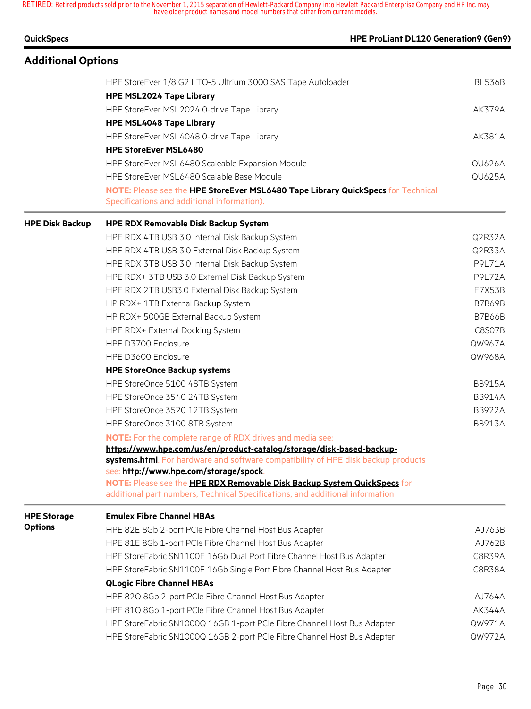| <b>QuickSpecs</b>         |                                                                                                                                                                                                                                                                                                                                                                                                                                      | HPE ProLiant DL120 Generation9 (Gen9)           |
|---------------------------|--------------------------------------------------------------------------------------------------------------------------------------------------------------------------------------------------------------------------------------------------------------------------------------------------------------------------------------------------------------------------------------------------------------------------------------|-------------------------------------------------|
| <b>Additional Options</b> |                                                                                                                                                                                                                                                                                                                                                                                                                                      |                                                 |
|                           | HPE StoreEver 1/8 G2 LTO-5 Ultrium 3000 SAS Tape Autoloader<br><b>HPE MSL2024 Tape Library</b>                                                                                                                                                                                                                                                                                                                                       | <b>BL536B</b>                                   |
|                           | HPE StoreEver MSL2024 0-drive Tape Library<br><b>HPE MSL4048 Tape Library</b>                                                                                                                                                                                                                                                                                                                                                        | AK379A                                          |
|                           | HPE StoreEver MSL4048 0-drive Tape Library<br><b>HPE StoreEver MSL6480</b>                                                                                                                                                                                                                                                                                                                                                           | AK381A                                          |
|                           | HPE StoreEver MSL6480 Scaleable Expansion Module<br>HPE StoreEver MSL6480 Scalable Base Module<br>NOTE: Please see the <b>HPE StoreEver MSL6480 Tape Library QuickSpecs</b> for Technical                                                                                                                                                                                                                                            | QU626A<br><b>QU625A</b>                         |
|                           | Specifications and additional information).                                                                                                                                                                                                                                                                                                                                                                                          |                                                 |
| <b>HPE Disk Backup</b>    | <b>HPE RDX Removable Disk Backup System</b>                                                                                                                                                                                                                                                                                                                                                                                          |                                                 |
|                           | HPE RDX 4TB USB 3.0 Internal Disk Backup System<br>HPE RDX 4TB USB 3.0 External Disk Backup System<br>HPE RDX 3TB USB 3.0 Internal Disk Backup System                                                                                                                                                                                                                                                                                | Q2R32A<br>Q2R33A<br><b>P9L71A</b>               |
|                           | HPE RDX+ 3TB USB 3.0 External Disk Backup System<br>HPE RDX 2TB USB3.0 External Disk Backup System                                                                                                                                                                                                                                                                                                                                   | <b>P9L72A</b><br>E7X53B                         |
|                           | HP RDX+ 1TB External Backup System<br>HP RDX+ 500GB External Backup System                                                                                                                                                                                                                                                                                                                                                           | <b>B7B69B</b><br><b>B7B66B</b>                  |
|                           | HPE RDX+ External Docking System<br>HPE D3700 Enclosure<br>HPE D3600 Enclosure                                                                                                                                                                                                                                                                                                                                                       | C8S07B<br>QW967A<br>QW968A                      |
|                           | <b>HPE StoreOnce Backup systems</b><br>HPE StoreOnce 5100 48TB System                                                                                                                                                                                                                                                                                                                                                                | <b>BB915A</b>                                   |
|                           | HPE StoreOnce 3540 24TB System<br>HPE StoreOnce 3520 12TB System<br>HPE StoreOnce 3100 8TB System                                                                                                                                                                                                                                                                                                                                    | <b>BB914A</b><br><b>BB922A</b><br><b>BB913A</b> |
|                           | <b>NOTE:</b> For the complete range of RDX drives and media see:<br>https://www.hpe.com/us/en/product-catalog/storage/disk-based-backup-<br>systems.html. For hardware and software compatibility of HPE disk backup products<br>see: http://www.hpe.com/storage/spock.<br>NOTE: Please see the HPE RDX Removable Disk Backup System QuickSpecs for<br>additional part numbers, Technical Specifications, and additional information |                                                 |
| <b>HPE Storage</b>        | <b>Emulex Fibre Channel HBAs</b>                                                                                                                                                                                                                                                                                                                                                                                                     |                                                 |
| <b>Options</b>            | HPE 82E 8Gb 2-port PCIe Fibre Channel Host Bus Adapter<br>HPE 81E 8Gb 1-port PCIe Fibre Channel Host Bus Adapter<br>HPE StoreFabric SN1100E 16Gb Dual Port Fibre Channel Host Bus Adapter<br>HPE StoreFabric SN1100E 16Gb Single Port Fibre Channel Host Bus Adapter                                                                                                                                                                 | AJ763B<br>AJ762B<br>C8R39A<br>C8R38A            |
|                           | <b>QLogic Fibre Channel HBAs</b><br>HPE 82Q 8Gb 2-port PCIe Fibre Channel Host Bus Adapter<br>HPE 81Q 8Gb 1-port PCIe Fibre Channel Host Bus Adapter<br>HPE StoreFabric SN1000Q 16GB 1-port PCIe Fibre Channel Host Bus Adapter<br>HPE StoreFabric SN1000Q 16GB 2-port PCIe Fibre Channel Host Bus Adapter                                                                                                                           | AJ764A<br>AK344A<br>QW971A<br>QW972A            |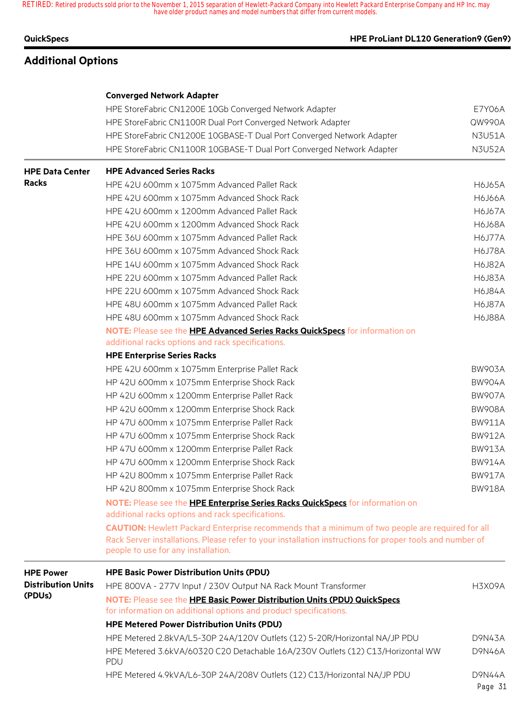### **QuickSpecs HPE ProLiant DL120 Generation9 (Gen9)**

# **Additional Options**

### **Converged Network Adapter**

|                           | HPE StoreFabric CN1200E 10Gb Converged Network Adapter                                                                                                                                                                                              | E7Y06A        |
|---------------------------|-----------------------------------------------------------------------------------------------------------------------------------------------------------------------------------------------------------------------------------------------------|---------------|
|                           | HPE StoreFabric CN1100R Dual Port Converged Network Adapter                                                                                                                                                                                         | QW990A        |
|                           | HPE StoreFabric CN1200E 10GBASE-T Dual Port Converged Network Adapter                                                                                                                                                                               | <b>N3U51A</b> |
|                           | HPE StoreFabric CN1100R 10GBASE-T Dual Port Converged Network Adapter                                                                                                                                                                               | <b>N3U52A</b> |
| <b>HPE Data Center</b>    | <b>HPE Advanced Series Racks</b>                                                                                                                                                                                                                    |               |
| <b>Racks</b>              | HPE 42U 600mm x 1075mm Advanced Pallet Rack                                                                                                                                                                                                         | <b>H6J65A</b> |
|                           | HPE 42U 600mm x 1075mm Advanced Shock Rack                                                                                                                                                                                                          | <b>H6J66A</b> |
|                           | HPE 42U 600mm x 1200mm Advanced Pallet Rack                                                                                                                                                                                                         | <b>H6J67A</b> |
|                           | HPE 42U 600mm x 1200mm Advanced Shock Rack                                                                                                                                                                                                          | <b>H6J68A</b> |
|                           | HPE 36U 600mm x 1075mm Advanced Pallet Rack                                                                                                                                                                                                         | <b>H6J77A</b> |
|                           | HPE 36U 600mm x 1075mm Advanced Shock Rack                                                                                                                                                                                                          | <b>H6J78A</b> |
|                           | HPE 14U 600mm x 1075mm Advanced Shock Rack                                                                                                                                                                                                          | <b>H6J82A</b> |
|                           | HPE 22U 600mm x 1075mm Advanced Pallet Rack                                                                                                                                                                                                         | <b>H6J83A</b> |
|                           | HPE 22U 600mm x 1075mm Advanced Shock Rack                                                                                                                                                                                                          | <b>H6J84A</b> |
|                           | HPE 48U 600mm x 1075mm Advanced Pallet Rack                                                                                                                                                                                                         | <b>H6J87A</b> |
|                           | HPE 48U 600mm x 1075mm Advanced Shock Rack                                                                                                                                                                                                          | <b>H6J88A</b> |
|                           | NOTE: Please see the HPE Advanced Series Racks QuickSpecs for information on<br>additional racks options and rack specifications.                                                                                                                   |               |
|                           | <b>HPE Enterprise Series Racks</b>                                                                                                                                                                                                                  |               |
|                           | HPE 42U 600mm x 1075mm Enterprise Pallet Rack                                                                                                                                                                                                       | <b>BW903A</b> |
|                           | HP 42U 600mm x 1075mm Enterprise Shock Rack                                                                                                                                                                                                         | <b>BW904A</b> |
|                           | HP 42U 600mm x 1200mm Enterprise Pallet Rack                                                                                                                                                                                                        | <b>BW907A</b> |
|                           | HP 42U 600mm x 1200mm Enterprise Shock Rack                                                                                                                                                                                                         | <b>BW908A</b> |
|                           | HP 47U 600mm x 1075mm Enterprise Pallet Rack                                                                                                                                                                                                        | <b>BW911A</b> |
|                           | HP 47U 600mm x 1075mm Enterprise Shock Rack                                                                                                                                                                                                         | <b>BW912A</b> |
|                           | HP 47U 600mm x 1200mm Enterprise Pallet Rack                                                                                                                                                                                                        | <b>BW913A</b> |
|                           | HP 47U 600mm x 1200mm Enterprise Shock Rack                                                                                                                                                                                                         | <b>BW914A</b> |
|                           | HP 42U 800mm x 1075mm Enterprise Pallet Rack                                                                                                                                                                                                        | <b>BW917A</b> |
|                           | HP 42U 800mm x 1075mm Enterprise Shock Rack                                                                                                                                                                                                         | <b>BW918A</b> |
|                           | NOTE: Please see the HPE Enterprise Series Racks QuickSpecs for information on<br>additional racks options and rack specifications.                                                                                                                 |               |
|                           | CAUTION: Hewlett Packard Enterprise recommends that a minimum of two people are required for all<br>Rack Server installations. Please refer to your installation instructions for proper tools and number of<br>people to use for any installation. |               |
| <b>HPE Power</b>          | <b>HPE Basic Power Distribution Units (PDU)</b>                                                                                                                                                                                                     |               |
| <b>Distribution Units</b> | HPE 800VA - 277V Input / 230V Output NA Rack Mount Transformer                                                                                                                                                                                      | <b>H3X09A</b> |
| (PDUs)                    | NOTE: Please see the HPE Basic Power Distribution Units (PDU) QuickSpecs<br>for information on additional options and product specifications.                                                                                                       |               |
|                           | <b>HPE Metered Power Distribution Units (PDU)</b>                                                                                                                                                                                                   |               |
|                           | HPE Metered 2.8kVA/L5-30P 24A/120V Outlets (12) 5-20R/Horizontal NA/JP PDU                                                                                                                                                                          | D9N43A        |
|                           | HPE Metered 3.6kVA/60320 C20 Detachable 16A/230V Outlets (12) C13/Horizontal WW<br><b>PDU</b>                                                                                                                                                       | D9N46A        |

HPE Metered 4.9kVA/L6-30P 24A/208V Outlets (12) C13/Horizontal NA/JP PDU D9N44A

Page 31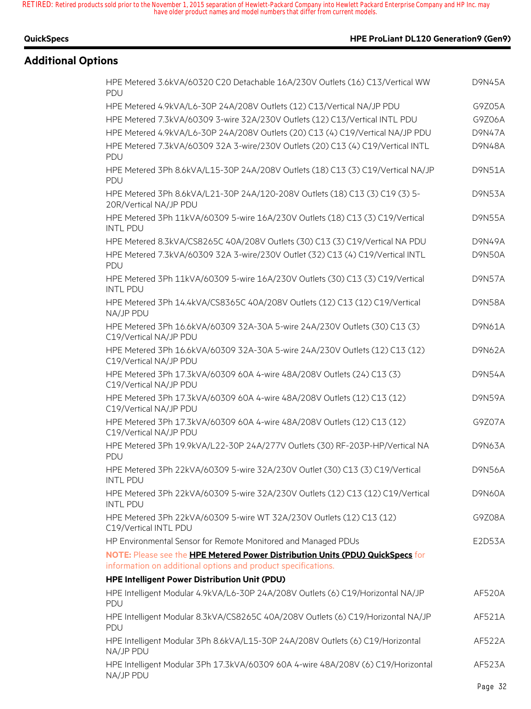|  | QuickSpecs |
|--|------------|
|  |            |

### **QuickSpecs HPE ProLiant DL120 Generation9 (Gen9)**

# **Additional Options**

| HPE Metered 3.6kVA/60320 C20 Detachable 16A/230V Outlets (16) C13/Vertical WW<br><b>PDU</b>           | <b>D9N45A</b> |
|-------------------------------------------------------------------------------------------------------|---------------|
| HPE Metered 4.9kVA/L6-30P 24A/208V Outlets (12) C13/Vertical NA/JP PDU                                | G9Z05A        |
| HPE Metered 7.3kVA/60309 3-wire 32A/230V Outlets (12) C13/Vertical INTL PDU                           | G9Z06A        |
| HPE Metered 4.9kVA/L6-30P 24A/208V Outlets (20) C13 (4) C19/Vertical NA/JP PDU                        | <b>D9N47A</b> |
| HPE Metered 7.3kVA/60309 32A 3-wire/230V Outlets (20) C13 (4) C19/Vertical INTL                       | <b>D9N48A</b> |
| PDU                                                                                                   |               |
| HPE Metered 3Ph 8.6kVA/L15-30P 24A/208V Outlets (18) C13 (3) C19/Vertical NA/JP<br>PDU                | <b>D9N51A</b> |
| HPE Metered 3Ph 8.6kVA/L21-30P 24A/120-208V Outlets (18) C13 (3) C19 (3) 5-<br>20R/Vertical NA/JP PDU | <b>D9N53A</b> |
| HPE Metered 3Ph 11kVA/60309 5-wire 16A/230V Outlets (18) C13 (3) C19/Vertical<br><b>INTL PDU</b>      | <b>D9N55A</b> |
| HPE Metered 8.3kVA/CS8265C 40A/208V Outlets (30) C13 (3) C19/Vertical NA PDU                          | <b>D9N49A</b> |
| HPE Metered 7.3kVA/60309 32A 3-wire/230V Outlet (32) C13 (4) C19/Vertical INTL<br><b>PDU</b>          | <b>D9N50A</b> |
| HPE Metered 3Ph 11kVA/60309 5-wire 16A/230V Outlets (30) C13 (3) C19/Vertical<br><b>INTL PDU</b>      | <b>D9N57A</b> |
| HPE Metered 3Ph 14.4kVA/CS8365C 40A/208V Outlets (12) C13 (12) C19/Vertical<br>NA/JP PDU              | <b>D9N58A</b> |
| HPE Metered 3Ph 16.6kVA/60309 32A-30A 5-wire 24A/230V Outlets (30) C13 (3)<br>C19/Vertical NA/JP PDU  | D9N61A        |
| HPE Metered 3Ph 16.6kVA/60309 32A-30A 5-wire 24A/230V Outlets (12) C13 (12)<br>C19/Vertical NA/JP PDU | D9N62A        |
| HPE Metered 3Ph 17.3kVA/60309 60A 4-wire 48A/208V Outlets (24) C13 (3)<br>C19/Vertical NA/JP PDU      | <b>D9N54A</b> |
| HPE Metered 3Ph 17.3kVA/60309 60A 4-wire 48A/208V Outlets (12) C13 (12)<br>C19/Vertical NA/JP PDU     | <b>D9N59A</b> |
| HPE Metered 3Ph 17.3kVA/60309 60A 4-wire 48A/208V Outlets (12) C13 (12)<br>C19/Vertical NA/JP PDU     | G9Z07A        |
| HPE Metered 3Ph 19.9kVA/L22-30P 24A/277V Outlets (30) RF-203P-HP/Vertical NA<br><b>PDU</b>            | D9N63A        |
| HPE Metered 3Ph 22kVA/60309 5-wire 32A/230V Outlet (30) C13 (3) C19/Vertical<br><b>INTL PDU</b>       | <b>D9N56A</b> |
| HPE Metered 3Ph 22kVA/60309 5-wire 32A/230V Outlets (12) C13 (12) C19/Vertical<br><b>INTL PDU</b>     | <b>D9N60A</b> |
| HPE Metered 3Ph 22kVA/60309 5-wire WT 32A/230V Outlets (12) C13 (12)<br>C19/Vertical INTL PDU         | G9Z08A        |
| HP Environmental Sensor for Remote Monitored and Managed PDUs                                         | E2D53A        |
| NOTE: Please see the HPE Metered Power Distribution Units (PDU) QuickSpecs for                        |               |
| information on additional options and product specifications.                                         |               |
| <b>HPE Intelligent Power Distribution Unit (PDU)</b>                                                  |               |
| HPE Intelligent Modular 4.9kVA/L6-30P 24A/208V Outlets (6) C19/Horizontal NA/JP<br>PDU                | AF520A        |
| HPE Intelligent Modular 8.3kVA/CS8265C 40A/208V Outlets (6) C19/Horizontal NA/JP<br>PDU               | AF521A        |
| HPE Intelligent Modular 3Ph 8.6kVA/L15-30P 24A/208V Outlets (6) C19/Horizontal<br>NA/JP PDU           | AF522A        |
| HPE Intelligent Modular 3Ph 17.3kVA/60309 60A 4-wire 48A/208V (6) C19/Horizontal<br>NA/JP PDU         | AF523A        |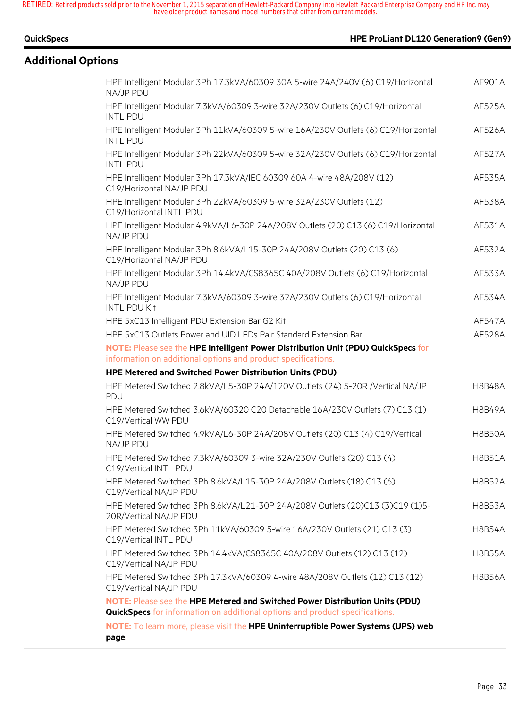| QuickSpecs |  |  |
|------------|--|--|
|            |  |  |
|            |  |  |

# **Additional Options**

| HPE Intelligent Modular 3Ph 17.3kVA/60309 30A 5-wire 24A/240V (6) C19/Horizontal<br>NA/JP PDU                                                                       | AF901A        |
|---------------------------------------------------------------------------------------------------------------------------------------------------------------------|---------------|
| HPE Intelligent Modular 7.3kVA/60309 3-wire 32A/230V Outlets (6) C19/Horizontal<br><b>INTL PDU</b>                                                                  | AF525A        |
| HPE Intelligent Modular 3Ph 11kVA/60309 5-wire 16A/230V Outlets (6) C19/Horizontal<br><b>INTL PDU</b>                                                               | AF526A        |
| HPE Intelligent Modular 3Ph 22kVA/60309 5-wire 32A/230V Outlets (6) C19/Horizontal<br><b>INTL PDU</b>                                                               | <b>AF527A</b> |
| HPE Intelligent Modular 3Ph 17.3kVA/IEC 60309 60A 4-wire 48A/208V (12)<br>C19/Horizontal NA/JP PDU                                                                  | <b>AF535A</b> |
| HPE Intelligent Modular 3Ph 22kVA/60309 5-wire 32A/230V Outlets (12)<br>C19/Horizontal INTL PDU                                                                     | AF538A        |
| HPE Intelligent Modular 4.9kVA/L6-30P 24A/208V Outlets (20) C13 (6) C19/Horizontal<br>NA/JP PDU                                                                     | AF531A        |
| HPE Intelligent Modular 3Ph 8.6kVA/L15-30P 24A/208V Outlets (20) C13 (6)<br>C19/Horizontal NA/JP PDU                                                                | AF532A        |
| HPE Intelligent Modular 3Ph 14.4kVA/CS8365C 40A/208V Outlets (6) C19/Horizontal<br>NA/JP PDU                                                                        | AF533A        |
| HPE Intelligent Modular 7.3kVA/60309 3-wire 32A/230V Outlets (6) C19/Horizontal<br><b>INTL PDU Kit</b>                                                              | AF534A        |
| HPE 5xC13 Intelligent PDU Extension Bar G2 Kit                                                                                                                      | <b>AF547A</b> |
| HPE 5xC13 Outlets Power and UID LEDs Pair Standard Extension Bar                                                                                                    | AF528A        |
| NOTE: Please see the HPE Intelligent Power Distribution Unit (PDU) QuickSpecs for                                                                                   |               |
| information on additional options and product specifications.                                                                                                       |               |
| HPE Metered and Switched Power Distribution Units (PDU)                                                                                                             |               |
|                                                                                                                                                                     |               |
| HPE Metered Switched 2.8kVA/L5-30P 24A/120V Outlets (24) 5-20R /Vertical NA/JP<br>PDU                                                                               | <b>H8B48A</b> |
| HPE Metered Switched 3.6kVA/60320 C20 Detachable 16A/230V Outlets (7) C13 (1)<br>C19/Vertical WW PDU                                                                | <b>H8B49A</b> |
| HPE Metered Switched 4.9kVA/L6-30P 24A/208V Outlets (20) C13 (4) C19/Vertical<br>NA/JP PDU                                                                          | <b>H8B50A</b> |
| HPE Metered Switched 7.3kVA/60309 3-wire 32A/230V Outlets (20) C13 (4)<br>C19/Vertical INTL PDU                                                                     | <b>H8B51A</b> |
| HPE Metered Switched 3Ph 8.6kVA/L15-30P 24A/208V Outlets (18) C13 (6)<br>C19/Vertical NA/JP PDU                                                                     | <b>H8B52A</b> |
| HPE Metered Switched 3Ph 8.6kVA/L21-30P 24A/208V Outlets (20)C13 (3)C19 (1)5-<br>20R/Vertical NA/JP PDU                                                             | <b>H8B53A</b> |
| HPE Metered Switched 3Ph 11kVA/60309 5-wire 16A/230V Outlets (21) C13 (3)<br>C19/Vertical INTL PDU                                                                  | <b>H8B54A</b> |
| HPE Metered Switched 3Ph 14.4kVA/CS8365C 40A/208V Outlets (12) C13 (12)<br>C19/Vertical NA/JP PDU                                                                   | <b>H8B55A</b> |
| HPE Metered Switched 3Ph 17.3kVA/60309 4-wire 48A/208V Outlets (12) C13 (12)<br>C19/Vertical NA/JP PDU                                                              | <b>H8B56A</b> |
| NOTE: Please see the HPE Metered and Switched Power Distribution Units (PDU)<br><b>QuickSpecs</b> for information on additional options and product specifications. |               |
| NOTE: To learn more, please visit the HPE Uninterruptible Power Systems (UPS) web                                                                                   |               |
| page.                                                                                                                                                               |               |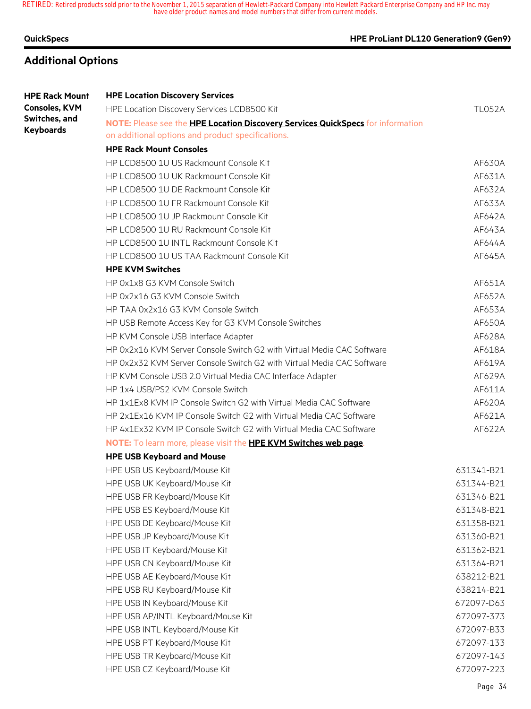### **QuickSpecs HPE ProLiant DL120 Generation9 (Gen9)**

# **Additional Options**

# **HPE Rack Mount Consoles, KVM Switches, and Keyboards HPE Location Discovery Services** HPE Location Discovery Services LCD8500 Kit TL052A **NOTE:** Please see the **HPE Location Discovery Services QuickSpecs** for information on additional options and product specifications. **HPE Rack Mount Consoles** HP LCD8500 1U US Rackmount Console Kit AF630A HP LCD8500 1U UK Rackmount Console Kit AF631A HP LCD8500 1U DE Rackmount Console Kit AF632A HP LCD8500 1U FR Rackmount Console Kit AF633A HP LCD8500 1U JP Rackmount Console Kit AF642A HP LCD8500 1U RU Rackmount Console Kit AF643A HP LCD8500 1U INTL Rackmount Console Kit AF644A HP LCD8500 1U US TAA Rackmount Console Kit AF645A **HPE KVM Switches** HP 0x1x8 G3 KVM Console Switch AF651A HP 0x2x16 G3 KVM Console Switch AF652A HP TAA 0x2x16 G3 KVM Console Switch AF653A HP USB Remote Access Key for G3 KVM Console Switches AT AT AT AF650A HP KVM Console USB Interface Adapter And Afford Afford AF628A HP 0x2x16 KVM Server Console Switch G2 with Virtual Media CAC Software AT618A HP 0x2x32 KVM Server Console Switch G2 with Virtual Media CAC Software AT619A HP KVM Console USB 2.0 Virtual Media CAC Interface Adapter **ARM 2006** AF629A HP 1x4 USB/PS2 KVM Console Switch AF611A AF611A HP 1x1Fx8 KVM IP Console Switch G2 with Virtual Media CAC Software ATH AF620A HP 2x1Ex16 KVM IP Console Switch G2 with Virtual Media CAC Software ATE AF621A HP 4x1Ex32 KVM IP Console Switch G2 with Virtual Media CAC Software ATHOSTALL AF622A **NOTE:** To learn more, please visit the **HPE KVM Switches web page**. **HPE USB Keyboard and Mouse** HPE USB US Keyboard/Mouse Kit 631341-B21 HPE USB UK Keyboard/Mouse Kit 631344-B21 HPE USB FR Keyboard/Mouse Kit 631346-B21 HPE USB ES Keyboard/Mouse Kit 631348-B21 HPE USB DE Keyboard/Mouse Kit 631358-B21 HPE USB JP Keyboard/Mouse Kit 631360-B21 HPE USB IT Keyboard/Mouse Kit 631362-B21 HPE USB CN Keyboard/Mouse Kit 631364-B21 HPE USB AE Keyboard/Mouse Kit 638212-B21 HPE USB RU Keyboard/Mouse Kit 638214-B21 HPE USB IN Keyboard/Mouse Kit 672097-D63 HPE USB AP/INTL Keyboard/Mouse Kit 672097-373 HPE USB INTL Keyboard/Mouse Kit 672097-B33 HPE USB PT Keyboard/Mouse Kit 672097-133 HPE USB TR Keyboard/Mouse Kit 672097-143 HPE USB CZ Keyboard/Mouse Kit 672097-223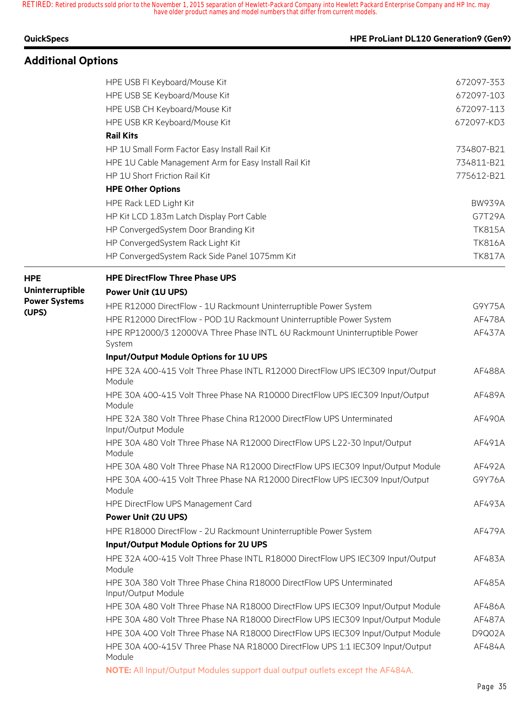# **QuickSpecs HPE ProLiant DL120 Generation9 (Gen9)**

| <b>Additional Options</b> |                                                                                              |               |
|---------------------------|----------------------------------------------------------------------------------------------|---------------|
|                           | HPE USB FI Keyboard/Mouse Kit                                                                | 672097-353    |
|                           | HPE USB SE Keyboard/Mouse Kit                                                                | 672097-103    |
|                           | HPE USB CH Keyboard/Mouse Kit                                                                | 672097-113    |
|                           | HPE USB KR Keyboard/Mouse Kit                                                                | 672097-KD3    |
|                           | <b>Rail Kits</b>                                                                             |               |
|                           | HP 1U Small Form Factor Easy Install Rail Kit                                                | 734807-B21    |
|                           | HPE 1U Cable Management Arm for Easy Install Rail Kit                                        | 734811-B21    |
|                           | HP 1U Short Friction Rail Kit                                                                | 775612-B21    |
|                           | <b>HPE Other Options</b>                                                                     |               |
|                           | HPE Rack LED Light Kit                                                                       | <b>BW939A</b> |
|                           | HP Kit LCD 1.83m Latch Display Port Cable                                                    | G7T29A        |
|                           | HP ConvergedSystem Door Branding Kit                                                         | <b>TK815A</b> |
|                           | HP ConvergedSystem Rack Light Kit                                                            | <b>TK816A</b> |
|                           | HP ConvergedSystem Rack Side Panel 1075mm Kit                                                | <b>TK817A</b> |
| <b>HPE</b>                | <b>HPE DirectFlow Three Phase UPS</b>                                                        |               |
| Uninterruptible           | <b>Power Unit (1U UPS)</b>                                                                   |               |
| <b>Power Systems</b>      | HPE R12000 DirectFlow - 1U Rackmount Uninterruptible Power System                            | G9Y75A        |
| (UPS)                     | HPE R12000 DirectFlow - POD 1U Rackmount Uninterruptible Power System                        | AF478A        |
|                           | HPE RP12000/3 12000VA Three Phase INTL 6U Rackmount Uninterruptible Power<br>System          | AF437A        |
|                           | Input/Output Module Options for 1U UPS                                                       |               |
|                           | HPE 32A 400-415 Volt Three Phase INTL R12000 DirectFlow UPS IEC309 Input/Output<br>Module    | AF488A        |
|                           | HPE 30A 400-415 Volt Three Phase NA R10000 DirectFlow UPS IEC309 Input/Output<br>Module      | AF489A        |
|                           | HPE 32A 380 Volt Three Phase China R12000 DirectFlow UPS Unterminated<br>Input/Output Module | AF490A        |
|                           | HPE 30A 480 Volt Three Phase NA R12000 DirectFlow UPS L22-30 Input/Output<br>Module          | AF491A        |
|                           | HPE 30A 480 Volt Three Phase NA R12000 DirectFlow UPS IEC309 Input/Output Module             | AF492A        |
|                           | HPE 30A 400-415 Volt Three Phase NA R12000 DirectFlow UPS IEC309 Input/Output<br>Module      | G9Y76A        |
|                           | HPE DirectFlow UPS Management Card                                                           | AF493A        |
|                           | <b>Power Unit (2U UPS)</b>                                                                   |               |
|                           | HPE R18000 DirectFlow - 2U Rackmount Uninterruptible Power System                            | AF479A        |
|                           | Input/Output Module Options for 2U UPS                                                       |               |
|                           | HPE 32A 400-415 Volt Three Phase INTL R18000 DirectFlow UPS IEC309 Input/Output<br>Module    | AF483A        |
|                           | HPE 30A 380 Volt Three Phase China R18000 DirectFlow UPS Unterminated<br>Input/Output Module | AF485A        |
|                           | HPE 30A 480 Volt Three Phase NA R18000 DirectFlow UPS IEC309 Input/Output Module             | AF486A        |
|                           | HPE 30A 480 Volt Three Phase NA R18000 DirectFlow UPS IEC309 Input/Output Module             | AF487A        |
|                           | HPE 30A 400 Volt Three Phase NA R18000 DirectFlow UPS IEC309 Input/Output Module             | D9Q02A        |

**NOTE:** All Input/Output Modules support dual output outlets except the AF484A.

Module

HPE 30A 400-415V Three Phase NA R18000 DirectFlow UPS 1:1 IEC309 Input/Output

AF484A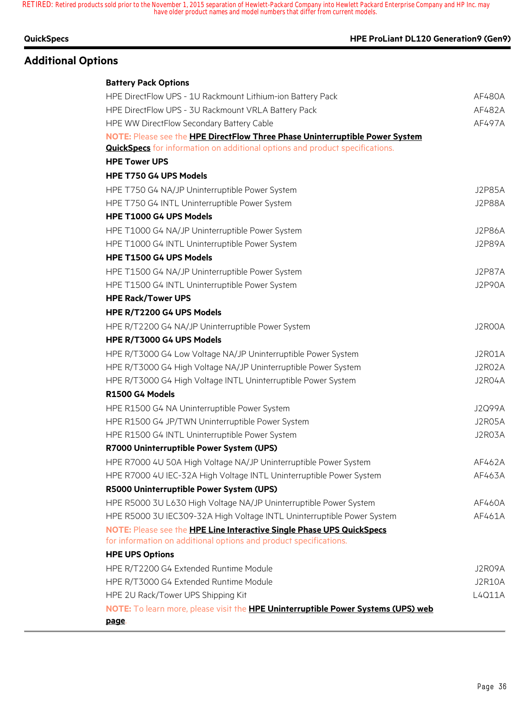# **Additional Options**

### **QuickSpecs HPE ProLiant DL120 Generation9 (Gen9)**

| <b>Battery Pack Options</b>                                                         |               |
|-------------------------------------------------------------------------------------|---------------|
| HPE DirectFlow UPS - 1U Rackmount Lithium-ion Battery Pack                          | AF480A        |
| HPE DirectFlow UPS - 3U Rackmount VRLA Battery Pack                                 | AF482A        |
| HPE WW DirectFlow Secondary Battery Cable                                           | AF497A        |
| NOTE: Please see the HPE DirectFlow Three Phase Uninterruptible Power System        |               |
| <b>QuickSpecs</b> for information on additional options and product specifications. |               |
| <b>HPE Tower UPS</b>                                                                |               |
| HPE T750 G4 UPS Models                                                              |               |
| HPE T750 G4 NA/JP Uninterruptible Power System                                      | J2P85A        |
| HPE T750 G4 INTL Uninterruptible Power System                                       | <b>J2P88A</b> |
| HPE T1000 G4 UPS Models                                                             |               |
| HPE T1000 G4 NA/JP Uninterruptible Power System                                     | <b>J2P86A</b> |
| HPE T1000 G4 INTL Uninterruptible Power System                                      | <b>J2P89A</b> |
| HPE T1500 G4 UPS Models                                                             |               |
| HPE T1500 G4 NA/JP Uninterruptible Power System                                     | <b>J2P87A</b> |
| HPE T1500 G4 INTL Uninterruptible Power System                                      | <b>J2P90A</b> |
| <b>HPE Rack/Tower UPS</b>                                                           |               |
| HPE R/T2200 G4 UPS Models                                                           |               |
| HPE R/T2200 G4 NA/JP Uninterruptible Power System                                   | J2R00A        |
| HPE R/T3000 G4 UPS Models                                                           |               |
| HPE R/T3000 G4 Low Voltage NA/JP Uninterruptible Power System                       | J2R01A        |
| HPE R/T3000 G4 High Voltage NA/JP Uninterruptible Power System                      | J2R02A        |
| HPE R/T3000 G4 High Voltage INTL Uninterruptible Power System                       | J2R04A        |
| R1500 G4 Models                                                                     |               |
| HPE R1500 G4 NA Uninterruptible Power System                                        | J2Q99A        |
| HPE R1500 G4 JP/TWN Uninterruptible Power System                                    | J2R05A        |
| HPE R1500 G4 INTL Uninterruptible Power System                                      | J2R03A        |
| R7000 Uninterruptible Power System (UPS)                                            |               |
| HPE R7000 4U 50A High Voltage NA/JP Uninterruptible Power System                    | AF462A        |
| HPE R7000 4U IEC-32A High Voltage INTL Uninterruptible Power System                 | AF463A        |
| R5000 Uninterruptible Power System (UPS)                                            |               |
| HPE R5000 3U L630 High Voltage NA/JP Uninterruptible Power System                   | AF460A        |
| HPE R5000 3U IEC309-32A High Voltage INTL Uninterruptible Power System              | AF461A        |
| NOTE: Please see the HPE Line Interactive Single Phase UPS QuickSpecs               |               |
| for information on additional options and product specifications.                   |               |
| <b>HPE UPS Options</b>                                                              |               |
| HPE R/T2200 G4 Extended Runtime Module                                              | J2R09A        |
| HPE R/T3000 G4 Extended Runtime Module                                              | <b>J2R10A</b> |
| HPE 2U Rack/Tower UPS Shipping Kit                                                  | L4Q11A        |
| NOTE: To learn more, please visit the HPE Uninterruptible Power Systems (UPS) web   |               |
| page.                                                                               |               |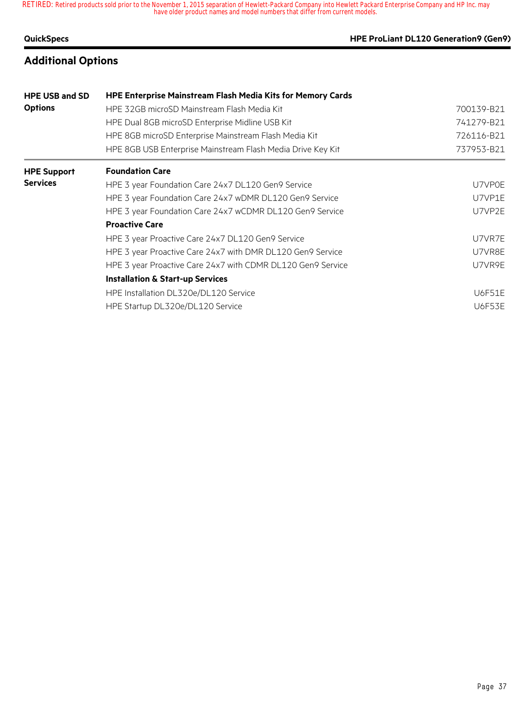### **QuickSpecs HPE ProLiant DL120 Generation9 (Gen9)**

# **Additional Options**

| <b>HPE USB and SD</b> | <b>HPE Enterprise Mainstream Flash Media Kits for Memory Cards</b> |               |
|-----------------------|--------------------------------------------------------------------|---------------|
| <b>Options</b>        | HPE 32GB microSD Mainstream Flash Media Kit                        | 700139-B21    |
|                       | HPE Dual 8GB microSD Enterprise Midline USB Kit                    | 741279-B21    |
|                       | HPE 8GB microSD Enterprise Mainstream Flash Media Kit              | 726116-B21    |
|                       | HPE 8GB USB Enterprise Mainstream Flash Media Drive Key Kit        | 737953-B21    |
| <b>HPE Support</b>    | <b>Foundation Care</b>                                             |               |
| <b>Services</b>       | HPE 3 year Foundation Care 24x7 DL120 Gen9 Service                 | U7VP0E        |
|                       | HPE 3 year Foundation Care 24x7 wDMR DL120 Gen9 Service            | U7VP1E        |
|                       | HPE 3 year Foundation Care 24x7 wCDMR DL120 Gen9 Service           | U7VP2E        |
|                       | <b>Proactive Care</b>                                              |               |
|                       | HPE 3 year Proactive Care 24x7 DL120 Gen9 Service                  | U7VR7E        |
|                       | HPE 3 year Proactive Care 24x7 with DMR DL120 Gen9 Service         | U7VR8E        |
|                       | HPE 3 year Proactive Care 24x7 with CDMR DL120 Gen9 Service        | U7VR9E        |
|                       | <b>Installation &amp; Start-up Services</b>                        |               |
|                       | HPE Installation DL320e/DL120 Service                              | <b>U6F51E</b> |
|                       | HPE Startup DL320e/DL120 Service                                   | <b>U6F53E</b> |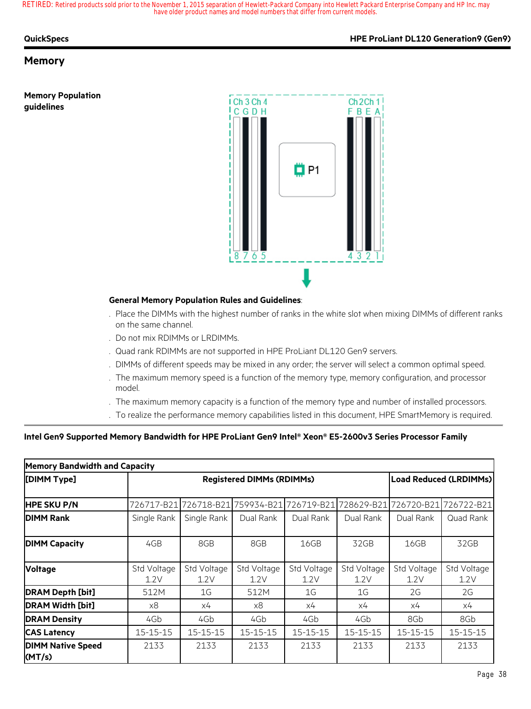### **QuickSpecs HPE ProLiant DL120 Generation9 (Gen9)**

### **Memory**

**Memory Population guidelines**



#### **General Memory Population Rules and Guidelines**:

- . Place the DIMMs with the highest number of ranks in the white slot when mixing DIMMs of different ranks on the same channel.
- . Do not mix RDIMMs or LRDIMMs.
- . Quad rank RDIMMs are not supported in HPE ProLiant DL120 Gen9 servers.
- . DIMMs of different speeds may be mixed in any order; the server will select a common optimal speed.
- . The maximum memory speed is a function of the memory type, memory configuration, and processor model.
- . The maximum memory capacity is a function of the memory type and number of installed processors.
- . To realize the performance memory capabilities listed in this document, HPE SmartMemory is required.

#### **Intel Gen9 Supported Memory Bandwidth for HPE ProLiant Gen9 Intel® Xeon® E5-2600v3 Series Processor Family**

| <b>Memory Bandwidth and Capacity</b> |                     |                                  |                               |                                  |                     |                     |                     |
|--------------------------------------|---------------------|----------------------------------|-------------------------------|----------------------------------|---------------------|---------------------|---------------------|
| [DIMM Type]                          |                     | <b>Registered DIMMs (RDIMMs)</b> | <b>Load Reduced (LRDIMMs)</b> |                                  |                     |                     |                     |
|                                      |                     |                                  |                               |                                  |                     |                     |                     |
| <b>HPE SKU P/N</b>                   | 726717-B21          | 726718-B21                       |                               | 759934-B21 726719-B21 728629-B21 |                     | 726720-B21          | 726722-B21          |
| <b>DIMM Rank</b>                     | Single Rank         | Single Rank                      | Dual Rank                     | Dual Rank                        | Dual Rank           | Dual Rank           | Quad Rank           |
| <b>DIMM Capacity</b>                 | 4GB                 | 8GB                              | 8GB                           | 16GB                             | 32GB                | 16GB                | 32GB                |
| <b>Voltage</b>                       | Std Voltage<br>1.2V | Std Voltage<br>1.2V              | Std Voltage<br>1.2V           | Std Voltage<br>1.2V              | Std Voltage<br>1.2V | Std Voltage<br>1.2V | Std Voltage<br>1.2V |
| <b>DRAM Depth [bit]</b>              | 512M                | 1G                               | 512M                          | 1G                               | 1G                  | 2G                  | 2G                  |
| <b>DRAM Width [bit]</b>              | х8                  | х4                               | х8                            | х4                               | х4                  | х4                  | х4                  |
| <b>DRAM Density</b>                  | 4Gb                 | 4Gb                              | 4Gb                           | 4Gb                              | 4Gb                 | 8Gb                 | 8Gb                 |
| <b>CAS Latency</b>                   | 15-15-15            | $15 - 15 - 15$                   | $15 - 15 - 15$                | $15 - 15 - 15$                   | 15-15-15            | $15 - 15 - 15$      | $15 - 15 - 15$      |
| <b>DIMM Native Speed</b><br>(MT/s)   | 2133                | 2133                             | 2133                          | 2133                             | 2133                | 2133                | 2133                |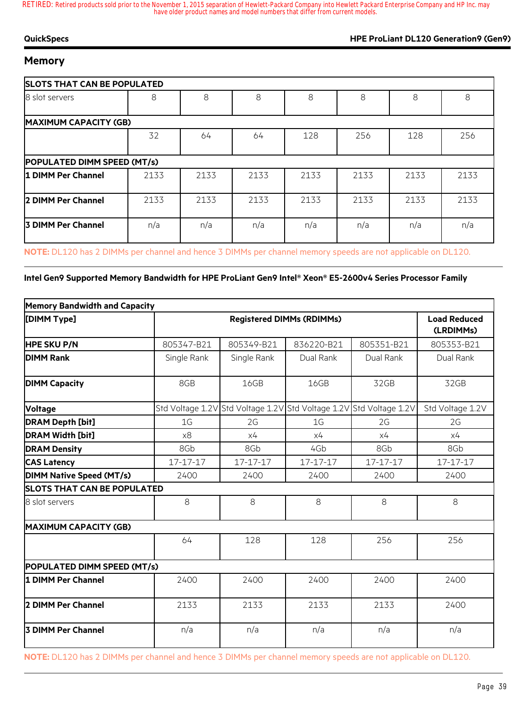### **Memory**

| <b>SLOTS THAT CAN BE POPULATED</b> |      |      |      |      |      |      |      |
|------------------------------------|------|------|------|------|------|------|------|
| 8 slot servers                     | 8    | 8    | 8    | 8    | 8    | 8    | 8    |
| <b>MAXIMUM CAPACITY (GB)</b>       |      |      |      |      |      |      |      |
|                                    | 32   | 64   | 64   | 128  | 256  | 128  | 256  |
| POPULATED DIMM SPEED (MT/s)        |      |      |      |      |      |      |      |
| 1 DIMM Per Channel                 | 2133 | 2133 | 2133 | 2133 | 2133 | 2133 | 2133 |
| 2 DIMM Per Channel                 | 2133 | 2133 | 2133 | 2133 | 2133 | 2133 | 2133 |
| <b>3 DIMM Per Channel</b>          | n/a  | n/a  | n/a  | n/a  | n/a  | n/a  | n/a  |

**NOTE:** DL120 has 2 DIMMs per channel and hence 3 DIMMs per channel memory speeds are not applicable on DL120.

#### **Intel Gen9 Supported Memory Bandwidth for HPE ProLiant Gen9 Intel® Xeon® E5-2600v4 Series Processor Family**

| <b>Memory Bandwidth and Capacity</b> |                |                                                                     |            |            |                  |  |
|--------------------------------------|----------------|---------------------------------------------------------------------|------------|------------|------------------|--|
| [DIMM Type]                          |                | <b>Registered DIMMs (RDIMMs)</b>                                    |            |            |                  |  |
| <b>HPE SKU P/N</b>                   | 805347-B21     | 805349-B21                                                          | 836220-B21 | 805351-B21 | 805353-B21       |  |
| <b>DIMM Rank</b>                     | Single Rank    | Single Rank                                                         | Dual Rank  | Dual Rank  | Dual Rank        |  |
| <b>DIMM Capacity</b>                 | 8GB            | 16GB                                                                | 16GB       | 32GB       | 32GB             |  |
| Voltage                              |                | Std Voltage 1.2V Std Voltage 1.2V Std Voltage 1.2V Std Voltage 1.2V |            |            | Std Voltage 1.2V |  |
| <b>DRAM Depth [bit]</b>              | 1 <sub>G</sub> | 2G                                                                  | 1G         | 2G         | 2G               |  |
| <b>DRAM Width [bit]</b>              | x8             | x4                                                                  | x4         | x4         | x4               |  |
| <b>DRAM Density</b>                  | 8Gb            | 8Gb                                                                 | 4Gb        | 8Gb        | 8Gb              |  |
| <b>CAS Latency</b>                   | 17-17-17       | 17-17-17                                                            | 17-17-17   | 17-17-17   | 17-17-17         |  |
| <b>DIMM Native Speed (MT/s)</b>      | 2400           | 2400                                                                | 2400       | 2400       | 2400             |  |
| <b>SLOTS THAT CAN BE POPULATED</b>   |                |                                                                     |            |            |                  |  |
| 8 slot servers                       | 8              | 8                                                                   | 8          | 8          | 8                |  |
| <b>MAXIMUM CAPACITY (GB)</b>         |                |                                                                     |            |            |                  |  |
|                                      | 64             | 128                                                                 | 128        | 256        | 256              |  |
| POPULATED DIMM SPEED (MT/s)          |                |                                                                     |            |            |                  |  |
| 1 DIMM Per Channel                   | 2400           | 2400                                                                | 2400       | 2400       | 2400             |  |
| 2 DIMM Per Channel                   | 2133           | 2133                                                                | 2133       | 2133       | 2400             |  |
| 3 DIMM Per Channel                   | n/a            | n/a                                                                 | n/a        | n/a        | n/a              |  |
|                                      |                |                                                                     |            |            |                  |  |

**NOTE:** DL120 has 2 DIMMs per channel and hence 3 DIMMs per channel memory speeds are not applicable on DL120.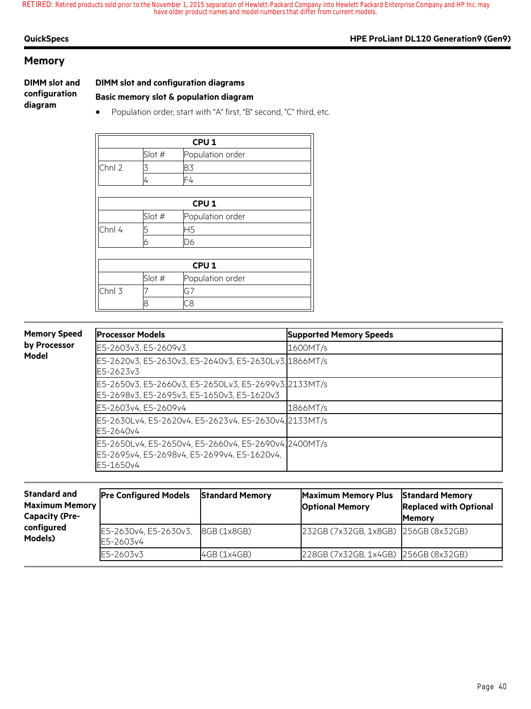### **QuickSpecs HPE ProLiant DL120 Generation9 (Gen9)**

# **Memory**

**DIMM slot and configuration diagram**

# **DIMM slot and configuration diagrams Basic memory slot & population diagram**

• Population order; start with "A" first, "B" second, "C" third, etc.

|        | CPU <sub>1</sub> |                  |  |  |  |  |
|--------|------------------|------------------|--|--|--|--|
|        | Slot #           | Population order |  |  |  |  |
| Chnl 2 | ζ                | B3               |  |  |  |  |
|        | 4                | F4               |  |  |  |  |
|        |                  |                  |  |  |  |  |
|        |                  | CPU <sub>1</sub> |  |  |  |  |
|        | Slot #           | Population order |  |  |  |  |
| Chnl 4 | 5                | H5               |  |  |  |  |
|        | 6                | D6               |  |  |  |  |
|        |                  |                  |  |  |  |  |
|        |                  | CPU <sub>1</sub> |  |  |  |  |
|        | Slot #           | Population order |  |  |  |  |
| Chnl 3 |                  | G7               |  |  |  |  |
|        | 8                | C8               |  |  |  |  |

| <b>Memory Speed</b>   | <b>Processor Models</b>                                                                                           | <b>Supported Memory Speeds</b> |
|-----------------------|-------------------------------------------------------------------------------------------------------------------|--------------------------------|
| by Processor<br>Model | E5-2603v3, E5-2609v3                                                                                              | 1600MT/s                       |
|                       | E5-2620v3, E5-2630v3, E5-2640v3, E5-2630Lv3, 1866MT/s<br>E5-2623v3                                                |                                |
|                       | E5-2650v3, E5-2660v3, E5-2650Lv3, E5-2699v3, 2133MT/s<br>E5-2698v3, E5-2695v3, E5-1650v3, E5-1620v3               |                                |
|                       | E5-2603v4, E5-2609v4                                                                                              | 1866MT/s                       |
|                       | E5-2630Lv4, E5-2620v4, E5-2623v4, E5-2630v4, 2133MT/s<br>E5-2640v4                                                |                                |
|                       | E5-2650Lv4, E5-2650v4, E5-2660v4, E5-2690v4, 2400MT/s<br>E5-2695v4, E5-2698v4, E5-2699v4, E5-1620v4,<br>E5-1650v4 |                                |

| <b>Standard and</b><br><b>Maximum Memory</b><br><b>Capacity (Pre-</b> | <b>Pre Configured Models</b>       | <b>Standard Memory</b> | <b>Maximum Memory Plus</b><br><b>Optional Memory</b> | <b>Standard Memory</b><br><b>Replaced with Optional</b><br><b>Memory</b> |
|-----------------------------------------------------------------------|------------------------------------|------------------------|------------------------------------------------------|--------------------------------------------------------------------------|
| configured<br>Models)                                                 | E5-2630v4, E5-2630v3,<br>E5-2603v4 | 8GB (1x8GB)            | 232GB (7x32GB, 1x8GB) 256GB (8x32GB)                 |                                                                          |
|                                                                       | E5-2603v3                          | 4GB (1x4GB)            | 228GB (7x32GB, 1x4GB) 256GB (8x32GB)                 |                                                                          |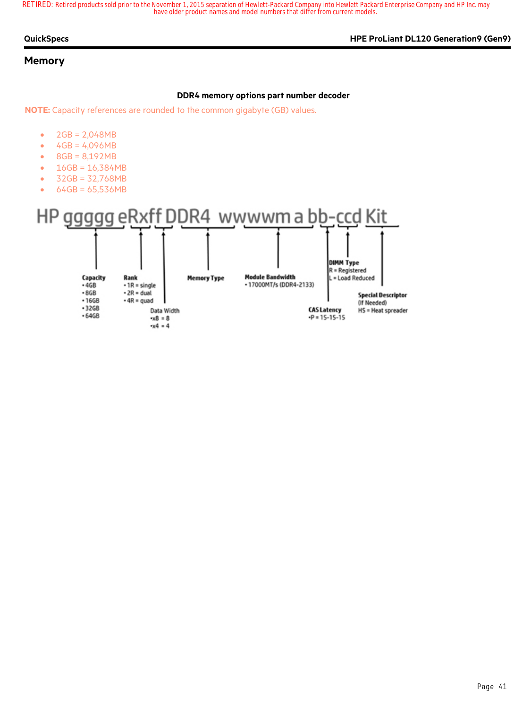### **QuickSpecs HPE ProLiant DL120 Generation9 (Gen9)**

#### **Memory**

#### **DDR4 memory options part number decoder**

**NOTE:** Capacity references are rounded to the common gigabyte (GB) values.

- 2GB = 2,048MB
- $4GB = 4,096MB$
- 8GB = 8,192MB
- $16GB = 16,384MB$
- 32GB = 32,768MB
- 64GB = 65,536MB

#### HP ggggg eRxff DDR4 wwwwm a bb-ccd Kit **DIMM Type<br>R = Registered Module Bandwidth** L = Load Reduced Capacity Rank **Memory Type** -17000MT/s (DDR4-2133)  $\cdot$  1R = single  $-4GB$  $-86B$  $-2R = dual$ **Special Descriptor**  $-16GB$  $-4R = quad$ (If Needed)  $-32GB$ **CAS Latency** Data Width HS = Heat spreader  $-64GB$  $-P = 15 - 15 - 15$  $-x8 = 8$  $-x4 = 4$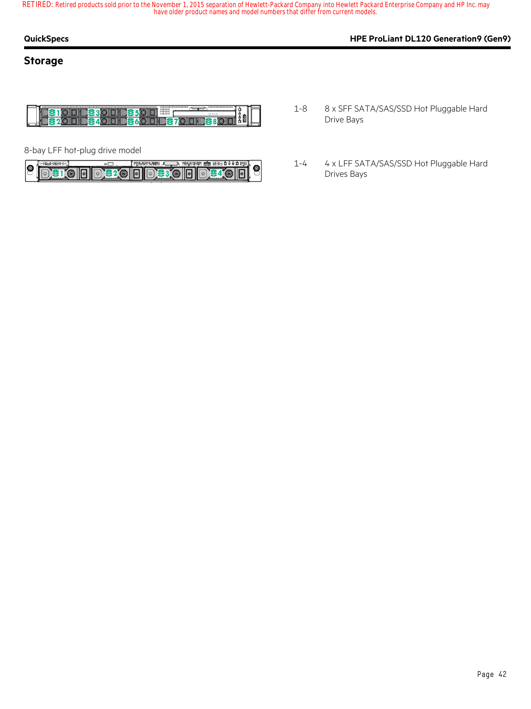### **QuickSpecs HPE ProLiant DL120 Generation9 (Gen9)**

### **Storage**



8-bay LFF hot-plug drive model

|                |   | ▭ |  | <b>CHET</b><br>≕ |  |
|----------------|---|---|--|------------------|--|
| $\overline{6}$ | Į |   |  |                  |  |

- 1-8 8 x SFF SATA/SAS/SSD Hot Pluggable Hard Drive Bays
- 1-4 4 x LFF SATA/SAS/SSD Hot Pluggable Hard Drives Bays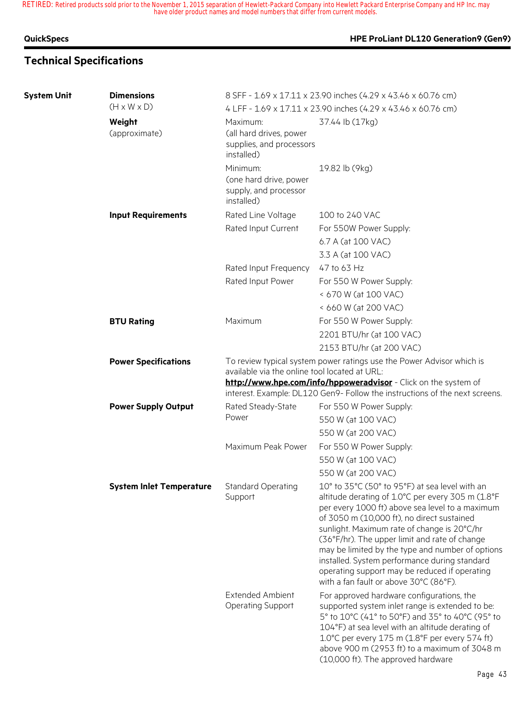### **QuickSpecs HPE ProLiant DL120 Generation9 (Gen9)**

# **Technical Specifications**

| <b>System Unit</b> | <b>Dimensions</b>               | 8 SFF - 1.69 x 17.11 x 23.90 inches (4.29 x 43.46 x 60.76 cm)                                                          |                                                                                                                                                                                                                                                                                                                                                                                                                                                                                                      |  |  |  |
|--------------------|---------------------------------|------------------------------------------------------------------------------------------------------------------------|------------------------------------------------------------------------------------------------------------------------------------------------------------------------------------------------------------------------------------------------------------------------------------------------------------------------------------------------------------------------------------------------------------------------------------------------------------------------------------------------------|--|--|--|
|                    | $(H \times W \times D)$         | 4 LFF - 1.69 x 17.11 x 23.90 inches (4.29 x 43.46 x 60.76 cm)                                                          |                                                                                                                                                                                                                                                                                                                                                                                                                                                                                                      |  |  |  |
|                    | Weight<br>(approximate)         | Maximum:<br>(all hard drives, power<br>supplies, and processors<br>installed)                                          | 37.44 lb (17kg)                                                                                                                                                                                                                                                                                                                                                                                                                                                                                      |  |  |  |
|                    |                                 | Minimum:<br>(one hard drive, power<br>supply, and processor<br>installed)                                              | 19.82 lb (9kg)                                                                                                                                                                                                                                                                                                                                                                                                                                                                                       |  |  |  |
|                    | <b>Input Requirements</b>       | Rated Line Voltage                                                                                                     | 100 to 240 VAC                                                                                                                                                                                                                                                                                                                                                                                                                                                                                       |  |  |  |
|                    |                                 | Rated Input Current                                                                                                    | For 550W Power Supply:                                                                                                                                                                                                                                                                                                                                                                                                                                                                               |  |  |  |
|                    |                                 |                                                                                                                        | 6.7 A (at 100 VAC)                                                                                                                                                                                                                                                                                                                                                                                                                                                                                   |  |  |  |
|                    |                                 |                                                                                                                        | 3.3 A (at 100 VAC)                                                                                                                                                                                                                                                                                                                                                                                                                                                                                   |  |  |  |
|                    |                                 | Rated Input Frequency                                                                                                  | 47 to 63 Hz                                                                                                                                                                                                                                                                                                                                                                                                                                                                                          |  |  |  |
|                    |                                 | Rated Input Power                                                                                                      | For 550 W Power Supply:                                                                                                                                                                                                                                                                                                                                                                                                                                                                              |  |  |  |
|                    |                                 |                                                                                                                        | < 670 W (at 100 VAC)                                                                                                                                                                                                                                                                                                                                                                                                                                                                                 |  |  |  |
|                    |                                 |                                                                                                                        | < 660 W (at 200 VAC)                                                                                                                                                                                                                                                                                                                                                                                                                                                                                 |  |  |  |
|                    | <b>BTU Rating</b>               | Maximum                                                                                                                | For 550 W Power Supply:                                                                                                                                                                                                                                                                                                                                                                                                                                                                              |  |  |  |
|                    |                                 |                                                                                                                        | 2201 BTU/hr (at 100 VAC)                                                                                                                                                                                                                                                                                                                                                                                                                                                                             |  |  |  |
|                    |                                 |                                                                                                                        | 2153 BTU/hr (at 200 VAC)                                                                                                                                                                                                                                                                                                                                                                                                                                                                             |  |  |  |
|                    | <b>Power Specifications</b>     | To review typical system power ratings use the Power Advisor which is<br>available via the online tool located at URL: |                                                                                                                                                                                                                                                                                                                                                                                                                                                                                                      |  |  |  |
|                    |                                 |                                                                                                                        | http://www.hpe.com/info/hppoweradvisor - Click on the system of<br>interest. Example: DL120 Gen9- Follow the instructions of the next screens.                                                                                                                                                                                                                                                                                                                                                       |  |  |  |
|                    | <b>Power Supply Output</b>      | Rated Steady-State                                                                                                     | For 550 W Power Supply:                                                                                                                                                                                                                                                                                                                                                                                                                                                                              |  |  |  |
|                    |                                 | Power                                                                                                                  | 550 W (at 100 VAC)                                                                                                                                                                                                                                                                                                                                                                                                                                                                                   |  |  |  |
|                    |                                 |                                                                                                                        | 550 W (at 200 VAC)                                                                                                                                                                                                                                                                                                                                                                                                                                                                                   |  |  |  |
|                    |                                 | Maximum Peak Power                                                                                                     | For 550 W Power Supply:                                                                                                                                                                                                                                                                                                                                                                                                                                                                              |  |  |  |
|                    |                                 |                                                                                                                        | 550 W (at 100 VAC)                                                                                                                                                                                                                                                                                                                                                                                                                                                                                   |  |  |  |
|                    |                                 |                                                                                                                        | 550 W (at 200 VAC)                                                                                                                                                                                                                                                                                                                                                                                                                                                                                   |  |  |  |
|                    | <b>System Inlet Temperature</b> | <b>Standard Operating</b><br>Support                                                                                   | 10° to 35°C (50° to 95°F) at sea level with an<br>altitude derating of 1.0°C per every 305 m (1.8°F<br>per every 1000 ft) above sea level to a maximum<br>of 3050 m (10,000 ft), no direct sustained<br>sunlight. Maximum rate of change is 20°C/hr<br>(36°F/hr). The upper limit and rate of change<br>may be limited by the type and number of options<br>installed. System performance during standard<br>operating support may be reduced if operating<br>with a fan fault or above 30°C (86°F). |  |  |  |
|                    |                                 | <b>Extended Ambient</b><br><b>Operating Support</b>                                                                    | For approved hardware configurations, the<br>supported system inlet range is extended to be:<br>5° to 10°C (41° to 50°F) and 35° to 40°C (95° to<br>104°F) at sea level with an altitude derating of<br>1.0°C per every 175 m (1.8°F per every 574 ft)<br>above 900 m (2953 ft) to a maximum of 3048 m<br>(10,000 ft). The approved hardware                                                                                                                                                         |  |  |  |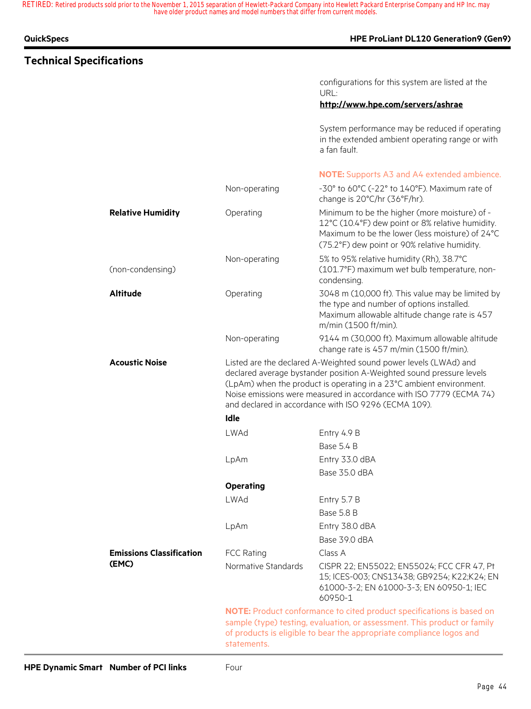| <b>QuickSpecs</b>                        |                                          | HPE ProLiant DL120 Generation9 (Gen9)                                                                                                                                                                                                                                                                                                          |
|------------------------------------------|------------------------------------------|------------------------------------------------------------------------------------------------------------------------------------------------------------------------------------------------------------------------------------------------------------------------------------------------------------------------------------------------|
| <b>Technical Specifications</b>          |                                          |                                                                                                                                                                                                                                                                                                                                                |
|                                          |                                          | configurations for this system are listed at the<br>URL:                                                                                                                                                                                                                                                                                       |
|                                          |                                          | http://www.hpe.com/servers/ashrae                                                                                                                                                                                                                                                                                                              |
|                                          |                                          | System performance may be reduced if operating<br>in the extended ambient operating range or with<br>a fan fault.                                                                                                                                                                                                                              |
|                                          |                                          | <b>NOTE:</b> Supports A3 and A4 extended ambience.                                                                                                                                                                                                                                                                                             |
|                                          | Non-operating                            | -30° to 60°C (-22° to 140°F). Maximum rate of<br>change is 20°C/hr (36°F/hr).                                                                                                                                                                                                                                                                  |
| <b>Relative Humidity</b>                 | Operating                                | Minimum to be the higher (more moisture) of -<br>12°C (10.4°F) dew point or 8% relative humidity.<br>Maximum to be the lower (less moisture) of 24°C<br>(75.2°F) dew point or 90% relative humidity.                                                                                                                                           |
| (non-condensing)                         | Non-operating                            | 5% to 95% relative humidity (Rh), 38.7°C<br>(101.7°F) maximum wet bulb temperature, non-<br>condensing.                                                                                                                                                                                                                                        |
| <b>Altitude</b>                          | Operating                                | 3048 m (10,000 ft). This value may be limited by<br>the type and number of options installed.<br>Maximum allowable altitude change rate is 457<br>m/min (1500 ft/min).                                                                                                                                                                         |
|                                          | Non-operating                            | 9144 m (30,000 ft). Maximum allowable altitude<br>change rate is 457 m/min (1500 ft/min).                                                                                                                                                                                                                                                      |
| <b>Acoustic Noise</b>                    |                                          | Listed are the declared A-Weighted sound power levels (LWAd) and<br>declared average bystander position A-Weighted sound pressure levels<br>(LpAm) when the product is operating in a 23°C ambient environment.<br>Noise emissions were measured in accordance with ISO 7779 (ECMA 74)<br>and declared in accordance with ISO 9296 (ECMA 109). |
|                                          | Idle                                     |                                                                                                                                                                                                                                                                                                                                                |
|                                          | <b>LWAd</b>                              | Entry 4.9 B                                                                                                                                                                                                                                                                                                                                    |
|                                          |                                          | Base 5.4 B                                                                                                                                                                                                                                                                                                                                     |
|                                          | LpAm                                     | Entry 33.0 dBA                                                                                                                                                                                                                                                                                                                                 |
|                                          |                                          | Base 35.0 dBA                                                                                                                                                                                                                                                                                                                                  |
|                                          | <b>Operating</b>                         |                                                                                                                                                                                                                                                                                                                                                |
|                                          | LWAd                                     | Entry 5.7 B                                                                                                                                                                                                                                                                                                                                    |
|                                          |                                          | Base 5.8 B                                                                                                                                                                                                                                                                                                                                     |
|                                          | LpAm                                     | Entry 38.0 dBA                                                                                                                                                                                                                                                                                                                                 |
|                                          |                                          | Base 39.0 dBA                                                                                                                                                                                                                                                                                                                                  |
| <b>Emissions Classification</b><br>(EMC) | <b>FCC Rating</b><br>Normative Standards | Class A<br>CISPR 22; EN55022; EN55024; FCC CFR 47, Pt<br>15; ICES-003; CNS13438; GB9254; K22;K24; EN<br>61000-3-2; EN 61000-3-3; EN 60950-1; IEC<br>60950-1                                                                                                                                                                                    |
|                                          | statements.                              | <b>NOTE:</b> Product conformance to cited product specifications is based on<br>sample (type) testing, evaluation, or assessment. This product or family<br>of products is eligible to bear the appropriate compliance logos and                                                                                                               |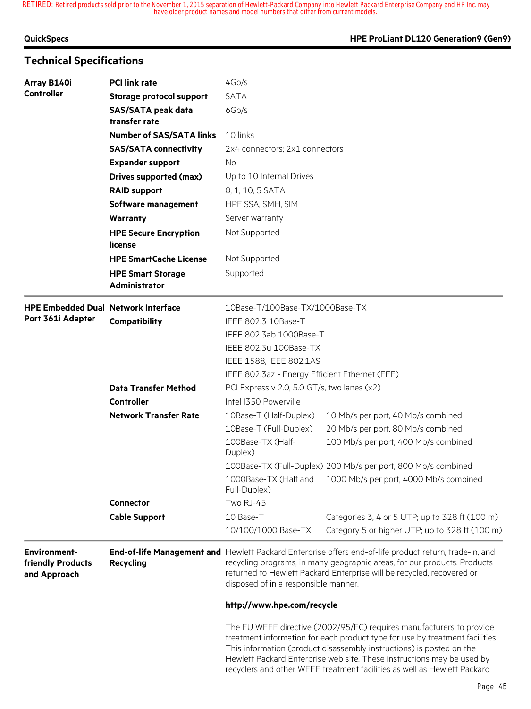# **Technical Specifications**

|  | QuickSpecs |
|--|------------|
|  |            |

| Array B140i                                              | <b>PCI link rate</b>                                           | 4Gb/s                                          |                                                                                                                                                                                                                                                                                                        |  |  |  |  |
|----------------------------------------------------------|----------------------------------------------------------------|------------------------------------------------|--------------------------------------------------------------------------------------------------------------------------------------------------------------------------------------------------------------------------------------------------------------------------------------------------------|--|--|--|--|
| <b>Controller</b>                                        | <b>Storage protocol support</b>                                | <b>SATA</b>                                    |                                                                                                                                                                                                                                                                                                        |  |  |  |  |
|                                                          | <b>SAS/SATA peak data</b><br>transfer rate                     | 6Gb/s                                          |                                                                                                                                                                                                                                                                                                        |  |  |  |  |
|                                                          | <b>Number of SAS/SATA links</b>                                | 10 links                                       |                                                                                                                                                                                                                                                                                                        |  |  |  |  |
|                                                          | 2x4 connectors; 2x1 connectors<br><b>SAS/SATA connectivity</b> |                                                |                                                                                                                                                                                                                                                                                                        |  |  |  |  |
|                                                          | <b>Expander support</b>                                        | No.                                            |                                                                                                                                                                                                                                                                                                        |  |  |  |  |
|                                                          | <b>Drives supported (max)</b>                                  | Up to 10 Internal Drives                       |                                                                                                                                                                                                                                                                                                        |  |  |  |  |
|                                                          | <b>RAID support</b>                                            | 0, 1, 10, 5 SATA                               |                                                                                                                                                                                                                                                                                                        |  |  |  |  |
|                                                          | Software management                                            | HPE SSA, SMH, SIM                              |                                                                                                                                                                                                                                                                                                        |  |  |  |  |
|                                                          | Warranty                                                       | Server warranty                                |                                                                                                                                                                                                                                                                                                        |  |  |  |  |
|                                                          | <b>HPE Secure Encryption</b><br>license                        | Not Supported                                  |                                                                                                                                                                                                                                                                                                        |  |  |  |  |
|                                                          | <b>HPE SmartCache License</b>                                  | Not Supported                                  |                                                                                                                                                                                                                                                                                                        |  |  |  |  |
|                                                          | <b>HPE Smart Storage</b><br>Administrator                      | Supported                                      |                                                                                                                                                                                                                                                                                                        |  |  |  |  |
| <b>HPE Embedded Dual Network Interface</b>               |                                                                | 10Base-T/100Base-TX/1000Base-TX                |                                                                                                                                                                                                                                                                                                        |  |  |  |  |
| Port 361i Adapter                                        | Compatibility                                                  | IEEE 802.3 10Base-T                            |                                                                                                                                                                                                                                                                                                        |  |  |  |  |
|                                                          |                                                                | IEEE 802.3ab 1000Base-T                        |                                                                                                                                                                                                                                                                                                        |  |  |  |  |
|                                                          |                                                                | IEEE 802.3u 100Base-TX                         |                                                                                                                                                                                                                                                                                                        |  |  |  |  |
|                                                          |                                                                | IEEE 1588, IEEE 802.1AS                        |                                                                                                                                                                                                                                                                                                        |  |  |  |  |
|                                                          |                                                                | IEEE 802.3az - Energy Efficient Ethernet (EEE) |                                                                                                                                                                                                                                                                                                        |  |  |  |  |
|                                                          | <b>Data Transfer Method</b>                                    | PCI Express v 2.0, 5.0 GT/s, two lanes (x2)    |                                                                                                                                                                                                                                                                                                        |  |  |  |  |
|                                                          | <b>Controller</b>                                              | Intel I350 Powerville                          |                                                                                                                                                                                                                                                                                                        |  |  |  |  |
|                                                          | <b>Network Transfer Rate</b>                                   | 10Base-T (Half-Duplex)                         | 10 Mb/s per port, 40 Mb/s combined                                                                                                                                                                                                                                                                     |  |  |  |  |
|                                                          |                                                                | 10Base-T (Full-Duplex)                         | 20 Mb/s per port, 80 Mb/s combined                                                                                                                                                                                                                                                                     |  |  |  |  |
|                                                          |                                                                | 100Base-TX (Half-<br>Duplex)                   | 100 Mb/s per port, 400 Mb/s combined                                                                                                                                                                                                                                                                   |  |  |  |  |
|                                                          |                                                                |                                                | 100Base-TX (Full-Duplex) 200 Mb/s per port, 800 Mb/s combined                                                                                                                                                                                                                                          |  |  |  |  |
|                                                          |                                                                | Full-Duplex)                                   | 1000Base-TX (Half and 1000 Mb/s per port, 4000 Mb/s combined                                                                                                                                                                                                                                           |  |  |  |  |
|                                                          | <b>Connector</b>                                               | Two RJ-45                                      |                                                                                                                                                                                                                                                                                                        |  |  |  |  |
|                                                          | <b>Cable Support</b>                                           | 10 Base-T                                      | Categories 3, 4 or 5 UTP; up to 328 ft (100 m)                                                                                                                                                                                                                                                         |  |  |  |  |
|                                                          |                                                                | 10/100/1000 Base-TX                            | Category 5 or higher UTP; up to 328 ft (100 m)                                                                                                                                                                                                                                                         |  |  |  |  |
| <b>Environment-</b><br>friendly Products<br>and Approach | Recycling                                                      | disposed of in a responsible manner.           | End-of-life Management and Hewlett Packard Enterprise offers end-of-life product return, trade-in, and<br>recycling programs, in many geographic areas, for our products. Products<br>returned to Hewlett Packard Enterprise will be recycled, recovered or                                            |  |  |  |  |
|                                                          |                                                                | http://www.hpe.com/recycle                     |                                                                                                                                                                                                                                                                                                        |  |  |  |  |
|                                                          |                                                                |                                                | The EU WEEE directive (2002/95/EC) requires manufacturers to provide<br>treatment information for each product type for use by treatment facilities.<br>This information (product disassembly instructions) is posted on the<br>Hewlett Packard Enterprise web site. These instructions may be used by |  |  |  |  |

recyclers and other WEEE treatment facilities as well as Hewlett Packard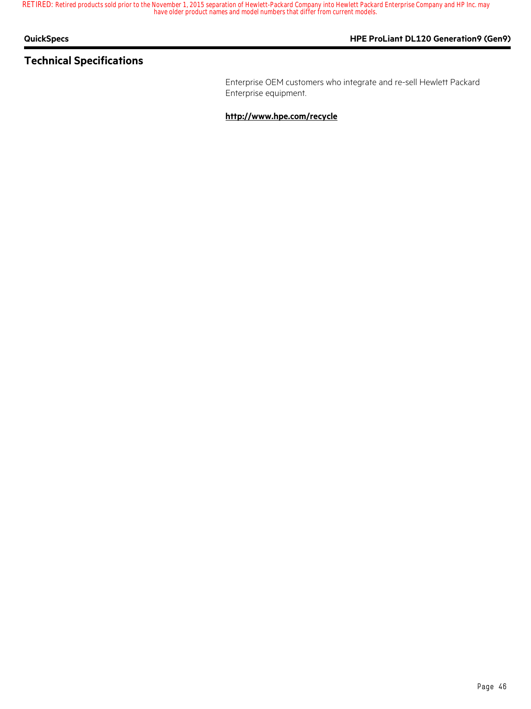**QuickSpecs HPE ProLiant DL120 Generation9 (Gen9)**

# **Technical Specifications**

Enterprise OEM customers who integrate and re-sell Hewlett Packard Enterprise equipment.

**http://www.hpe.com/recycle**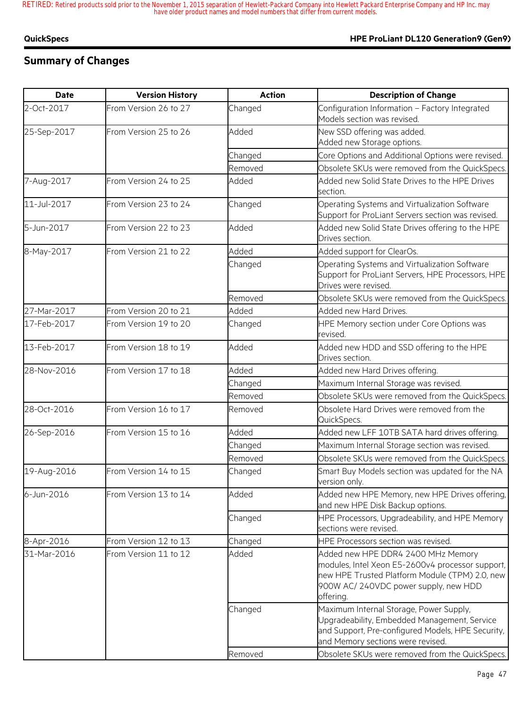#### **QuickSpecs HPE ProLiant DL120 Generation9 (Gen9)**

# **Summary of Changes**

| <b>Date</b> | <b>Version History</b> | <b>Action</b> | <b>Description of Change</b>                                                                                                                                                                   |
|-------------|------------------------|---------------|------------------------------------------------------------------------------------------------------------------------------------------------------------------------------------------------|
| 2-Oct-2017  | From Version 26 to 27  | Changed       | Configuration Information - Factory Integrated<br>Models section was revised.                                                                                                                  |
| 25-Sep-2017 | From Version 25 to 26  | Added         | New SSD offering was added.<br>Added new Storage options.                                                                                                                                      |
|             |                        | Changed       | Core Options and Additional Options were revised.                                                                                                                                              |
|             |                        | Removed       | Obsolete SKUs were removed from the QuickSpecs.                                                                                                                                                |
| 7-Aug-2017  | From Version 24 to 25  | Added         | Added new Solid State Drives to the HPE Drives<br>section.                                                                                                                                     |
| 11-Jul-2017 | From Version 23 to 24  | Changed       | Operating Systems and Virtualization Software<br>Support for ProLiant Servers section was revised.                                                                                             |
| 5-Jun-2017  | From Version 22 to 23  | Added         | Added new Solid State Drives offering to the HPE<br>Drives section.                                                                                                                            |
| 8-May-2017  | From Version 21 to 22  | Added         | Added support for ClearOs.                                                                                                                                                                     |
|             |                        | Changed       | Operating Systems and Virtualization Software<br>Support for ProLiant Servers, HPE Processors, HPE<br>Drives were revised.                                                                     |
|             |                        | Removed       | Obsolete SKUs were removed from the QuickSpecs.                                                                                                                                                |
| 27-Mar-2017 | From Version 20 to 21  | Added         | Added new Hard Drives.                                                                                                                                                                         |
| 17-Feb-2017 | From Version 19 to 20  | Changed       | HPE Memory section under Core Options was<br>revised.                                                                                                                                          |
| 13-Feb-2017 | From Version 18 to 19  | Added         | Added new HDD and SSD offering to the HPE<br>Drives section.                                                                                                                                   |
| 28-Nov-2016 | From Version 17 to 18  | Added         | Added new Hard Drives offering.                                                                                                                                                                |
|             |                        | Changed       | Maximum Internal Storage was revised.                                                                                                                                                          |
|             |                        | Removed       | Obsolete SKUs were removed from the QuickSpecs.                                                                                                                                                |
| 28-Oct-2016 | From Version 16 to 17  | Removed       | Obsolete Hard Drives were removed from the<br>QuickSpecs.                                                                                                                                      |
| 26-Sep-2016 | From Version 15 to 16  | Added         | Added new LFF 10TB SATA hard drives offering.                                                                                                                                                  |
|             |                        | Changed       | Maximum Internal Storage section was revised.                                                                                                                                                  |
|             |                        | Removed       | Obsolete SKUs were removed from the QuickSpecs.                                                                                                                                                |
| 19-Aug-2016 | From Version 14 to 15  | Changed       | Smart Buy Models section was updated for the NA<br>version only.                                                                                                                               |
| 6-Jun-2016  | From Version 13 to 14  | Added         | Added new HPE Memory, new HPE Drives offering,<br>and new HPE Disk Backup options.                                                                                                             |
|             |                        | Changed       | HPE Processors, Upgradeability, and HPE Memory<br>sections were revised.                                                                                                                       |
| 8-Apr-2016  | From Version 12 to 13  | Changed       | HPE Processors section was revised.                                                                                                                                                            |
| 31-Mar-2016 | From Version 11 to 12  | Added         | Added new HPE DDR4 2400 MHz Memory<br>modules, Intel Xeon E5-2600v4 processor support,<br>new HPE Trusted Platform Module (TPM) 2.0, new<br>900W AC/ 240VDC power supply, new HDD<br>offering. |
|             |                        | Changed       | Maximum Internal Storage, Power Supply,<br>Upgradeability, Embedded Management, Service<br>and Support, Pre-configured Models, HPE Security,<br>and Memory sections were revised.              |
|             |                        | Removed       | Obsolete SKUs were removed from the QuickSpecs.                                                                                                                                                |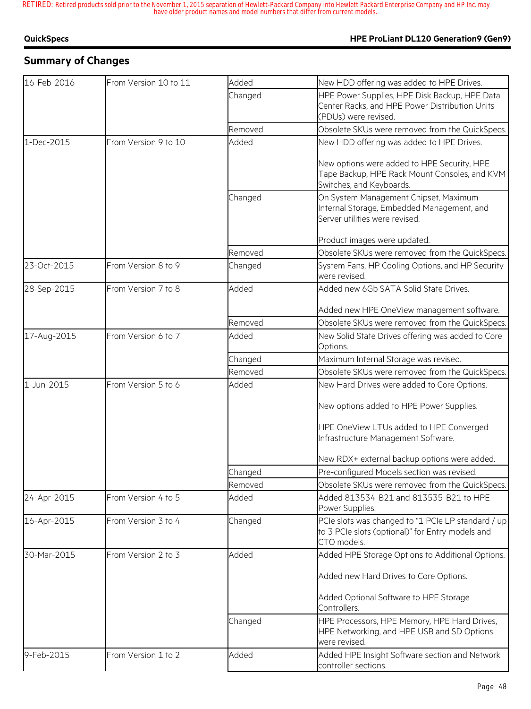#### **QuickSpecs HPE ProLiant DL120 Generation9 (Gen9)**

# **Summary of Changes**

| 16-Feb-2016 | From Version 10 to 11 | Added   | New HDD offering was added to HPE Drives.                                                                                |
|-------------|-----------------------|---------|--------------------------------------------------------------------------------------------------------------------------|
|             |                       | Changed | HPE Power Supplies, HPE Disk Backup, HPE Data<br>Center Racks, and HPE Power Distribution Units<br>(PDUs) were revised.  |
|             |                       | Removed | Obsolete SKUs were removed from the QuickSpecs.                                                                          |
| 1-Dec-2015  | From Version 9 to 10  | Added   | New HDD offering was added to HPE Drives.                                                                                |
|             |                       |         | New options were added to HPE Security, HPE<br>Tape Backup, HPE Rack Mount Consoles, and KVM<br>Switches, and Keyboards. |
|             |                       | Changed | On System Management Chipset, Maximum<br>Internal Storage, Embedded Management, and<br>Server utilities were revised.    |
|             |                       |         | Product images were updated.                                                                                             |
|             |                       | Removed | Obsolete SKUs were removed from the QuickSpecs.                                                                          |
| 23-Oct-2015 | From Version 8 to 9   | Changed | System Fans, HP Cooling Options, and HP Security<br>were revised.                                                        |
| 28-Sep-2015 | From Version 7 to 8   | Added   | Added new 6Gb SATA Solid State Drives.                                                                                   |
|             |                       |         | Added new HPE OneView management software.                                                                               |
|             |                       | Removed | Obsolete SKUs were removed from the QuickSpecs.                                                                          |
| 17-Aug-2015 | From Version 6 to 7   | Added   | New Solid State Drives offering was added to Core<br>Options.                                                            |
|             |                       | Changed | Maximum Internal Storage was revised.                                                                                    |
|             |                       | Removed | Obsolete SKUs were removed from the QuickSpecs.                                                                          |
| 1-Jun-2015  | From Version 5 to 6   | Added   | New Hard Drives were added to Core Options.                                                                              |
|             |                       |         | New options added to HPE Power Supplies.                                                                                 |
|             |                       |         | HPE OneView LTUs added to HPE Converged<br>Infrastructure Management Software.                                           |
|             |                       |         | New RDX+ external backup options were added.                                                                             |
|             |                       | Changed | Pre-configured Models section was revised.                                                                               |
|             |                       | Removed | Obsolete SKUs were removed from the QuickSpecs.                                                                          |
| 24-Apr-2015 | From Version 4 to 5   | Added   | Added 813534-B21 and 813535-B21 to HPE<br>Power Supplies.                                                                |
| 16-Apr-2015 | From Version 3 to 4   | Changed | PCIe slots was changed to "1 PCIe LP standard / up<br>to 3 PCIe slots (optional)" for Entry models and<br>CTO models.    |
| 30-Mar-2015 | From Version 2 to 3   | Added   | Added HPE Storage Options to Additional Options.                                                                         |
|             |                       |         | Added new Hard Drives to Core Options.                                                                                   |
|             |                       |         | Added Optional Software to HPE Storage<br>Controllers.                                                                   |
|             |                       | Changed | HPE Processors, HPE Memory, HPE Hard Drives,<br>HPE Networking, and HPE USB and SD Options<br>were revised.              |
| 9-Feb-2015  | From Version 1 to 2   | Added   | Added HPE Insight Software section and Network<br>controller sections.                                                   |